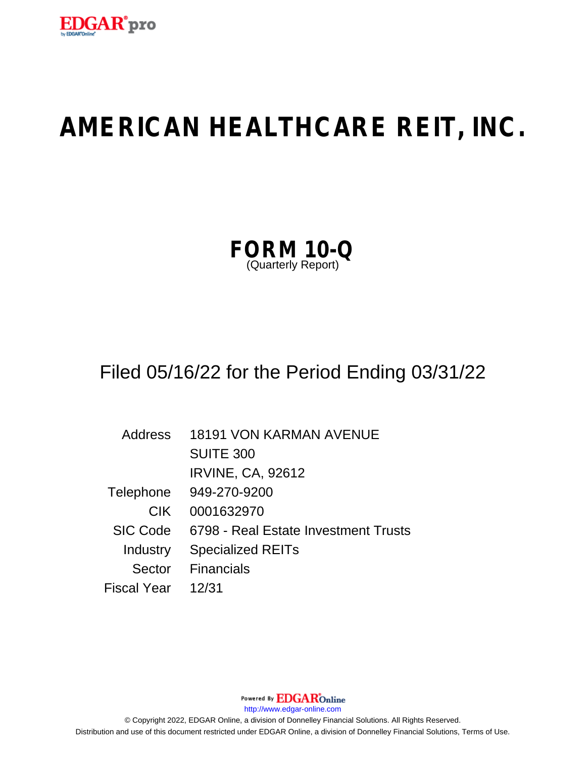

| <b>FORM 10-Q</b>   |  |  |
|--------------------|--|--|
| (Quarterly Report) |  |  |

## Filed 05/16/22 for the Period Ending 03/31/22

| Address            | <b>18191 VON KARMAN AVENUE</b>       |
|--------------------|--------------------------------------|
|                    | <b>SUITE 300</b>                     |
|                    | <b>IRVINE, CA, 92612</b>             |
| Telephone          | 949-270-9200                         |
| <b>CIK</b>         | 0001632970                           |
| <b>SIC Code</b>    | 6798 - Real Estate Investment Trusts |
| Industry           | <b>Specialized REITs</b>             |
| Sector             | <b>Financials</b>                    |
| <b>Fiscal Year</b> | 12/31                                |

Powered By EDGAROnline http://www.edgar-online.com © Copyright 2022, EDGAR Online, a division of Donnelley Financial Solutions. All Rights Reserved. Distribution and use of this document restricted under EDGAR Online, a division of Donnelley Financial Solutions, Terms of Use.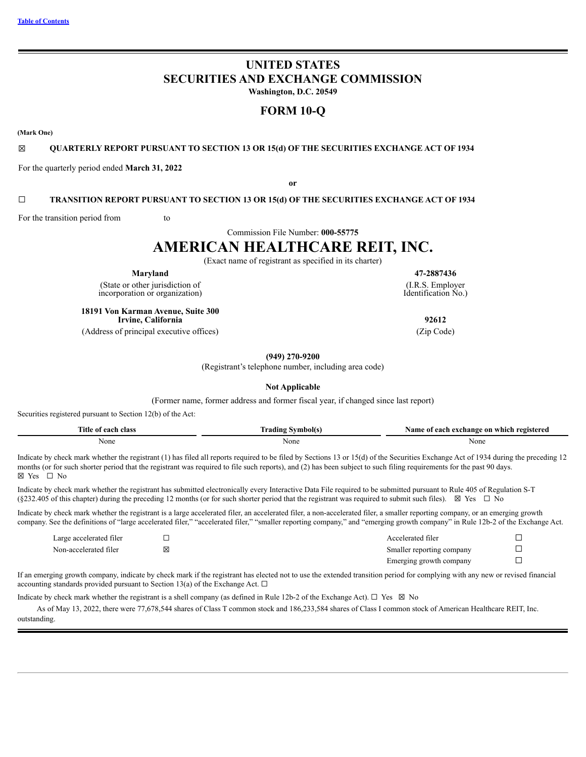## **IINITED STATES SECURITIES AND EXCHANGE COMMISSION** Washington, D.C. 20549

## **FORM 10-Q**

(Mark One)

#### QUARTERLY REPORT PURSUANT TO SECTION 13 OR 15(d) OF THE SECURITIES EXCHANGE ACT OF 1934 X

For the quarterly period ended March 31, 2022

or

#### $\Box$ TRANSITION REPORT PURSUANT TO SECTION 13 OR 15(d) OF THE SECURITIES EXCHANGE ACT OF 1934

For the transition period from

Commission File Number: 000-55775

## AMERICAN HEALTHCARE REIT, INC.

(Exact name of registrant as specified in its charter)

Maryland

to

(State or other jurisdiction of incorporation or organization)

18191 Von Karman Avenue, Suite 300 Irvine, California

(Address of principal executive offices)

 $(949)$  270-9200

(Registrant's telephone number, including area code)

**Not Applicable** 

(Former name, former address and former fiscal year, if changed since last report)

Securities registered pursuant to Section 12(b) of the Act:

| Name of each exchange on which registered<br>Title of each class<br>Trading Symbol(s)                                                                                               |      |      |  |  |  |  |  |
|-------------------------------------------------------------------------------------------------------------------------------------------------------------------------------------|------|------|--|--|--|--|--|
| None                                                                                                                                                                                | None | None |  |  |  |  |  |
| Indicate by check mark whether the registrant (1) has filed all reports required to be filed by Sections 13 or 15(d) of the Securities Exchange Act of 1934 during the preceding 12 |      |      |  |  |  |  |  |
| months (or for such shorter period that the registrant was required to file such reports), and (2) has been subject to such filing requirements for the past 90 days.               |      |      |  |  |  |  |  |

 $\boxtimes$  Yes  $\Box$  No

Indicate by check mark whether the registrant has submitted electronically every Interactive Data File required to be submitted pursuant to Rule 405 of Regulation S-T (§232.405 of this chapter) during the preceding 12 months (or for such shorter period that the registrant was required to submit such files).  $\boxtimes$  Yes  $\Box$  No

Indicate by check mark whether the registrant is a large accelerated filer, an accelerated filer, a non-accelerated filer, a smaller reporting company, or an emerging growth company. See the definitions of "large accelerated filer," "accelerated filer," "smaller reporting company," and "emerging growth company" in Rule 12b-2 of the Exchange Act.

| Large accelerated filer | Accelerated filer         |  |
|-------------------------|---------------------------|--|
| Non-accelerated filer   | Smaller reporting company |  |
|                         | Emerging growth company   |  |

If an emerging growth company, indicate by check mark if the registrant has elected not to use the extended transition period for complying with any new or revised financial accounting standards provided pursuant to Section 13(a) of the Exchange Act.  $\Box$ 

Indicate by check mark whether the registrant is a shell company (as defined in Rule 12b-2 of the Exchange Act).  $\Box$  Yes  $\boxtimes$  No

As of May 13, 2022, there were 77,678,544 shares of Class T common stock and 186,233,584 shares of Class I common stock of American Healthcare REIT, Inc. outstanding.

47-2887436

(I.R.S. Employer Identification No.)

92612

(Zip Code)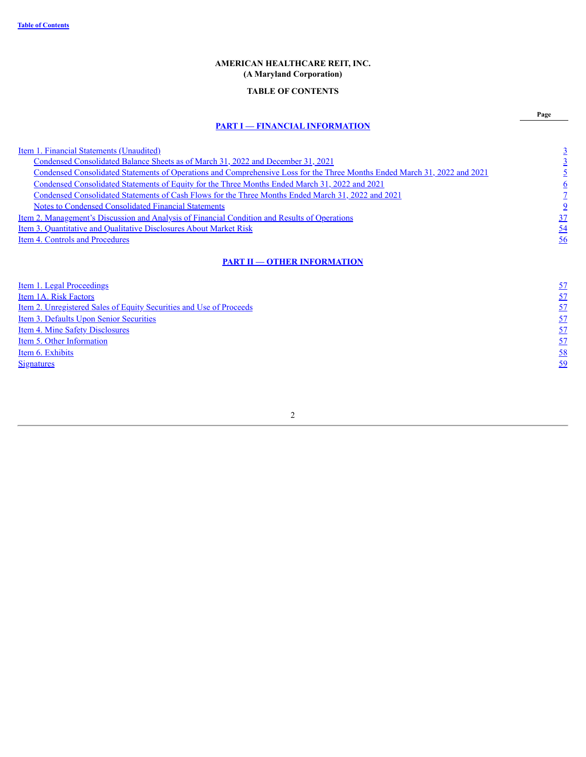**Table of [Contents](#page-1-0)**

## **AMERICAN HEALTHCARE REIT, INC. (A Maryland Corporation)**

## **TABLE OF CONTENTS**

## **PART I — FINANCIAL [INFORMATION](#page-2-0)**

**Page**

| Item 1. Financial Statements (Unaudited)                                                                                  |    |  |  |  |  |  |
|---------------------------------------------------------------------------------------------------------------------------|----|--|--|--|--|--|
| Condensed Consolidated Balance Sheets as of March 31, 2022 and December 31, 2021                                          |    |  |  |  |  |  |
| Condensed Consolidated Statements of Operations and Comprehensive Loss for the Three Months Ended March 31, 2022 and 2021 |    |  |  |  |  |  |
| Condensed Consolidated Statements of Equity for the Three Months Ended March 31, 2022 and 2021                            |    |  |  |  |  |  |
| Condensed Consolidated Statements of Cash Flows for the Three Months Ended March 31, 2022 and 2021                        |    |  |  |  |  |  |
| <b>Notes to Condensed Consolidated Financial Statements</b>                                                               |    |  |  |  |  |  |
| <u>Item 2. Management's Discussion and Analysis of Financial Condition and Results of Operations</u>                      | 37 |  |  |  |  |  |
| <u>Item 3. Quantitative and Qualitative Disclosures About Market Risk</u>                                                 | 54 |  |  |  |  |  |
| Item 4. Controls and Procedures                                                                                           | 56 |  |  |  |  |  |
| <b>PART II - OTHER INFORMATION</b>                                                                                        |    |  |  |  |  |  |
| Item 1. Legal Proceedings                                                                                                 | 57 |  |  |  |  |  |

<span id="page-2-0"></span>

| $\frac{100 \text{ m}}{100 \text{ s}}$                                      | <u>- 1</u> |
|----------------------------------------------------------------------------|------------|
| Item 1A. Risk Factors                                                      | 57         |
| <u>Item 2. Unregistered Sales of Equity Securities and Use of Proceeds</u> | 57         |
| Item 3. Defaults Upon Senior Securities                                    | <u>57</u>  |
| <u>Item 4. Mine Safety Disclosures</u>                                     | 57         |
| Item 5. Other Information                                                  | 57         |
| Item 6. Exhibits                                                           | 58         |
| <b>Signatures</b>                                                          | 59         |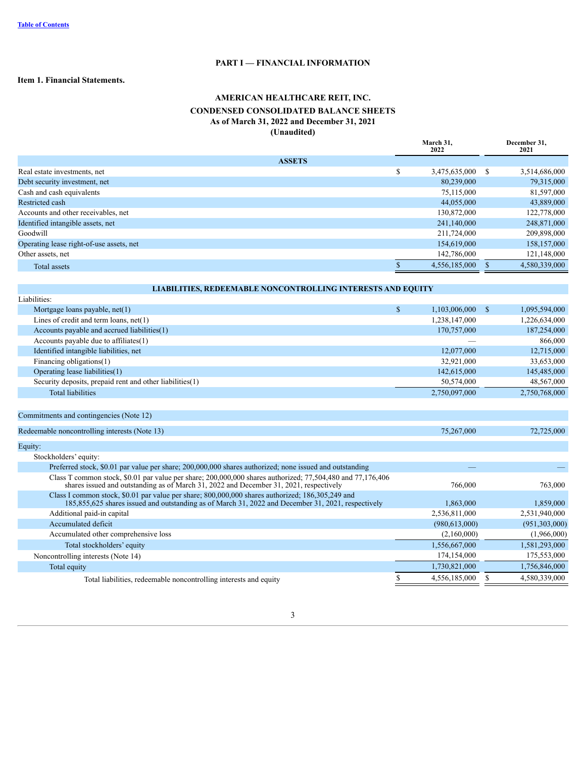## **PART I — FINANCIAL INFORMATION**

### <span id="page-3-1"></span><span id="page-3-0"></span>**Item 1. Financial Statements.**

## **AMERICAN HEALTHCARE REIT, INC. CONDENSED CONSOLIDATED BALANCE SHEETS As of March 31, 2022 and December 31, 2021 (Unaudited)**

**March 31, 2022 ASSETS** Real estate investments, net 5.514,686,000 \$ 3,514,686,000 \$ 3,514,686,000 \$ 3,514,686,000 \$ 3,514,686,000 \$ 3,514,686,000 \$ 3,514,686,000 \$ 3,514,686,000 \$ 3,514,686,000 \$ 3,514,686,000 \$ 3,514,686,000 \$ 3,514,686,000 \$ 3 Debt security investment, net 80,239,000 79,315,000 79,315,000 Cash and cash equivalents 75,115,000 81,597,000

**December 31, 2021**

| Restricted cash                          | 44,055,000    | 43,889,000    |
|------------------------------------------|---------------|---------------|
| Accounts and other receivables, net      | 130,872,000   | 122,778,000   |
| Identified intangible assets, net        | 241,140,000   | 248,871,000   |
| Goodwill                                 | 211,724,000   | 209,898,000   |
| Operating lease right-of-use assets, net | 154,619,000   | 158,157,000   |
| Other assets, net                        | 142,786,000   | 121,148,000   |
| Total assets                             | 4,556,185,000 | 4,580,339,000 |

|  |  | <b>LIABILITIES, REDEEMABLE NONCONTROLLING INTERESTS AND EQUITY</b> |  |
|--|--|--------------------------------------------------------------------|--|
|--|--|--------------------------------------------------------------------|--|

| Liabilities:                                                                                                                                                                                           |     |                 |      |                 |
|--------------------------------------------------------------------------------------------------------------------------------------------------------------------------------------------------------|-----|-----------------|------|-----------------|
| Mortgage loans payable, $net(1)$                                                                                                                                                                       | \$. | 1,103,006,000   | - \$ | 1,095,594,000   |
| Lines of credit and term loans, $net(1)$                                                                                                                                                               |     | 1,238,147,000   |      | 1,226,634,000   |
| Accounts payable and accrued liabilities(1)                                                                                                                                                            |     | 170,757,000     |      | 187,254,000     |
| Accounts payable due to affiliates(1)                                                                                                                                                                  |     |                 |      | 866,000         |
| Identified intangible liabilities, net                                                                                                                                                                 |     | 12,077,000      |      | 12,715,000      |
| Financing obligations(1)                                                                                                                                                                               |     | 32,921,000      |      | 33,653,000      |
| Operating lease liabilities(1)                                                                                                                                                                         |     | 142,615,000     |      | 145,485,000     |
| Security deposits, prepaid rent and other liabilities (1)                                                                                                                                              |     | 50,574,000      |      | 48,567,000      |
| <b>Total liabilities</b>                                                                                                                                                                               |     | 2,750,097,000   |      | 2,750,768,000   |
|                                                                                                                                                                                                        |     |                 |      |                 |
| Commitments and contingencies (Note 12)                                                                                                                                                                |     |                 |      |                 |
| Redeemable noncontrolling interests (Note 13)                                                                                                                                                          |     | 75,267,000      |      | 72,725,000      |
| Equity:                                                                                                                                                                                                |     |                 |      |                 |
| Stockholders' equity:                                                                                                                                                                                  |     |                 |      |                 |
| Preferred stock, \$0.01 par value per share; 200,000,000 shares authorized; none issued and outstanding                                                                                                |     |                 |      |                 |
| Class T common stock, \$0.01 par value per share; 200,000,000 shares authorized; 77,504,480 and 77,176,406<br>shares issued and outstanding as of March 31, 2022 and December 31, 2021, respectively   |     | 766,000         |      | 763,000         |
| Class I common stock, \$0.01 par value per share; 800,000,000 shares authorized; 186,305,249 and<br>185,855,625 shares issued and outstanding as of March 31, 2022 and December 31, 2021, respectively |     | 1,863,000       |      | 1,859,000       |
| Additional paid-in capital                                                                                                                                                                             |     | 2,536,811,000   |      | 2,531,940,000   |
| Accumulated deficit                                                                                                                                                                                    |     | (980, 613, 000) |      | (951, 303, 000) |
| Accumulated other comprehensive loss                                                                                                                                                                   |     | (2,160,000)     |      | (1,966,000)     |
| Total stockholders' equity                                                                                                                                                                             |     | 1,556,667,000   |      | 1,581,293,000   |
| Noncontrolling interests (Note 14)                                                                                                                                                                     |     | 174,154,000     |      | 175,553,000     |
| Total equity                                                                                                                                                                                           |     | 1,730,821,000   |      | 1,756,846,000   |
| Total liabilities, redeemable noncontrolling interests and equity                                                                                                                                      | S   | 4,556,185,000   | \$   | 4,580,339,000   |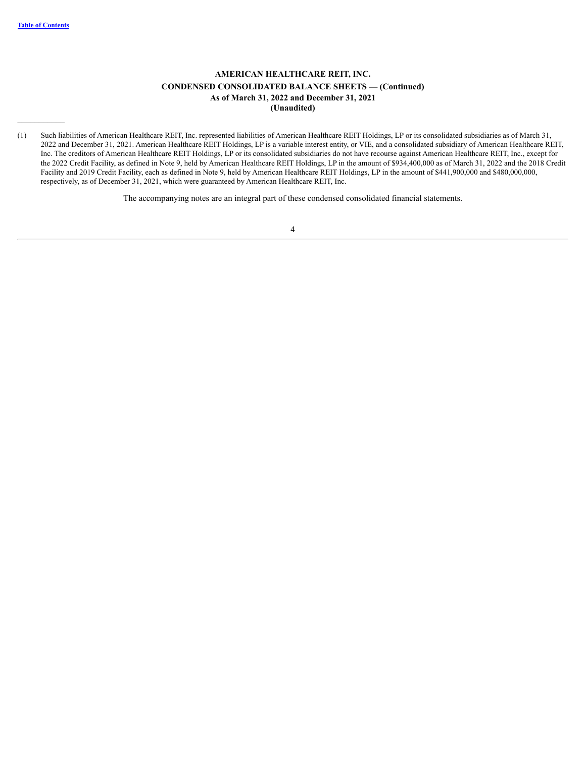$\frac{1}{2}$ 

## **AMERICAN HEALTHCARE REIT, INC. CONDENSED CONSOLIDATED BALANCE SHEETS — (Continued) As of March 31, 2022 and December 31, 2021 (Unaudited)**

<span id="page-4-0"></span>(1) Such liabilities of American Healthcare REIT, Inc. represented liabilities of American Healthcare REIT Holdings, LP or its consolidated subsidiaries as of March 31, 2022 and December 31, 2021. American Healthcare REIT Holdings, LP is a variable interest entity, or VIE, and a consolidated subsidiary of American Healthcare REIT, Inc. The creditors of American Healthcare REIT Holdings, LP or its consolidated subsidiaries do not have recourse against American Healthcare REIT, Inc., except for the 2022 Credit Facility, as defined in Note 9, held by American Healthcare REIT Holdings, LP in the amount of \$934,400,000 as of March 31, 2022 and the 2018 Credit Facility and 2019 Credit Facility, each as defined in Note 9, held by American Healthcare REIT Holdings, LP in the amount of \$441,900,000 and \$480,000,000, respectively, as of December 31, 2021, which were guaranteed by American Healthcare REIT, Inc.

The accompanying notes are an integral part of these condensed consolidated financial statements.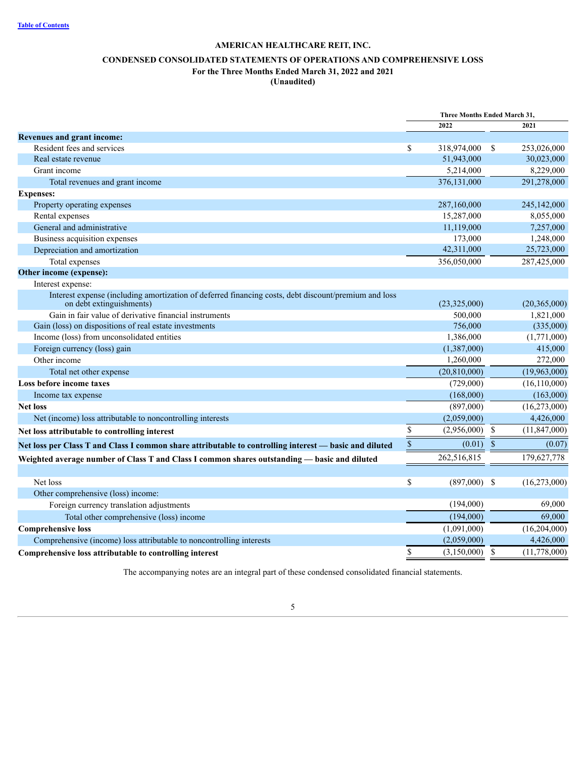## **CONDENSED CONSOLIDATED STATEMENTS OF OPERATIONS AND COMPREHENSIVE LOSS**

#### **For the Three Months Ended March 31, 2022 and 2021**

**(Unaudited)**

|                                                                                                                                  |                           | Three Months Ended March 31, |               |                |
|----------------------------------------------------------------------------------------------------------------------------------|---------------------------|------------------------------|---------------|----------------|
|                                                                                                                                  |                           | 2022                         |               | 2021           |
| Revenues and grant income:                                                                                                       |                           |                              |               |                |
| Resident fees and services                                                                                                       | \$                        | 318,974,000                  | -S            | 253,026,000    |
| Real estate revenue                                                                                                              |                           | 51,943,000                   |               | 30,023,000     |
| Grant income                                                                                                                     |                           | 5,214,000                    |               | 8,229,000      |
| Total revenues and grant income                                                                                                  |                           | 376, 131, 000                |               | 291,278,000    |
| <b>Expenses:</b>                                                                                                                 |                           |                              |               |                |
| Property operating expenses                                                                                                      |                           | 287,160,000                  |               | 245,142,000    |
| Rental expenses                                                                                                                  |                           | 15,287,000                   |               | 8,055,000      |
| General and administrative                                                                                                       |                           | 11,119,000                   |               | 7,257,000      |
| Business acquisition expenses                                                                                                    |                           | 173,000                      |               | 1,248,000      |
| Depreciation and amortization                                                                                                    |                           | 42,311,000                   |               | 25,723,000     |
| Total expenses                                                                                                                   |                           | 356,050,000                  |               | 287,425,000    |
| Other income (expense):                                                                                                          |                           |                              |               |                |
| Interest expense:                                                                                                                |                           |                              |               |                |
| Interest expense (including amortization of deferred financing costs, debt discount/premium and loss<br>on debt extinguishments) |                           | (23,325,000)                 |               | (20, 365, 000) |
| Gain in fair value of derivative financial instruments                                                                           |                           | 500,000                      |               | 1,821,000      |
| Gain (loss) on dispositions of real estate investments                                                                           |                           | 756,000                      |               | (335,000)      |
| Income (loss) from unconsolidated entities                                                                                       |                           | 1,386,000                    |               | (1,771,000)    |
| Foreign currency (loss) gain                                                                                                     |                           | (1,387,000)                  |               | 415,000        |
| Other income                                                                                                                     |                           | 1,260,000                    |               | 272,000        |
| Total net other expense                                                                                                          |                           | (20, 810, 000)               |               | (19,963,000)   |
| Loss before income taxes                                                                                                         |                           | (729,000)                    |               | (16, 110, 000) |
| Income tax expense                                                                                                               |                           | (168,000)                    |               | (163,000)      |
| <b>Net loss</b>                                                                                                                  |                           | (897,000)                    |               | (16, 273, 000) |
| Net (income) loss attributable to noncontrolling interests                                                                       |                           | (2,059,000)                  |               | 4,426,000      |
| Net loss attributable to controlling interest                                                                                    | \$                        | $(2,956,000)$ \$             |               | (11, 847, 000) |
| Net loss per Class T and Class I common share attributable to controlling interest - basic and diluted                           | $\boldsymbol{\mathsf{S}}$ | (0.01)                       | $\sqrt{3}$    | (0.07)         |
| Weighted average number of Class T and Class I common shares outstanding — basic and diluted                                     |                           | 262,516,815                  |               | 179,627,778    |
|                                                                                                                                  |                           |                              |               |                |
| Net loss                                                                                                                         | \$                        | $(897,000)$ \$               |               | (16, 273, 000) |
| Other comprehensive (loss) income:                                                                                               |                           |                              |               |                |
| Foreign currency translation adjustments                                                                                         |                           | (194,000)                    |               | 69,000         |
| Total other comprehensive (loss) income                                                                                          |                           | (194,000)                    |               | 69,000         |
| <b>Comprehensive loss</b>                                                                                                        |                           | (1,091,000)                  |               | (16, 204, 000) |
| Comprehensive (income) loss attributable to noncontrolling interests                                                             |                           | (2,059,000)                  |               | 4,426,000      |
| Comprehensive loss attributable to controlling interest                                                                          | \$                        | (3,150,000)                  | $\mathcal{S}$ | (11, 778, 000) |

<span id="page-5-0"></span>The accompanying notes are an integral part of these condensed consolidated financial statements.

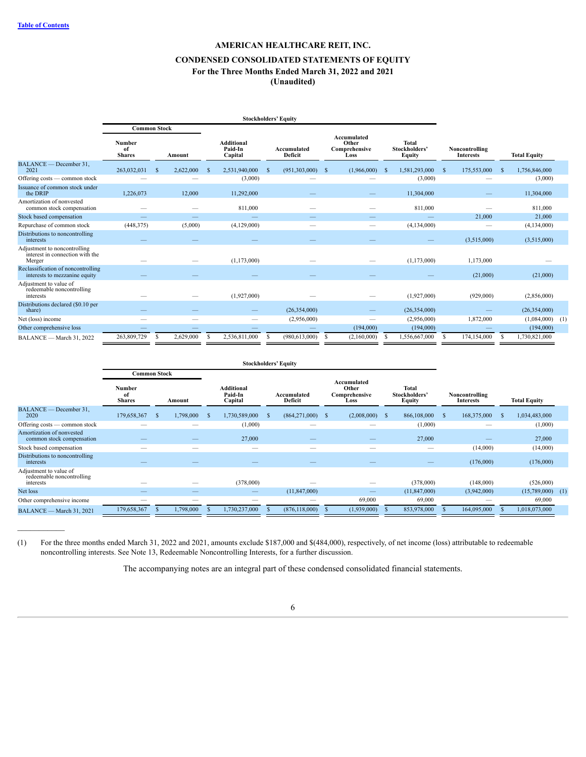## **AMERICAN HEALTHCARE REIT, INC. CONDENSED CONSOLIDATED STATEMENTS OF EQUITY For the Three Months Ended March 31, 2022 and 2021 (Unaudited)**

|                                                                           | <b>Common Stock</b>                            |                |                                         |                        |                                                      |                                                |                                    |                       |
|---------------------------------------------------------------------------|------------------------------------------------|----------------|-----------------------------------------|------------------------|------------------------------------------------------|------------------------------------------------|------------------------------------|-----------------------|
|                                                                           | <b>Number</b><br>of<br><b>Shares</b><br>Amount |                | <b>Additional</b><br>Paid-In<br>Capital | Accumulated<br>Deficit | <b>Accumulated</b><br>Other<br>Comprehensive<br>Loss | <b>Total</b><br>Stockholders'<br><b>Equity</b> | Noncontrolling<br><b>Interests</b> | <b>Total Equity</b>   |
| BALANCE - December 31,<br>2021                                            | 263,032,031                                    | 2,622,000<br>S | 2,531,940,000<br>S.                     | (951, 303, 000)<br>S   | (1,966,000)<br>-S                                    | 1,581,293,000<br>-8                            | 175,553,000                        | 1,756,846,000<br>- \$ |
| Offering costs — common stock                                             |                                                |                | (3,000)                                 |                        |                                                      | (3,000)                                        |                                    | (3,000)               |
| Issuance of common stock under<br>the DRIP                                | 1,226,073                                      | 12,000         | 11,292,000                              |                        | —                                                    | 11,304,000                                     | -                                  | 11,304,000            |
| Amortization of nonvested<br>common stock compensation                    | -                                              |                | 811,000                                 |                        |                                                      | 811,000                                        |                                    | 811,000               |
| Stock based compensation                                                  |                                                |                |                                         |                        |                                                      |                                                | 21,000                             | 21,000                |
| Repurchase of common stock                                                | (448, 375)                                     | (5,000)        | (4,129,000)                             | -                      | -                                                    | (4, 134, 000)                                  |                                    | (4,134,000)           |
| Distributions to noncontrolling<br>interests                              |                                                |                |                                         |                        |                                                      |                                                | (3,515,000)                        | (3,515,000)           |
| Adjustment to noncontrolling<br>interest in connection with the<br>Merger |                                                |                | (1,173,000)                             |                        |                                                      | (1, 173, 000)                                  | 1,173,000                          |                       |
| Reclassification of noncontrolling<br>interests to mezzanine equity       |                                                |                |                                         |                        |                                                      |                                                | (21,000)                           | (21,000)              |
| Adjustment to value of<br>redeemable noncontrolling<br>interests          |                                                |                | (1,927,000)                             |                        |                                                      | (1,927,000)                                    | (929,000)                          | (2,856,000)           |
| Distributions declared (\$0.10 per<br>share)                              |                                                |                |                                         | (26, 354, 000)         |                                                      | (26, 354, 000)                                 |                                    | (26, 354, 000)        |
| Net (loss) income                                                         |                                                | -              |                                         | (2,956,000)            | -                                                    | (2,956,000)                                    | 1,872,000                          | $(1,084,000)$ (1)     |
| Other comprehensive loss                                                  |                                                |                |                                         |                        | (194,000)                                            | (194,000)                                      |                                    | (194,000)             |
| BALANCE - March 31, 2022                                                  | 263,809,729                                    | 2,629,000<br>S | 2,536,811,000                           | (980, 613, 000)<br>S   | (2,160,000)<br>S                                     | 1,556,667,000                                  | 174,154,000                        | 1,730,821,000         |

|                                                                  | <b>Stockholders' Equity</b>   |  |           |  |                                         |  |                        |  |                                               |  |                                  |  |                             |     |                     |  |
|------------------------------------------------------------------|-------------------------------|--|-----------|--|-----------------------------------------|--|------------------------|--|-----------------------------------------------|--|----------------------------------|--|-----------------------------|-----|---------------------|--|
|                                                                  | <b>Common Stock</b>           |  |           |  |                                         |  |                        |  |                                               |  |                                  |  |                             |     |                     |  |
|                                                                  | Number<br>of<br><b>Shares</b> |  | Amount    |  | <b>Additional</b><br>Paid-In<br>Capital |  | Accumulated<br>Deficit |  | Accumulated<br>Other<br>Comprehensive<br>Loss |  | Total<br>Stockholders'<br>Equity |  | Noncontrolling<br>Interests |     | <b>Total Equity</b> |  |
| BALANCE — December 31,<br>2020                                   | 179,658,367                   |  | 1,798,000 |  | 1,730,589,000                           |  | $(864,271,000)$ \$     |  | $(2,008,000)$ \$                              |  | 866,108,000                      |  | 168,375,000                 | - 8 | 1,034,483,000       |  |
| Offering costs — common stock                                    |                               |  |           |  | (1,000)                                 |  |                        |  |                                               |  | (1,000)                          |  |                             |     | (1,000)             |  |
| Amortization of nonvested<br>common stock compensation           |                               |  |           |  | 27,000                                  |  |                        |  |                                               |  | 27,000                           |  |                             |     | 27,000              |  |
| Stock based compensation                                         |                               |  |           |  | -                                       |  |                        |  |                                               |  |                                  |  | (14,000)                    |     | (14,000)            |  |
| Distributions to noncontrolling<br>interests                     |                               |  |           |  |                                         |  |                        |  |                                               |  |                                  |  | (176,000)                   |     | (176,000)           |  |
| Adjustment to value of<br>redeemable noncontrolling<br>interests |                               |  |           |  | (378,000)                               |  |                        |  |                                               |  | (378,000)                        |  | (148,000)                   |     | (526,000)           |  |
| Net loss                                                         |                               |  |           |  | —                                       |  | (11, 847, 000)         |  |                                               |  | (11, 847, 000)                   |  | (3,942,000)                 |     | $(15,789,000)$ (1)  |  |
| Other comprehensive income                                       | -                             |  | -         |  |                                         |  | -                      |  | 69,000                                        |  | 69,000                           |  | -                           |     | 69,000              |  |
| BALANCE - March 31, 2021                                         | 179,658,367                   |  | 1,798,000 |  | .730,237,000                            |  | (876, 118, 000)        |  | (1,939,000)                                   |  | 853,978,000                      |  | 164,095,000                 |     | 1,018,073,000       |  |

<span id="page-6-0"></span>(1) For the three months ended March 31, 2022 and 2021, amounts exclude \$187,000 and \$(484,000), respectively, of net income (loss) attributable to redeemable noncontrolling interests. See Note 13, Redeemable Noncontrolling Interests, for a further discussion.

The accompanying notes are an integral part of these condensed consolidated financial statements.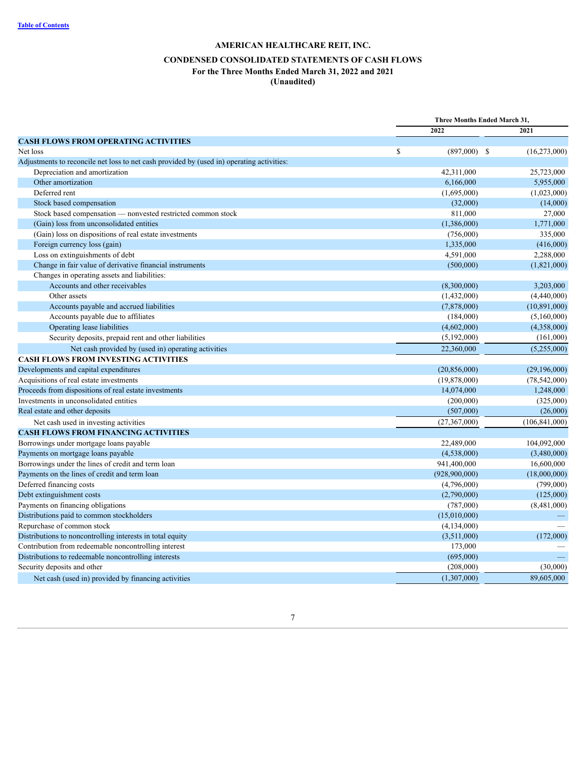## **AMERICAN HEALTHCARE REIT, INC. CONDENSED CONSOLIDATED STATEMENTS OF CASH FLOWS For the Three Months Ended March 31, 2022 and 2021**

**(Unaudited)**

|                                                                                           |    | Three Months Ended March 31, |  |                 |
|-------------------------------------------------------------------------------------------|----|------------------------------|--|-----------------|
|                                                                                           |    | 2022                         |  | 2021            |
| <b>CASH FLOWS FROM OPERATING ACTIVITIES</b>                                               |    |                              |  |                 |
| Net loss                                                                                  | \$ | $(897,000)$ \$               |  | (16,273,000)    |
| Adjustments to reconcile net loss to net cash provided by (used in) operating activities: |    |                              |  |                 |
| Depreciation and amortization                                                             |    | 42,311,000                   |  | 25,723,000      |
| Other amortization                                                                        |    | 6,166,000                    |  | 5,955,000       |
| Deferred rent                                                                             |    | (1,695,000)                  |  | (1,023,000)     |
| Stock based compensation                                                                  |    | (32,000)                     |  | (14,000)        |
| Stock based compensation - nonvested restricted common stock                              |    | 811,000                      |  | 27,000          |
| (Gain) loss from unconsolidated entities                                                  |    | (1,386,000)                  |  | 1,771,000       |
| (Gain) loss on dispositions of real estate investments                                    |    | (756,000)                    |  | 335,000         |
| Foreign currency loss (gain)                                                              |    | 1,335,000                    |  | (416,000)       |
| Loss on extinguishments of debt                                                           |    | 4,591,000                    |  | 2,288,000       |
| Change in fair value of derivative financial instruments                                  |    | (500,000)                    |  | (1,821,000)     |
| Changes in operating assets and liabilities:                                              |    |                              |  |                 |
| Accounts and other receivables                                                            |    | (8,300,000)                  |  | 3,203,000       |
| Other assets                                                                              |    | (1,432,000)                  |  | (4,440,000)     |
| Accounts payable and accrued liabilities                                                  |    | (7,878,000)                  |  | (10, 891, 000)  |
| Accounts payable due to affiliates                                                        |    | (184,000)                    |  | (5,160,000)     |
| Operating lease liabilities                                                               |    | (4,602,000)                  |  | (4,358,000)     |
| Security deposits, prepaid rent and other liabilities                                     |    | (5,192,000)                  |  | (161,000)       |
| Net cash provided by (used in) operating activities                                       |    | 22,360,000                   |  | (5,255,000)     |
| CASH FLOWS FROM INVESTING ACTIVITIES                                                      |    |                              |  |                 |
| Developments and capital expenditures                                                     |    | (20, 856, 000)               |  | (29,196,000)    |
| Acquisitions of real estate investments                                                   |    | (19,878,000)                 |  | (78, 542, 000)  |
| Proceeds from dispositions of real estate investments                                     |    | 14,074,000                   |  | 1,248,000       |
| Investments in unconsolidated entities                                                    |    | (200,000)                    |  | (325,000)       |
| Real estate and other deposits                                                            |    | (507,000)                    |  | (26,000)        |
| Net cash used in investing activities                                                     |    | (27,367,000)                 |  | (106, 841, 000) |
| <b>CASH FLOWS FROM FINANCING ACTIVITIES</b>                                               |    |                              |  |                 |
| Borrowings under mortgage loans payable                                                   |    | 22,489,000                   |  | 104,092,000     |
| Payments on mortgage loans payable                                                        |    | (4,538,000)                  |  | (3,480,000)     |
| Borrowings under the lines of credit and term loan                                        |    | 941,400,000                  |  | 16,600,000      |
| Payments on the lines of credit and term loan                                             |    | (928,900,000)                |  | (18,000,000)    |
| Deferred financing costs                                                                  |    | (4,796,000)                  |  | (799,000)       |
| Debt extinguishment costs                                                                 |    | (2,790,000)                  |  | (125,000)       |
| Payments on financing obligations                                                         |    | (787,000)                    |  | (8,481,000)     |
| Distributions paid to common stockholders                                                 |    | (15,010,000)                 |  |                 |
| Repurchase of common stock                                                                |    | (4,134,000)                  |  |                 |
| Distributions to noncontrolling interests in total equity                                 |    | (3,511,000)                  |  | (172,000)       |
| Contribution from redeemable noncontrolling interest                                      |    | 173,000                      |  |                 |
| Distributions to redeemable noncontrolling interests                                      |    | (695,000)                    |  |                 |
| Security deposits and other                                                               |    | (208,000)                    |  | (30,000)        |
| Net cash (used in) provided by financing activities                                       |    | (1,307,000)                  |  | 89.605.000      |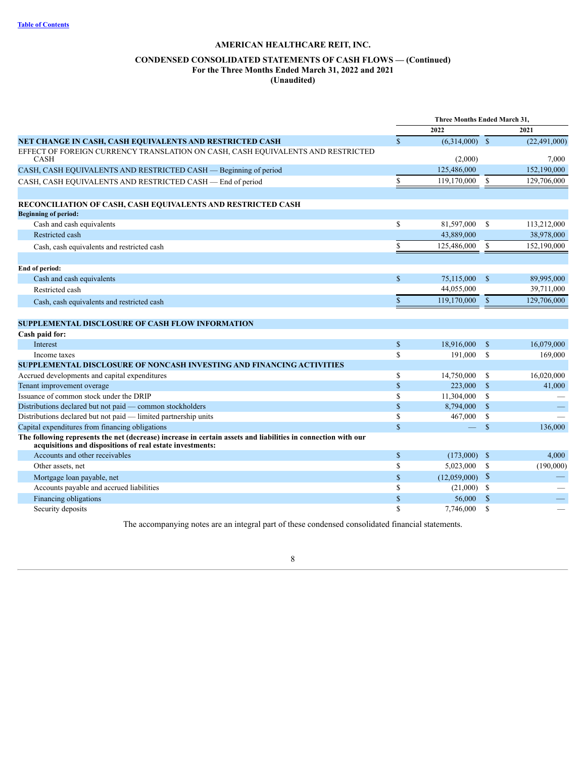## **CONDENSED CONSOLIDATED STATEMENTS OF CASH FLOWS — (Continued)**

**For the Three Months Ended March 31, 2022 and 2021**

**(Unaudited)**

|                                                                                                               |                    | <b>Three Months Ended March 31,</b> |               |                |
|---------------------------------------------------------------------------------------------------------------|--------------------|-------------------------------------|---------------|----------------|
|                                                                                                               |                    | 2022                                |               | 2021           |
| <b>NET CHANGE IN CASH, CASH EQUIVALENTS AND RESTRICTED CASH</b>                                               | $\mathbf{\hat{s}}$ | $(6,314,000)$ \$                    |               | (22, 491, 000) |
| EFFECT OF FOREIGN CURRENCY TRANSLATION ON CASH, CASH EQUIVALENTS AND RESTRICTED<br><b>CASH</b>                |                    | (2,000)                             |               | 7,000          |
| CASH, CASH EQUIVALENTS AND RESTRICTED CASH — Beginning of period                                              |                    | 125,486,000                         |               | 152,190,000    |
| CASH, CASH EQUIVALENTS AND RESTRICTED CASH - End of period                                                    | $\mathbb{S}$       | 119,170,000                         | $\mathbf S$   | 129,706,000    |
|                                                                                                               |                    |                                     |               |                |
| RECONCILIATION OF CASH, CASH EOUIVALENTS AND RESTRICTED CASH                                                  |                    |                                     |               |                |
| <b>Beginning of period:</b>                                                                                   |                    |                                     |               |                |
| Cash and cash equivalents                                                                                     | \$                 | 81,597,000                          | - \$          | 113,212,000    |
| Restricted cash                                                                                               |                    | 43,889,000                          |               | 38,978,000     |
| Cash, cash equivalents and restricted cash                                                                    | \$                 | 125,486,000                         | <sup>\$</sup> | 152,190,000    |
|                                                                                                               |                    |                                     |               |                |
| End of period:                                                                                                |                    |                                     |               |                |
| Cash and cash equivalents                                                                                     | $\mathbf S$        | 75,115,000                          | $\mathbb{S}$  | 89,995,000     |
| Restricted cash                                                                                               |                    | 44,055,000                          |               | 39,711,000     |
| Cash, cash equivalents and restricted cash                                                                    | $\mathbf S$        | 119,170,000                         | $\mathbb{S}$  | 129,706,000    |
| SUPPLEMENTAL DISCLOSURE OF CASH FLOW INFORMATION                                                              |                    |                                     |               |                |
| Cash paid for:                                                                                                |                    |                                     |               |                |
| Interest                                                                                                      | $\mathsf{\$}$      | 18,916,000                          | $^{\circ}$    | 16,079,000     |
|                                                                                                               | \$                 | 191,000                             | - \$          | 169,000        |
| Income taxes<br>SUPPLEMENTAL DISCLOSURE OF NONCASH INVESTING AND FINANCING ACTIVITIES                         |                    |                                     |               |                |
| Accrued developments and capital expenditures                                                                 | \$                 | 14,750,000                          | - \$          | 16,020,000     |
| Tenant improvement overage                                                                                    | $\mathbf S$        | 223,000                             | $^{\circ}$ \$ | 41,000         |
| Issuance of common stock under the DRIP                                                                       | \$                 | 11,304,000                          | -S            |                |
| Distributions declared but not paid — common stockholders                                                     | $\mathcal{S}$      | 8,794,000                           | $^{\circ}$    |                |
| Distributions declared but not paid — limited partnership units                                               | \$                 | 467,000                             | <sup>\$</sup> |                |
| Capital expenditures from financing obligations                                                               | $\mathbf S$        |                                     | $\mathsf{\$}$ | 136,000        |
| The following represents the net (decrease) increase in certain assets and liabilities in connection with our |                    |                                     |               |                |
| acquisitions and dispositions of real estate investments:                                                     |                    |                                     |               |                |
| Accounts and other receivables                                                                                | $\mathsf{\$}$      | $(173,000)$ \$                      |               | 4,000          |
| Other assets, net                                                                                             | \$                 | 5,023,000                           | - \$          | (190,000)      |
| Mortgage loan payable, net                                                                                    | $\mathbb{S}$       | $(12,059,000)$ \$                   |               |                |
| Accounts payable and accrued liabilities                                                                      | \$                 | $(21,000)$ \$                       |               |                |
| Financing obligations                                                                                         | $\mathcal{S}$      | 56,000                              | - \$          |                |
| Security deposits                                                                                             | <sup>\$</sup>      | 7,746,000                           | <sup>\$</sup> |                |

<span id="page-8-0"></span>The accompanying notes are an integral part of these condensed consolidated financial statements.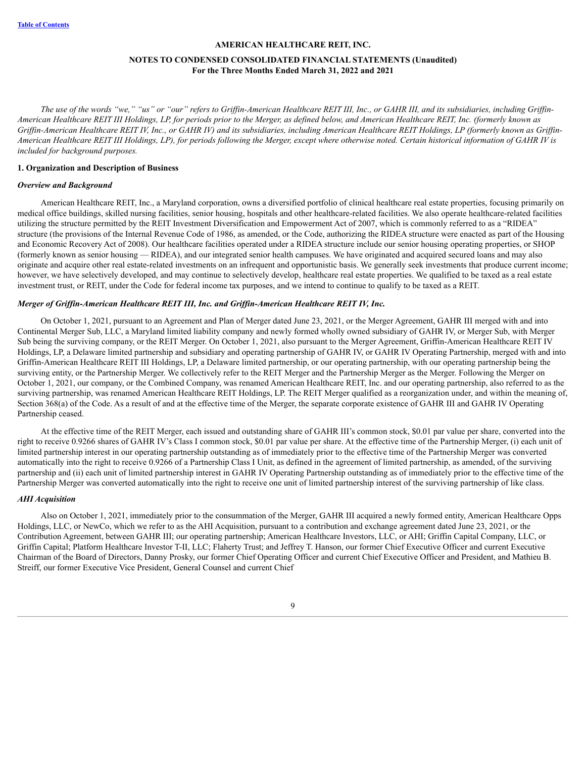## **AMERICAN HEALTHCARE REIT, INC. NOTES TO CONDENSED CONSOLIDATED FINANCIAL STATEMENTS (Unaudited)**

**For the Three Months Ended March 31, 2022 and 2021**

The use of the words "we," "us" or "our" refers to Griffin-American Healthcare REIT III, Inc., or GAHR III, and its subsidiaries, including Griffin-American Healthcare REIT III Holdings, LP, for periods prior to the Merger, as defined below, and American Healthcare REIT, Inc. (formerly known as Griffin-American Healthcare REIT IV, Inc., or GAHR IV) and its subsidiaries, including American Healthcare REIT Holdings, LP (formerly known as Griffin-American Healthcare REIT III Holdings, LP), for periods following the Merger, except where otherwise noted. Certain historical information of GAHR IV is *included for background purposes.*

#### **1. Organization and Description of Business**

#### *Overview and Background*

American Healthcare REIT, Inc., a Maryland corporation, owns a diversified portfolio of clinical healthcare real estate properties, focusing primarily on medical office buildings, skilled nursing facilities, senior housing, hospitals and other healthcare-related facilities. We also operate healthcare-related facilities utilizing the structure permitted by the REIT Investment Diversification and Empowerment Act of 2007, which is commonly referred to as a "RIDEA" structure (the provisions of the Internal Revenue Code of 1986, as amended, or the Code, authorizing the RIDEA structure were enacted as part of the Housing and Economic Recovery Act of 2008). Our healthcare facilities operated under a RIDEA structure include our senior housing operating properties, or SHOP (formerly known as senior housing — RIDEA), and our integrated senior health campuses. We have originated and acquired secured loans and may also originate and acquire other real estate-related investments on an infrequent and opportunistic basis. We generally seek investments that produce current income; however, we have selectively developed, and may continue to selectively develop, healthcare real estate properties. We qualified to be taxed as a real estate investment trust, or REIT, under the Code for federal income tax purposes, and we intend to continue to qualify to be taxed as a REIT.

#### *Merger of Grif in-American Healthcare REIT III, Inc. and Grif in-American Healthcare REIT IV, Inc.*

On October 1, 2021, pursuant to an Agreement and Plan of Merger dated June 23, 2021, or the Merger Agreement, GAHR III merged with and into Continental Merger Sub, LLC, a Maryland limited liability company and newly formed wholly owned subsidiary of GAHR IV, or Merger Sub, with Merger Sub being the surviving company, or the REIT Merger. On October 1, 2021, also pursuant to the Merger Agreement, Griffin-American Healthcare REIT IV Holdings, LP, a Delaware limited partnership and subsidiary and operating partnership of GAHR IV, or GAHR IV Operating Partnership, merged with and into Griffin-American Healthcare REIT III Holdings, LP, a Delaware limited partnership, or our operating partnership, with our operating partnership being the surviving entity, or the Partnership Merger. We collectively refer to the REIT Merger and the Partnership Merger as the Merger. Following the Merger on October 1, 2021, our company, or the Combined Company, was renamed American Healthcare REIT, Inc. and our operating partnership, also referred to as the surviving partnership, was renamed American Healthcare REIT Holdings, LP. The REIT Merger qualified as a reorganization under, and within the meaning of, Section 368(a) of the Code. As a result of and at the effective time of the Merger, the separate corporate existence of GAHR III and GAHR IV Operating Partnership ceased.

At the effective time of the REIT Merger, each issued and outstanding share of GAHR III's common stock, \$0.01 par value per share, converted into the right to receive 0.9266 shares of GAHR IV's Class I common stock, \$0.01 par value per share. At the effective time of the Partnership Merger, (i) each unit of limited partnership interest in our operating partnership outstanding as of immediately prior to the effective time of the Partnership Merger was converted automatically into the right to receive 0.9266 of a Partnership Class I Unit, as defined in the agreement of limited partnership, as amended, of the surviving partnership and (ii) each unit of limited partnership interest in GAHR IV Operating Partnership outstanding as of immediately prior to the effective time of the Partnership Merger was converted automatically into the right to receive one unit of limited partnership interest of the surviving partnership of like class.

#### *AHI Acquisition*

Also on October 1, 2021, immediately prior to the consummation of the Merger, GAHR III acquired a newly formed entity, American Healthcare Opps Holdings, LLC, or NewCo, which we refer to as the AHI Acquisition, pursuant to a contribution and exchange agreement dated June 23, 2021, or the Contribution Agreement, between GAHR III; our operating partnership; American Healthcare Investors, LLC, or AHI; Griffin Capital Company, LLC, or Griffin Capital; Platform Healthcare Investor T-II, LLC; Flaherty Trust; and Jeffrey T. Hanson, our former Chief Executive Officer and current Executive Chairman of the Board of Directors, Danny Prosky, our former Chief Operating Officer and current Chief Executive Officer and President, and Mathieu B. Streiff, our former Executive Vice President, General Counsel and current Chief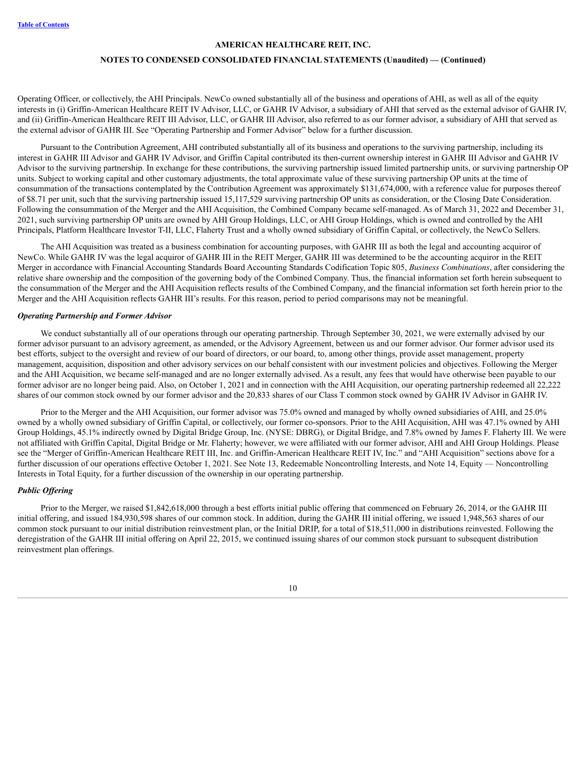#### **NOTES TO CONDENSED CONSOLIDATED FINANCIAL STATEMENTS (Unaudited) — (Continued)**

Operating Officer, or collectively, the AHI Principals. NewCo owned substantially all of the business and operations of AHI, as well as all of the equity interests in (i) Griffin-American Healthcare REIT IV Advisor, LLC, or GAHR IV Advisor, a subsidiary of AHI that served as the external advisor of GAHR IV, and (ii) Griffin-American Healthcare REIT III Advisor, LLC, or GAHR III Advisor, also referred to as our former advisor, a subsidiary of AHI that served as the external advisor of GAHR III. See "Operating Partnership and Former Advisor" below for a further discussion.

Pursuant to the Contribution Agreement, AHI contributed substantially all of its business and operations to the surviving partnership, including its interest in GAHR III Advisor and GAHR IV Advisor, and Griffin Capital contributed its then-current ownership interest in GAHR III Advisor and GAHR IV Advisor to the surviving partnership. In exchange for these contributions, the surviving partnership issued limited partnership units, or surviving partnership OP units. Subject to working capital and other customary adjustments, the total approximate value of these surviving partnership OP units at the time of consummation of the transactions contemplated by the Contribution Agreement was approximately \$131,674,000, with a reference value for purposes thereof of \$8.71 per unit, such that the surviving partnership issued 15,117,529 surviving partnership OP units as consideration, or the Closing Date Consideration. Following the consummation of the Merger and the AHI Acquisition, the Combined Company became self-managed. As of March 31, 2022 and December 31, 2021, such surviving partnership OP units are owned by AHI Group Holdings, LLC, or AHI Group Holdings, which is owned and controlled by the AHI Principals, Platform Healthcare Investor T-II, LLC, Flaherty Trust and a wholly owned subsidiary of Griffin Capital, or collectively, the NewCo Sellers.

The AHI Acquisition was treated as a business combination for accounting purposes, with GAHR III as both the legal and accounting acquiror of NewCo. While GAHR IV was the legal acquiror of GAHR III in the REIT Merger, GAHR III was determined to be the accounting acquiror in the REIT Merger in accordance with Financial Accounting Standards Board Accounting Standards Codification Topic 805, *Business Combinations*, after considering the relative share ownership and the composition of the governing body of the Combined Company. Thus, the financial information set forth herein subsequent to the consummation of the Merger and the AHI Acquisition reflects results of the Combined Company, and the financial information set forth herein prior to the Merger and the AHI Acquisition reflects GAHR III's results. For this reason, period to period comparisons may not be meaningful.

#### *Operating Partnership and Former Advisor*

We conduct substantially all of our operations through our operating partnership. Through September 30, 2021, we were externally advised by our former advisor pursuant to an advisory agreement, as amended, or the Advisory Agreement, between us and our former advisor. Our former advisor used its best efforts, subject to the oversight and review of our board of directors, or our board, to, among other things, provide asset management, property management, acquisition, disposition and other advisory services on our behalf consistent with our investment policies and objectives. Following the Merger and the AHI Acquisition, we became self-managed and are no longer externally advised. As a result, any fees that would have otherwise been payable to our former advisor are no longer being paid. Also, on October 1, 2021 and in connection with the AHI Acquisition, our operating partnership redeemed all 22,222 shares of our common stock owned by our former advisor and the 20,833 shares of our Class T common stock owned by GAHR IV Advisor in GAHR IV.

Prior to the Merger and the AHI Acquisition, our former advisor was 75.0% owned and managed by wholly owned subsidiaries of AHI, and 25.0% owned by a wholly owned subsidiary of Griffin Capital, or collectively, our former co-sponsors. Prior to the AHI Acquisition, AHI was 47.1% owned by AHI Group Holdings, 45.1% indirectly owned by Digital Bridge Group, Inc. (NYSE: DBRG), or Digital Bridge, and 7.8% owned by James F. Flaherty III. We were not affiliated with Griffin Capital, Digital Bridge or Mr. Flaherty; however, we were affiliated with our former advisor, AHI and AHI Group Holdings. Please see the "Merger of Griffin-American Healthcare REIT III, Inc. and Griffin-American Healthcare REIT IV, Inc." and "AHI Acquisition" sections above for a further discussion of our operations effective October 1, 2021. See Note 13, Redeemable Noncontrolling Interests, and Note 14, Equity — Noncontrolling Interests in Total Equity, for a further discussion of the ownership in our operating partnership.

#### *Public Of ering*

Prior to the Merger, we raised \$1,842,618,000 through a best efforts initial public offering that commenced on February 26, 2014, or the GAHR III initial offering, and issued 184,930,598 shares of our common stock. In addition, during the GAHR III initial offering, we issued 1,948,563 shares of our common stock pursuant to our initial distribution reinvestment plan, or the Initial DRIP, for a total of \$18,511,000 in distributions reinvested. Following the deregistration of the GAHR III initial offering on April 22, 2015, we continued issuing shares of our common stock pursuant to subsequent distribution reinvestment plan offerings.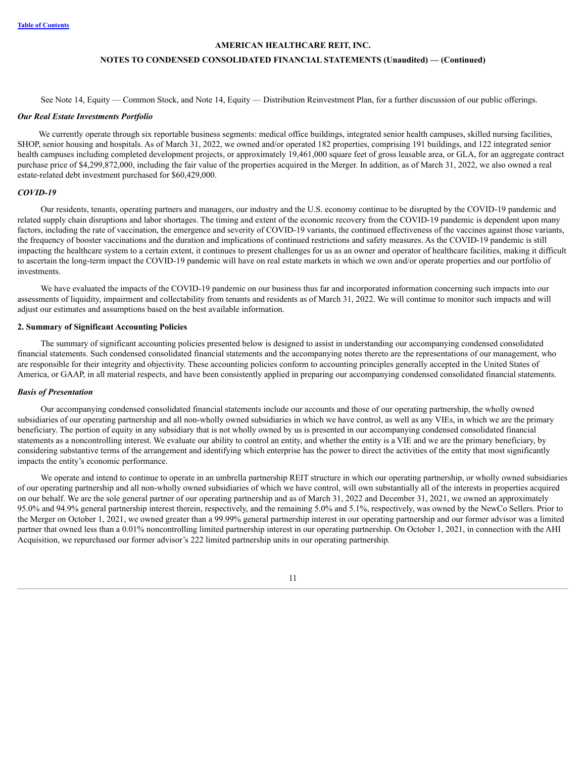#### **NOTES TO CONDENSED CONSOLIDATED FINANCIAL STATEMENTS (Unaudited) — (Continued)**

See Note 14, Equity — Common Stock, and Note 14, Equity — Distribution Reinvestment Plan, for a further discussion of our public offerings.

#### *Our Real Estate Investments Portfolio*

We currently operate through six reportable business segments: medical office buildings, integrated senior health campuses, skilled nursing facilities, SHOP, senior housing and hospitals. As of March 31, 2022, we owned and/or operated 182 properties, comprising 191 buildings, and 122 integrated senior health campuses including completed development projects, or approximately 19,461,000 square feet of gross leasable area, or GLA, for an aggregate contract purchase price of \$4,299,872,000, including the fair value of the properties acquired in the Merger. In addition, as of March 31, 2022, we also owned a real estate-related debt investment purchased for \$60,429,000.

#### *COVID-19*

Our residents, tenants, operating partners and managers, our industry and the U.S. economy continue to be disrupted by the COVID-19 pandemic and related supply chain disruptions and labor shortages. The timing and extent of the economic recovery from the COVID-19 pandemic is dependent upon many factors, including the rate of vaccination, the emergence and severity of COVID-19 variants, the continued effectiveness of the vaccines against those variants, the frequency of booster vaccinations and the duration and implications of continued restrictions and safety measures. As the COVID-19 pandemic is still impacting the healthcare system to a certain extent, it continues to present challenges for us as an owner and operator of healthcare facilities, making it difficult to ascertain the long-term impact the COVID-19 pandemic will have on real estate markets in which we own and/or operate properties and our portfolio of investments.

We have evaluated the impacts of the COVID-19 pandemic on our business thus far and incorporated information concerning such impacts into our assessments of liquidity, impairment and collectability from tenants and residents as of March 31, 2022. We will continue to monitor such impacts and will adjust our estimates and assumptions based on the best available information.

#### **2. Summary of Significant Accounting Policies**

The summary of significant accounting policies presented below is designed to assist in understanding our accompanying condensed consolidated financial statements. Such condensed consolidated financial statements and the accompanying notes thereto are the representations of our management, who are responsible for their integrity and objectivity. These accounting policies conform to accounting principles generally accepted in the United States of America, or GAAP, in all material respects, and have been consistently applied in preparing our accompanying condensed consolidated financial statements.

#### *Basis of Presentation*

Our accompanying condensed consolidated financial statements include our accounts and those of our operating partnership, the wholly owned subsidiaries of our operating partnership and all non-wholly owned subsidiaries in which we have control, as well as any VIEs, in which we are the primary beneficiary. The portion of equity in any subsidiary that is not wholly owned by us is presented in our accompanying condensed consolidated financial statements as a noncontrolling interest. We evaluate our ability to control an entity, and whether the entity is a VIE and we are the primary beneficiary, by considering substantive terms of the arrangement and identifying which enterprise has the power to direct the activities of the entity that most significantly impacts the entity's economic performance.

We operate and intend to continue to operate in an umbrella partnership REIT structure in which our operating partnership, or wholly owned subsidiaries of our operating partnership and all non-wholly owned subsidiaries of which we have control, will own substantially all of the interests in properties acquired on our behalf. We are the sole general partner of our operating partnership and as of March 31, 2022 and December 31, 2021, we owned an approximately 95.0% and 94.9% general partnership interest therein, respectively, and the remaining 5.0% and 5.1%, respectively, was owned by the NewCo Sellers. Prior to the Merger on October 1, 2021, we owned greater than a 99.99% general partnership interest in our operating partnership and our former advisor was a limited partner that owned less than a 0.01% noncontrolling limited partnership interest in our operating partnership. On October 1, 2021, in connection with the AHI Acquisition, we repurchased our former advisor's 222 limited partnership units in our operating partnership.

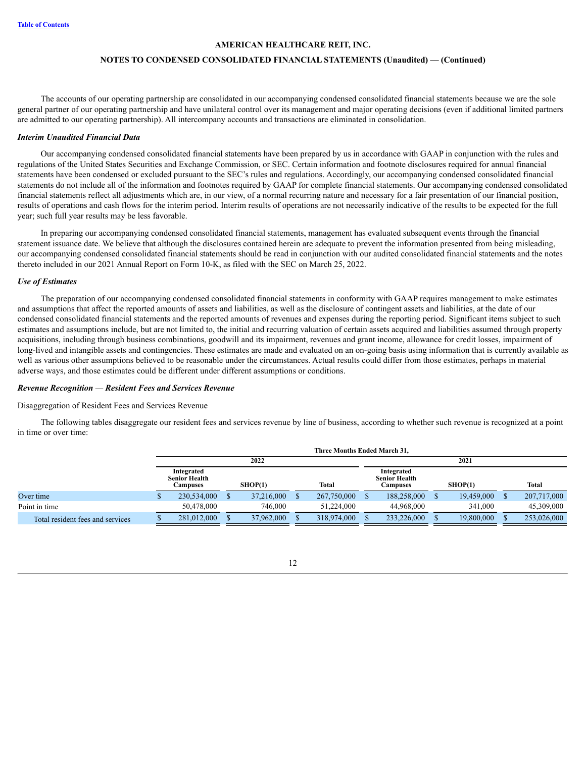#### **NOTES TO CONDENSED CONSOLIDATED FINANCIAL STATEMENTS (Unaudited) — (Continued)**

The accounts of our operating partnership are consolidated in our accompanying condensed consolidated financial statements because we are the sole general partner of our operating partnership and have unilateral control over its management and major operating decisions (even if additional limited partners are admitted to our operating partnership). All intercompany accounts and transactions are eliminated in consolidation.

#### *Interim Unaudited Financial Data*

Our accompanying condensed consolidated financial statements have been prepared by us in accordance with GAAP in conjunction with the rules and regulations of the United States Securities and Exchange Commission, or SEC. Certain information and footnote disclosures required for annual financial statements have been condensed or excluded pursuant to the SEC's rules and regulations. Accordingly, our accompanying condensed consolidated financial statements do not include all of the information and footnotes required by GAAP for complete financial statements. Our accompanying condensed consolidated financial statements reflect all adjustments which are, in our view, of a normal recurring nature and necessary for a fair presentation of our financial position, results of operations and cash flows for the interim period. Interim results of operations are not necessarily indicative of the results to be expected for the full year; such full year results may be less favorable.

In preparing our accompanying condensed consolidated financial statements, management has evaluated subsequent events through the financial statement issuance date. We believe that although the disclosures contained herein are adequate to prevent the information presented from being misleading, our accompanying condensed consolidated financial statements should be read in conjunction with our audited consolidated financial statements and the notes thereto included in our 2021 Annual Report on Form 10-K, as filed with the SEC on March 25, 2022.

#### *Use of Estimates*

The preparation of our accompanying condensed consolidated financial statements in conformity with GAAP requires management to make estimates and assumptions that affect the reported amounts of assets and liabilities, as well as the disclosure of contingent assets and liabilities, at the date of our condensed consolidated financial statements and the reported amounts of revenues and expenses during the reporting period. Significant items subject to such estimates and assumptions include, but are not limited to, the initial and recurring valuation of certain assets acquired and liabilities assumed through property acquisitions, including through business combinations, goodwill and its impairment, revenues and grant income, allowance for credit losses, impairment of long-lived and intangible assets and contingencies. These estimates are made and evaluated on an on-going basis using information that is currently available as well as various other assumptions believed to be reasonable under the circumstances. Actual results could differ from those estimates, perhaps in material adverse ways, and those estimates could be different under different assumptions or conditions.

#### *Revenue Recognition* **—** *Resident Fees and Services Revenue*

#### Disaggregation of Resident Fees and Services Revenue

The following tables disaggregate our resident fees and services revenue by line of business, according to whether such revenue is recognized at a point in time or over time:

|                                  |                                                |            | Three Months Ended March 31. |                                                       |            |             |
|----------------------------------|------------------------------------------------|------------|------------------------------|-------------------------------------------------------|------------|-------------|
|                                  |                                                | 2022       |                              |                                                       | 2021       |             |
|                                  | Integrated<br><b>Senior Health</b><br>Campuses | SHOP(1)    | Total                        | Integrated<br><b>Senior Health</b><br><b>Campuses</b> | SHOP(1)    | Total       |
| Over time                        | 230,534,000                                    | 37,216,000 | 267,750,000                  | 188,258,000                                           | 19,459,000 | 207,717,000 |
| Point in time                    | 50,478,000                                     | 746,000    | 51.224.000                   | 44.968.000                                            | 341,000    | 45,309,000  |
| Total resident fees and services | 281,012,000                                    | 37.962,000 | 318,974,000                  | 233,226,000                                           | 19,800,000 | 253,026,000 |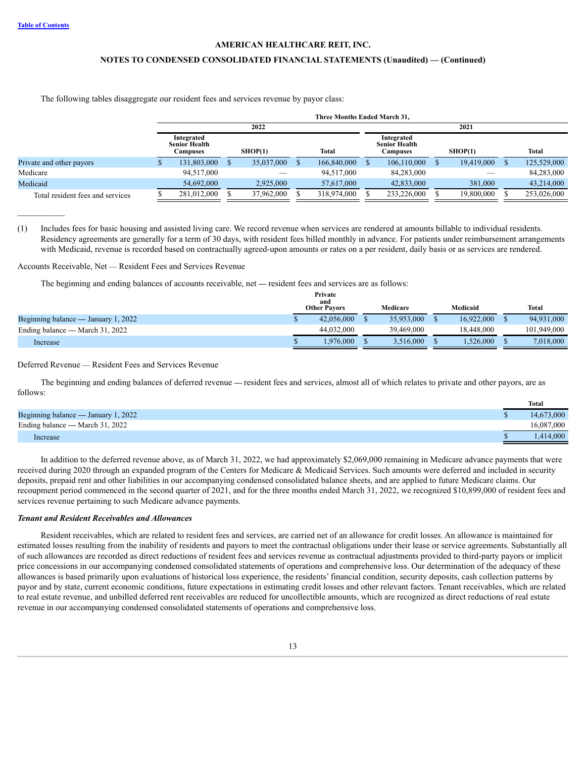#### **NOTES TO CONDENSED CONSOLIDATED FINANCIAL STATEMENTS (Unaudited) — (Continued)**

|                                  |                                                |            | <b>Three Months Ended March 31.</b> |                                                |            |              |
|----------------------------------|------------------------------------------------|------------|-------------------------------------|------------------------------------------------|------------|--------------|
|                                  |                                                | 2022       |                                     |                                                | 2021       |              |
|                                  | Integrated<br><b>Senior Health</b><br>Campuses | SHOP(1)    | Total                               | Integrated<br><b>Senior Health</b><br>Campuses | SHOP(1)    | <b>Total</b> |
| Private and other payors         | 131,803,000                                    | 35,037,000 | 166,840,000                         | 106,110,000                                    | 19,419,000 | 125,529,000  |
| Medicare                         | 94,517,000                                     |            | 94,517,000                          | 84,283,000                                     |            | 84,283,000   |
| Medicaid                         | 54.692,000                                     | 2.925,000  | 57,617,000                          | 42,833,000                                     | 381,000    | 43.214.000   |
| Total resident fees and services | 281,012,000                                    | 37,962,000 | 318,974,000                         | 233,226,000                                    | 19,800,000 | 253,026,000  |

The following tables disaggregate our resident fees and services revenue by payor class:

(1) Includes fees for basic housing and assisted living care. We record revenue when services are rendered at amounts billable to individual residents. Residency agreements are generally for a term of 30 days, with resident fees billed monthly in advance. For patients under reimbursement arrangements with Medicaid, revenue is recorded based on contractually agreed-upon amounts or rates on a per resident, daily basis or as services are rendered.

Accounts Receivable, Net — Resident Fees and Services Revenue

The beginning and ending balances of accounts receivable, net **—** resident fees and services are as follows:

|                                     | Private<br>and<br><b>Other Pavors</b> | Medicare   | Medicaid   | <b>Total</b> |
|-------------------------------------|---------------------------------------|------------|------------|--------------|
| Beginning balance — January 1, 2022 | 42,056,000                            | 35,953,000 | 16.922,000 | 94,931,000   |
| Ending balance — March 31, 2022     | 44.032.000                            | 39.469.000 | 18.448.000 | 101.949.000  |
| Increase                            | 1.976.000                             | 3.516.000  | 1.526.000  | 7,018,000    |

#### Deferred Revenue — Resident Fees and Services Revenue

The beginning and ending balances of deferred revenue **—** resident fees and services, almost all of which relates to private and other payors, are as follows:

|                                     | Total      |
|-------------------------------------|------------|
| Beginning balance — January 1, 2022 | 14.673.000 |
| Ending balance — March 31, 2022     | 16,087,000 |
| Increase                            | .414.000   |

In addition to the deferred revenue above, as of March 31, 2022, we had approximately \$2,069,000 remaining in Medicare advance payments that were received during 2020 through an expanded program of the Centers for Medicare & Medicaid Services. Such amounts were deferred and included in security deposits, prepaid rent and other liabilities in our accompanying condensed consolidated balance sheets, and are applied to future Medicare claims. Our recoupment period commenced in the second quarter of 2021, and for the three months ended March 31, 2022, we recognized \$10,899,000 of resident fees and services revenue pertaining to such Medicare advance payments.

#### *Tenant and Resident Receivables and Allowances*

Resident receivables, which are related to resident fees and services, are carried net of an allowance for credit losses. An allowance is maintained for estimated losses resulting from the inability of residents and payors to meet the contractual obligations under their lease or service agreements. Substantially all of such allowances are recorded as direct reductions of resident fees and services revenue as contractual adjustments provided to third-party payors or implicit price concessions in our accompanying condensed consolidated statements of operations and comprehensive loss. Our determination of the adequacy of these allowances is based primarily upon evaluations of historical loss experience, the residents' financial condition, security deposits, cash collection patterns by payor and by state, current economic conditions, future expectations in estimating credit losses and other relevant factors. Tenant receivables, which are related to real estate revenue, and unbilled deferred rent receivables are reduced for uncollectible amounts, which are recognized as direct reductions of real estate revenue in our accompanying condensed consolidated statements of operations and comprehensive loss.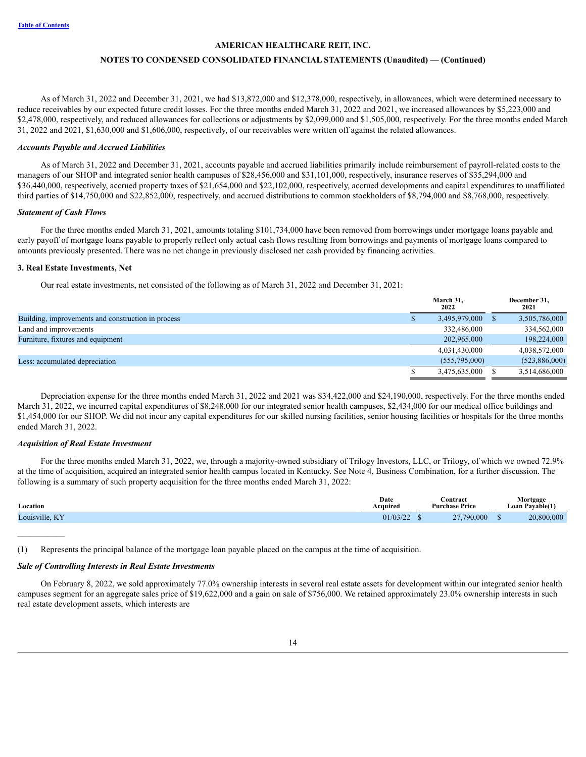#### **NOTES TO CONDENSED CONSOLIDATED FINANCIAL STATEMENTS (Unaudited) — (Continued)**

As of March 31, 2022 and December 31, 2021, we had \$13,872,000 and \$12,378,000, respectively, in allowances, which were determined necessary to reduce receivables by our expected future credit losses. For the three months ended March 31, 2022 and 2021, we increased allowances by \$5,223,000 and \$2,478,000, respectively, and reduced allowances for collections or adjustments by \$2,099,000 and \$1,505,000, respectively. For the three months ended March 31, 2022 and 2021, \$1,630,000 and \$1,606,000, respectively, of our receivables were written off against the related allowances.

#### *Accounts Payable and Accrued Liabilities*

As of March 31, 2022 and December 31, 2021, accounts payable and accrued liabilities primarily include reimbursement of payroll-related costs to the managers of our SHOP and integrated senior health campuses of \$28,456,000 and \$31,101,000, respectively, insurance reserves of \$35,294,000 and \$36,440,000, respectively, accrued property taxes of \$21,654,000 and \$22,102,000, respectively, accrued developments and capital expenditures to unaffiliated third parties of \$14,750,000 and \$22,852,000, respectively, and accrued distributions to common stockholders of \$8,794,000 and \$8,768,000, respectively.

#### *Statement of Cash Flows*

For the three months ended March 31, 2021, amounts totaling \$101,734,000 have been removed from borrowings under mortgage loans payable and early payoff of mortgage loans payable to properly reflect only actual cash flows resulting from borrowings and payments of mortgage loans compared to amounts previously presented. There was no net change in previously disclosed net cash provided by financing activities.

#### **3. Real Estate Investments, Net**

Our real estate investments, net consisted of the following as of March 31, 2022 and December 31, 2021:

|                                                    | March 31,<br>2022 | December 31,<br>2021 |
|----------------------------------------------------|-------------------|----------------------|
| Building, improvements and construction in process | 3,495,979,000     | 3,505,786,000        |
| Land and improvements                              | 332,486,000       | 334,562,000          |
| Furniture, fixtures and equipment                  | 202,965,000       | 198,224,000          |
|                                                    | 4.031.430.000     | 4,038,572,000        |
| Less: accumulated depreciation                     | (555,795,000)     | (523,886,000)        |
|                                                    | 3,475,635,000     | 3,514,686,000        |
|                                                    |                   |                      |

Depreciation expense for the three months ended March 31, 2022 and 2021 was \$34,422,000 and \$24,190,000, respectively. For the three months ended March 31, 2022, we incurred capital expenditures of \$8,248,000 for our integrated senior health campuses, \$2,434,000 for our medical office buildings and \$1,454,000 for our SHOP. We did not incur any capital expenditures for our skilled nursing facilities, senior housing facilities or hospitals for the three months ended March 31, 2022.

#### *Acquisition of Real Estate Investment*

For the three months ended March 31, 2022, we, through a majority-owned subsidiary of Trilogy Investors, LLC, or Trilogy, of which we owned 72.9% at the time of acquisition, acquired an integrated senior health campus located in Kentucky. See Note 4, Business Combination, for a further discussion. The following is a summary of such property acquisition for the three months ended March 31, 2022:

| Location                     | Date<br>Acauired | Contract_<br>Price<br>Purchase | Mortgage<br>Loan Pavable(1<br>. |
|------------------------------|------------------|--------------------------------|---------------------------------|
| Louisville.<br>T/T<br>. IN I | 01/03/22         | 27,790,000                     | 20.800,000                      |

(1) Represents the principal balance of the mortgage loan payable placed on the campus at the time of acquisition.

#### *Sale of Controlling Interests in Real Estate Investments*

On February 8, 2022, we sold approximately 77.0% ownership interests in several real estate assets for development within our integrated senior health campuses segment for an aggregate sales price of \$19,622,000 and a gain on sale of \$756,000. We retained approximately 23.0% ownership interests in such real estate development assets, which interests are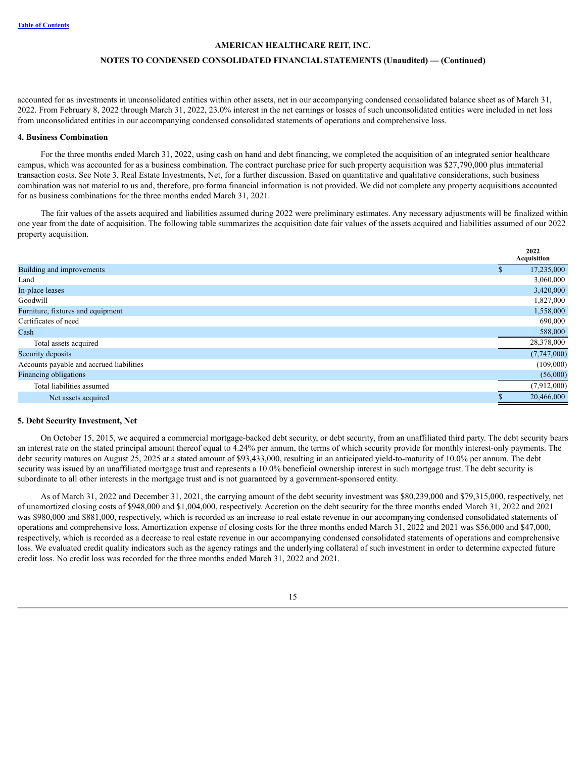#### **NOTES TO CONDENSED CONSOLIDATED FINANCIAL STATEMENTS (Unaudited) — (Continued)**

accounted for as investments in unconsolidated entities within other assets, net in our accompanying condensed consolidated balance sheet as of March 31, 2022. From February 8, 2022 through March 31, 2022, 23.0% interest in the net earnings or losses of such unconsolidated entities were included in net loss from unconsolidated entities in our accompanying condensed consolidated statements of operations and comprehensive loss.

#### **4. Business Combination**

For the three months ended March 31, 2022, using cash on hand and debt financing, we completed the acquisition of an integrated senior healthcare campus, which was accounted for as a business combination. The contract purchase price for such property acquisition was \$27,790,000 plus immaterial transaction costs. See Note 3, Real Estate Investments, Net, for a further discussion. Based on quantitative and qualitative considerations, such business combination was not material to us and, therefore, pro forma financial information is not provided. We did not complete any property acquisitions accounted for as business combinations for the three months ended March 31, 2021.

The fair values of the assets acquired and liabilities assumed during 2022 were preliminary estimates. Any necessary adjustments will be finalized within one year from the date of acquisition. The following table summarizes the acquisition date fair values of the assets acquired and liabilities assumed of our 2022 property acquisition.

**2022**

| 17,235,000<br>D.<br>3,060,000<br>Land<br>3,420,000<br>1,827,000<br>1,558,000<br>690,000<br>588,000<br>28,378,000<br>Total assets acquired<br>(7,747,000)<br>Accounts payable and accrued liabilities<br>(109,000)<br>(56,000)<br>(7,912,000)<br>Total liabilities assumed<br>20,466,000<br>Net assets acquired |                                   | 2022<br>Acquisition |
|----------------------------------------------------------------------------------------------------------------------------------------------------------------------------------------------------------------------------------------------------------------------------------------------------------------|-----------------------------------|---------------------|
|                                                                                                                                                                                                                                                                                                                | Building and improvements         |                     |
|                                                                                                                                                                                                                                                                                                                |                                   |                     |
|                                                                                                                                                                                                                                                                                                                | In-place leases                   |                     |
|                                                                                                                                                                                                                                                                                                                | Goodwill                          |                     |
|                                                                                                                                                                                                                                                                                                                | Furniture, fixtures and equipment |                     |
|                                                                                                                                                                                                                                                                                                                | Certificates of need              |                     |
|                                                                                                                                                                                                                                                                                                                | Cash                              |                     |
|                                                                                                                                                                                                                                                                                                                |                                   |                     |
|                                                                                                                                                                                                                                                                                                                | Security deposits                 |                     |
|                                                                                                                                                                                                                                                                                                                |                                   |                     |
|                                                                                                                                                                                                                                                                                                                | Financing obligations             |                     |
|                                                                                                                                                                                                                                                                                                                |                                   |                     |
|                                                                                                                                                                                                                                                                                                                |                                   |                     |

#### **5. Debt Security Investment, Net**

On October 15, 2015, we acquired a commercial mortgage-backed debt security, or debt security, from an unaffiliated third party. The debt security bears an interest rate on the stated principal amount thereof equal to 4.24% per annum, the terms of which security provide for monthly interest-only payments. The debt security matures on August 25, 2025 at a stated amount of \$93,433,000, resulting in an anticipated yield-to-maturity of 10.0% per annum. The debt security was issued by an unaffiliated mortgage trust and represents a 10.0% beneficial ownership interest in such mortgage trust. The debt security is subordinate to all other interests in the mortgage trust and is not guaranteed by a government-sponsored entity.

As of March 31, 2022 and December 31, 2021, the carrying amount of the debt security investment was \$80,239,000 and \$79,315,000, respectively, net of unamortized closing costs of \$948,000 and \$1,004,000, respectively. Accretion on the debt security for the three months ended March 31, 2022 and 2021 was \$980,000 and \$881,000, respectively, which is recorded as an increase to real estate revenue in our accompanying condensed consolidated statements of operations and comprehensive loss. Amortization expense of closing costs for the three months ended March 31, 2022 and 2021 was \$56,000 and \$47,000, respectively, which is recorded as a decrease to real estate revenue in our accompanying condensed consolidated statements of operations and comprehensive loss. We evaluated credit quality indicators such as the agency ratings and the underlying collateral of such investment in order to determine expected future credit loss. No credit loss was recorded for the three months ended March 31, 2022 and 2021.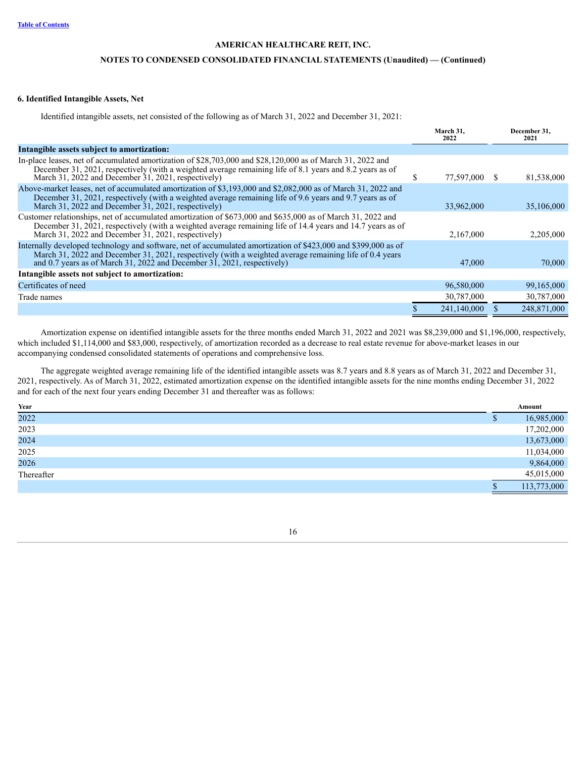## **NOTES TO CONDENSED CONSOLIDATED FINANCIAL STATEMENTS (Unaudited) — (Continued)**

#### **6. Identified Intangible Assets, Net**

Identified intangible assets, net consisted of the following as of March 31, 2022 and December 31, 2021:

|                                                                                                                                                                                                                                                                                                      |    | March 31,<br>2022 |    | December 31,<br>2021 |
|------------------------------------------------------------------------------------------------------------------------------------------------------------------------------------------------------------------------------------------------------------------------------------------------------|----|-------------------|----|----------------------|
| Intangible assets subject to amortization:                                                                                                                                                                                                                                                           |    |                   |    |                      |
| In-place leases, net of accumulated amortization of \$28,703,000 and \$28,120,000 as of March 31, 2022 and<br>December 31, 2021, respectively (with a weighted average remaining life of 8.1 years and 8.2 years as of<br>March 31, 2022 and December 31, 2021, respectively)                        | D. | 77,597,000        | N. | 81,538,000           |
| Above-market leases, net of accumulated amortization of \$3,193,000 and \$2,082,000 as of March 31, 2022 and<br>December 31, 2021, respectively (with a weighted average remaining life of 9.6 years and 9.7 years as of<br>March 31, 2022 and December 31, 2021, respectively                       |    | 33,962,000        |    | 35,106,000           |
| Customer relationships, net of accumulated amortization of \$673,000 and \$635,000 as of March 31, 2022 and<br>December 31, 2021, respectively (with a weighted average remaining life of 14.4 years and 14.7 years as of<br>March 31, 2022 and December 31, 2021, respectively)                     |    | 2,167,000         |    | 2,205,000            |
| Internally developed technology and software, net of accumulated amortization of \$423,000 and \$399,000 as of<br>March 31, 2022 and December 31, 2021, respectively (with a weighted average remaining life of 0.4 years<br>and 0.7 years as of March 31, 2022 and December 31, 2021, respectively) |    | 47,000            |    | 70,000               |
| Intangible assets not subject to amortization:                                                                                                                                                                                                                                                       |    |                   |    |                      |
| Certificates of need                                                                                                                                                                                                                                                                                 |    | 96,580,000        |    | 99,165,000           |
| Trade names                                                                                                                                                                                                                                                                                          |    | 30,787,000        |    | 30,787,000           |
|                                                                                                                                                                                                                                                                                                      |    | 241,140,000       |    | 248,871,000          |

Amortization expense on identified intangible assets for the three months ended March 31, 2022 and 2021 was \$8,239,000 and \$1,196,000, respectively, which included \$1,114,000 and \$83,000, respectively, of amortization recorded as a decrease to real estate revenue for above-market leases in our accompanying condensed consolidated statements of operations and comprehensive loss.

The aggregate weighted average remaining life of the identified intangible assets was 8.7 years and 8.8 years as of March 31, 2022 and December 31, 2021, respectively. As of March 31, 2022, estimated amortization expense on the identified intangible assets for the nine months ending December 31, 2022 and for each of the next four years ending December 31 and thereafter was as follows:

| Year       | Amount      |
|------------|-------------|
| 2022       | 16,985,000  |
| 2023       | 17,202,000  |
| 2024       | 13,673,000  |
| 2025       | 11,034,000  |
| 2026       | 9,864,000   |
| Thereafter | 45,015,000  |
|            | 113,773,000 |

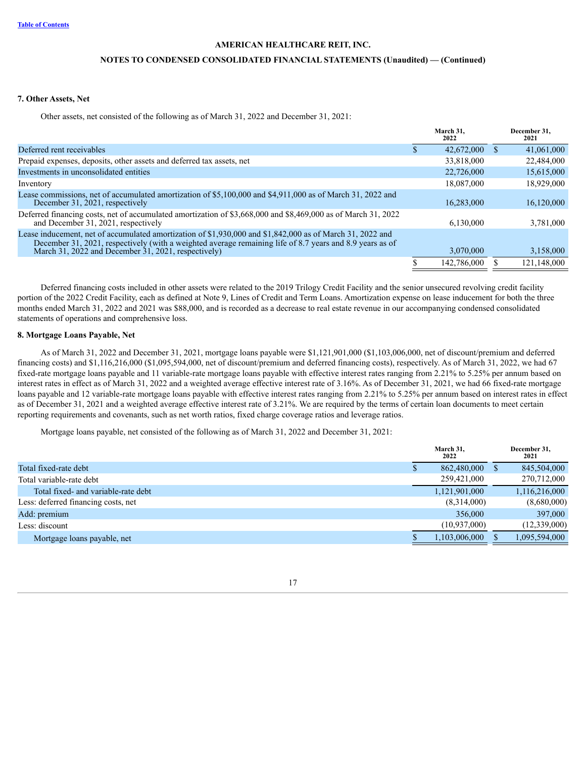## **NOTES TO CONDENSED CONSOLIDATED FINANCIAL STATEMENTS (Unaudited) — (Continued)**

#### **7. Other Assets, Net**

Other assets, net consisted of the following as of March 31, 2022 and December 31, 2021:

|                                                                                                                                                                                                                                                                              | March 31,<br>2022 | December 31.<br>2021 |
|------------------------------------------------------------------------------------------------------------------------------------------------------------------------------------------------------------------------------------------------------------------------------|-------------------|----------------------|
| Deferred rent receivables                                                                                                                                                                                                                                                    | 42,672,000        | 41,061,000           |
| Prepaid expenses, deposits, other assets and deferred tax assets, net                                                                                                                                                                                                        | 33,818,000        | 22,484,000           |
| Investments in unconsolidated entities                                                                                                                                                                                                                                       | 22,726,000        | 15,615,000           |
| Inventory                                                                                                                                                                                                                                                                    | 18,087,000        | 18,929,000           |
| Lease commissions, net of accumulated amortization of \$5,100,000 and \$4,911,000 as of March 31, 2022 and<br>December 31, 2021, respectively                                                                                                                                | 16,283,000        | 16,120,000           |
| Deferred financing costs, net of accumulated amortization of \$3,668,000 and \$8,469,000 as of March 31, 2022<br>and December 31, 2021, respectively                                                                                                                         | 6.130.000         | 3,781,000            |
| Lease inducement, net of accumulated amortization of \$1,930,000 and \$1,842,000 as of March 31, 2022 and<br>December 31, 2021, respectively (with a weighted average remaining life of 8.7 years and 8.9 years as of<br>March 31, 2022 and December 31, 2021, respectively) | 3,070,000         | 3,158,000            |
|                                                                                                                                                                                                                                                                              | 142,786,000       | 121,148,000          |
|                                                                                                                                                                                                                                                                              |                   |                      |

Deferred financing costs included in other assets were related to the 2019 Trilogy Credit Facility and the senior unsecured revolving credit facility portion of the 2022 Credit Facility, each as defined at Note 9, Lines of Credit and Term Loans. Amortization expense on lease inducement for both the three months ended March 31, 2022 and 2021 was \$88,000, and is recorded as a decrease to real estate revenue in our accompanying condensed consolidated statements of operations and comprehensive loss.

#### **8. Mortgage Loans Payable, Net**

As of March 31, 2022 and December 31, 2021, mortgage loans payable were \$1,121,901,000 (\$1,103,006,000, net of discount/premium and deferred financing costs) and \$1,116,216,000 (\$1,095,594,000, net of discount/premium and deferred financing costs), respectively. As of March 31, 2022, we had 67 fixed-rate mortgage loans payable and 11 variable-rate mortgage loans payable with effective interest rates ranging from 2.21% to 5.25% per annum based on interest rates in effect as of March 31, 2022 and a weighted average effective interest rate of 3.16%. As of December 31, 2021, we had 66 fixed-rate mortgage loans payable and 12 variable-rate mortgage loans payable with effective interest rates ranging from 2.21% to 5.25% per annum based on interest rates in effect as of December 31, 2021 and a weighted average effective interest rate of 3.21%. We are required by the terms of certain loan documents to meet certain reporting requirements and covenants, such as net worth ratios, fixed charge coverage ratios and leverage ratios.

Mortgage loans payable, net consisted of the following as of March 31, 2022 and December 31, 2021:

|                                     |   | March 31,<br>2022 | December 31,<br>2021 |
|-------------------------------------|---|-------------------|----------------------|
| Total fixed-rate debt               | D | 862,480,000       | 845,504,000          |
| Total variable-rate debt            |   | 259,421,000       | 270,712,000          |
| Total fixed- and variable-rate debt |   | 1,121,901,000     | 1,116,216,000        |
| Less: deferred financing costs, net |   | (8,314,000)       | (8,680,000)          |
| Add: premium                        |   | 356,000           | 397,000              |
| Less: discount                      |   | (10.937,000)      | (12,339,000)         |
| Mortgage loans payable, net         |   | 1,103,006,000     | 1,095,594,000        |
|                                     |   |                   |                      |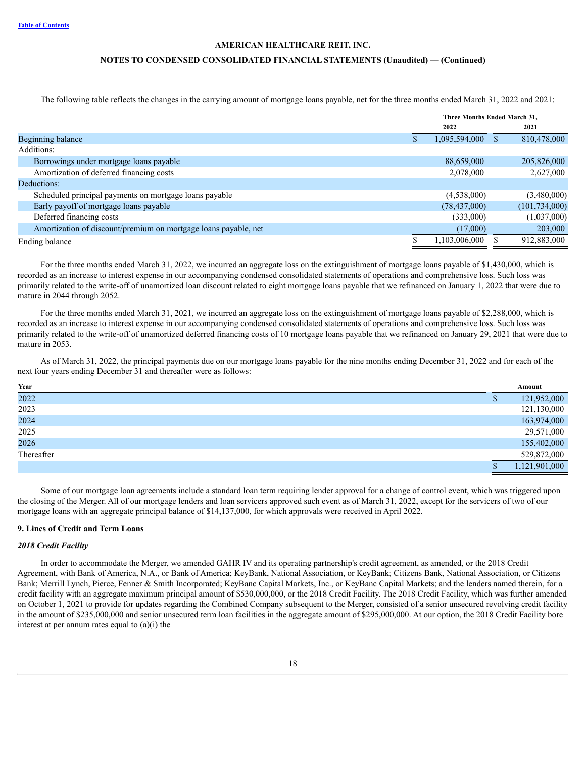#### **NOTES TO CONDENSED CONSOLIDATED FINANCIAL STATEMENTS (Unaudited) — (Continued)**

The following table reflects the changes in the carrying amount of mortgage loans payable, net for the three months ended March 31, 2022 and 2021:

|                                                                 | Three Months Ended March 31. |                 |
|-----------------------------------------------------------------|------------------------------|-----------------|
|                                                                 | 2022                         | 2021            |
| Beginning balance                                               | 1,095,594,000                | 810,478,000     |
| Additions:                                                      |                              |                 |
| Borrowings under mortgage loans payable                         | 88,659,000                   | 205,826,000     |
| Amortization of deferred financing costs                        | 2,078,000                    | 2,627,000       |
| Deductions:                                                     |                              |                 |
| Scheduled principal payments on mortgage loans payable          | (4,538,000)                  | (3,480,000)     |
| Early payoff of mortgage loans payable                          | (78, 437, 000)               | (101, 734, 000) |
| Deferred financing costs                                        | (333,000)                    | (1,037,000)     |
| Amortization of discount/premium on mortgage loans payable, net | (17,000)                     | 203,000         |
| Ending balance                                                  | 1,103,006,000                | 912,883,000     |

For the three months ended March 31, 2022, we incurred an aggregate loss on the extinguishment of mortgage loans payable of \$1,430,000, which is recorded as an increase to interest expense in our accompanying condensed consolidated statements of operations and comprehensive loss. Such loss was primarily related to the write-off of unamortized loan discount related to eight mortgage loans payable that we refinanced on January 1, 2022 that were due to mature in 2044 through 2052.

For the three months ended March 31, 2021, we incurred an aggregate loss on the extinguishment of mortgage loans payable of \$2,288,000, which is recorded as an increase to interest expense in our accompanying condensed consolidated statements of operations and comprehensive loss. Such loss was primarily related to the write-off of unamortized deferred financing costs of 10 mortgage loans payable that we refinanced on January 29, 2021 that were due to mature in 2053.

As of March 31, 2022, the principal payments due on our mortgage loans payable for the nine months ending December 31, 2022 and for each of the next four years ending December 31 and thereafter were as follows:

| Year       | Amount        |
|------------|---------------|
| 2022       | 121,952,000   |
| 2023       | 121,130,000   |
| 2024       | 163,974,000   |
| 2025       | 29,571,000    |
| 2026       | 155,402,000   |
| Thereafter | 529,872,000   |
|            | 1,121,901,000 |

Some of our mortgage loan agreements include a standard loan term requiring lender approval for a change of control event, which was triggered upon the closing of the Merger. All of our mortgage lenders and loan servicers approved such event as of March 31, 2022, except for the servicers of two of our mortgage loans with an aggregate principal balance of \$14,137,000, for which approvals were received in April 2022.

#### **9. Lines of Credit and Term Loans**

#### *2018 Credit Facility*

In order to accommodate the Merger, we amended GAHR IV and its operating partnership's credit agreement, as amended, or the 2018 Credit Agreement, with Bank of America, N.A., or Bank of America; KeyBank, National Association, or KeyBank; Citizens Bank, National Association, or Citizens Bank; Merrill Lynch, Pierce, Fenner & Smith Incorporated; KeyBanc Capital Markets, Inc., or KeyBanc Capital Markets; and the lenders named therein, for a credit facility with an aggregate maximum principal amount of \$530,000,000, or the 2018 Credit Facility. The 2018 Credit Facility, which was further amended on October 1, 2021 to provide for updates regarding the Combined Company subsequent to the Merger, consisted of a senior unsecured revolving credit facility in the amount of \$235,000,000 and senior unsecured term loan facilities in the aggregate amount of \$295,000,000. At our option, the 2018 Credit Facility bore interest at per annum rates equal to (a)(i) the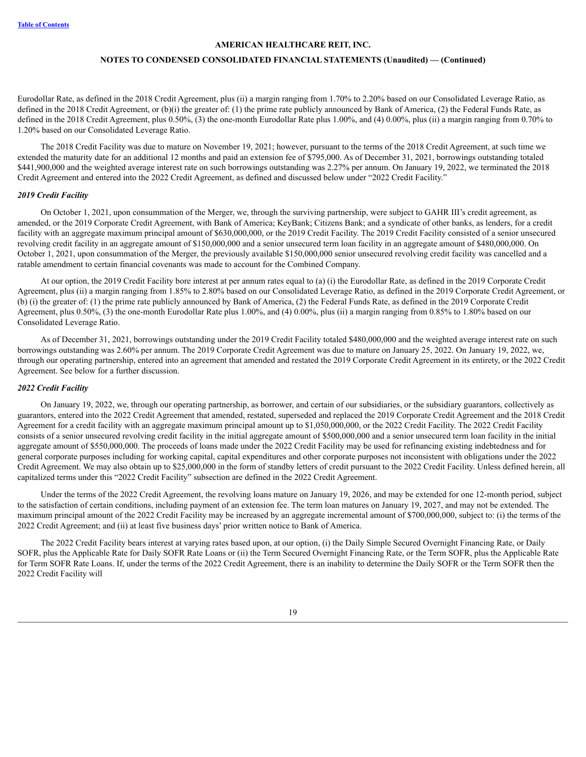#### **NOTES TO CONDENSED CONSOLIDATED FINANCIAL STATEMENTS (Unaudited) — (Continued)**

Eurodollar Rate, as defined in the 2018 Credit Agreement, plus (ii) a margin ranging from 1.70% to 2.20% based on our Consolidated Leverage Ratio, as defined in the 2018 Credit Agreement, or (b)(i) the greater of: (1) the prime rate publicly announced by Bank of America, (2) the Federal Funds Rate, as defined in the 2018 Credit Agreement, plus 0.50%, (3) the one-month Eurodollar Rate plus 1.00%, and (4) 0.00%, plus (ii) a margin ranging from 0.70% to 1.20% based on our Consolidated Leverage Ratio.

The 2018 Credit Facility was due to mature on November 19, 2021; however, pursuant to the terms of the 2018 Credit Agreement, at such time we extended the maturity date for an additional 12 months and paid an extension fee of \$795,000. As of December 31, 2021, borrowings outstanding totaled \$441,900,000 and the weighted average interest rate on such borrowings outstanding was 2.27% per annum. On January 19, 2022, we terminated the 2018 Credit Agreement and entered into the 2022 Credit Agreement, as defined and discussed below under "2022 Credit Facility."

#### *2019 Credit Facility*

On October 1, 2021, upon consummation of the Merger, we, through the surviving partnership, were subject to GAHR III's credit agreement, as amended, or the 2019 Corporate Credit Agreement, with Bank of America; KeyBank; Citizens Bank; and a syndicate of other banks, as lenders, for a credit facility with an aggregate maximum principal amount of \$630,000,000, or the 2019 Credit Facility. The 2019 Credit Facility consisted of a senior unsecured revolving credit facility in an aggregate amount of \$150,000,000 and a senior unsecured term loan facility in an aggregate amount of \$480,000,000. On October 1, 2021, upon consummation of the Merger, the previously available \$150,000,000 senior unsecured revolving credit facility was cancelled and a ratable amendment to certain financial covenants was made to account for the Combined Company.

At our option, the 2019 Credit Facility bore interest at per annum rates equal to (a) (i) the Eurodollar Rate, as defined in the 2019 Corporate Credit Agreement, plus (ii) a margin ranging from 1.85% to 2.80% based on our Consolidated Leverage Ratio, as defined in the 2019 Corporate Credit Agreement, or (b) (i) the greater of: (1) the prime rate publicly announced by Bank of America, (2) the Federal Funds Rate, as defined in the 2019 Corporate Credit Agreement, plus 0.50%, (3) the one-month Eurodollar Rate plus 1.00%, and (4) 0.00%, plus (ii) a margin ranging from 0.85% to 1.80% based on our Consolidated Leverage Ratio.

As of December 31, 2021, borrowings outstanding under the 2019 Credit Facility totaled \$480,000,000 and the weighted average interest rate on such borrowings outstanding was 2.60% per annum. The 2019 Corporate Credit Agreement was due to mature on January 25, 2022. On January 19, 2022, we, through our operating partnership, entered into an agreement that amended and restated the 2019 Corporate Credit Agreement in its entirety, or the 2022 Credit Agreement. See below for a further discussion.

#### *2022 Credit Facility*

On January 19, 2022, we, through our operating partnership, as borrower, and certain of our subsidiaries, or the subsidiary guarantors, collectively as guarantors, entered into the 2022 Credit Agreement that amended, restated, superseded and replaced the 2019 Corporate Credit Agreement and the 2018 Credit Agreement for a credit facility with an aggregate maximum principal amount up to \$1,050,000,000, or the 2022 Credit Facility. The 2022 Credit Facility consists of a senior unsecured revolving credit facility in the initial aggregate amount of \$500,000,000 and a senior unsecured term loan facility in the initial aggregate amount of \$550,000,000. The proceeds of loans made under the 2022 Credit Facility may be used for refinancing existing indebtedness and for general corporate purposes including for working capital, capital expenditures and other corporate purposes not inconsistent with obligations under the 2022 Credit Agreement. We may also obtain up to \$25,000,000 in the form of standby letters of credit pursuant to the 2022 Credit Facility. Unless defined herein, all capitalized terms under this "2022 Credit Facility" subsection are defined in the 2022 Credit Agreement.

Under the terms of the 2022 Credit Agreement, the revolving loans mature on January 19, 2026, and may be extended for one 12-month period, subject to the satisfaction of certain conditions, including payment of an extension fee. The term loan matures on January 19, 2027, and may not be extended. The maximum principal amount of the 2022 Credit Facility may be increased by an aggregate incremental amount of \$700,000,000, subject to: (i) the terms of the 2022 Credit Agreement; and (ii) at least five business days' prior written notice to Bank of America.

The 2022 Credit Facility bears interest at varying rates based upon, at our option, (i) the Daily Simple Secured Overnight Financing Rate, or Daily SOFR, plus the Applicable Rate for Daily SOFR Rate Loans or (ii) the Term Secured Overnight Financing Rate, or the Term SOFR, plus the Applicable Rate for Term SOFR Rate Loans. If, under the terms of the 2022 Credit Agreement, there is an inability to determine the Daily SOFR or the Term SOFR then the 2022 Credit Facility will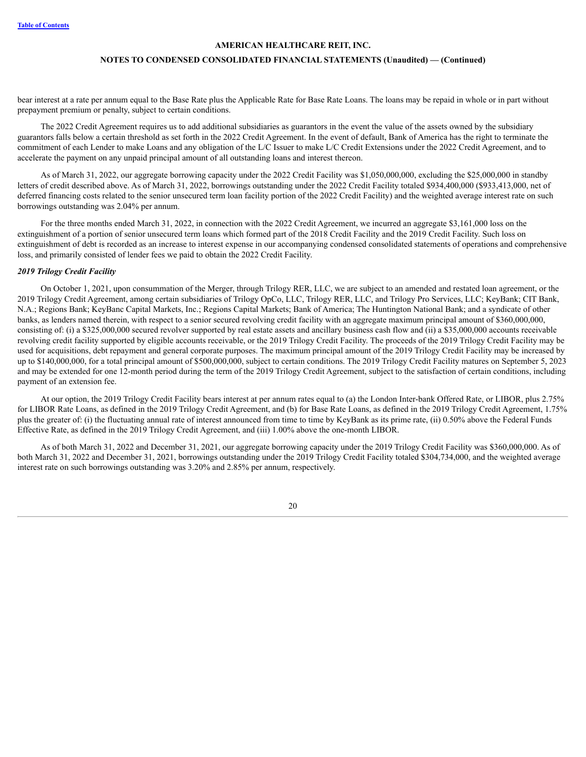#### **NOTES TO CONDENSED CONSOLIDATED FINANCIAL STATEMENTS (Unaudited) — (Continued)**

bear interest at a rate per annum equal to the Base Rate plus the Applicable Rate for Base Rate Loans. The loans may be repaid in whole or in part without prepayment premium or penalty, subject to certain conditions.

The 2022 Credit Agreement requires us to add additional subsidiaries as guarantors in the event the value of the assets owned by the subsidiary guarantors falls below a certain threshold as set forth in the 2022 Credit Agreement. In the event of default, Bank of America has the right to terminate the commitment of each Lender to make Loans and any obligation of the L/C Issuer to make L/C Credit Extensions under the 2022 Credit Agreement, and to accelerate the payment on any unpaid principal amount of all outstanding loans and interest thereon.

As of March 31, 2022, our aggregate borrowing capacity under the 2022 Credit Facility was \$1,050,000,000, excluding the \$25,000,000 in standby letters of credit described above. As of March 31, 2022, borrowings outstanding under the 2022 Credit Facility totaled \$934,400,000 (\$933,413,000, net of deferred financing costs related to the senior unsecured term loan facility portion of the 2022 Credit Facility) and the weighted average interest rate on such borrowings outstanding was 2.04% per annum.

For the three months ended March 31, 2022, in connection with the 2022 Credit Agreement, we incurred an aggregate \$3,161,000 loss on the extinguishment of a portion of senior unsecured term loans which formed part of the 2018 Credit Facility and the 2019 Credit Facility. Such loss on extinguishment of debt is recorded as an increase to interest expense in our accompanying condensed consolidated statements of operations and comprehensive loss, and primarily consisted of lender fees we paid to obtain the 2022 Credit Facility.

#### *2019 Trilogy Credit Facility*

On October 1, 2021, upon consummation of the Merger, through Trilogy RER, LLC, we are subject to an amended and restated loan agreement, or the 2019 Trilogy Credit Agreement, among certain subsidiaries of Trilogy OpCo, LLC, Trilogy RER, LLC, and Trilogy Pro Services, LLC; KeyBank; CIT Bank, N.A.; Regions Bank; KeyBanc Capital Markets, Inc.; Regions Capital Markets; Bank of America; The Huntington National Bank; and a syndicate of other banks, as lenders named therein, with respect to a senior secured revolving credit facility with an aggregate maximum principal amount of \$360,000,000, consisting of: (i) a \$325,000,000 secured revolver supported by real estate assets and ancillary business cash flow and (ii) a \$35,000,000 accounts receivable revolving credit facility supported by eligible accounts receivable, or the 2019 Trilogy Credit Facility. The proceeds of the 2019 Trilogy Credit Facility may be used for acquisitions, debt repayment and general corporate purposes. The maximum principal amount of the 2019 Trilogy Credit Facility may be increased by up to \$140,000,000, for a total principal amount of \$500,000,000, subject to certain conditions. The 2019 Trilogy Credit Facility matures on September 5, 2023 and may be extended for one 12-month period during the term of the 2019 Trilogy Credit Agreement, subject to the satisfaction of certain conditions, including payment of an extension fee.

At our option, the 2019 Trilogy Credit Facility bears interest at per annum rates equal to (a) the London Inter-bank Offered Rate, or LIBOR, plus 2.75% for LIBOR Rate Loans, as defined in the 2019 Trilogy Credit Agreement, and (b) for Base Rate Loans, as defined in the 2019 Trilogy Credit Agreement, 1.75% plus the greater of: (i) the fluctuating annual rate of interest announced from time to time by KeyBank as its prime rate, (ii) 0.50% above the Federal Funds Effective Rate, as defined in the 2019 Trilogy Credit Agreement, and (iii) 1.00% above the one-month LIBOR.

As of both March 31, 2022 and December 31, 2021, our aggregate borrowing capacity under the 2019 Trilogy Credit Facility was \$360,000,000. As of both March 31, 2022 and December 31, 2021, borrowings outstanding under the 2019 Trilogy Credit Facility totaled \$304,734,000, and the weighted average interest rate on such borrowings outstanding was 3.20% and 2.85% per annum, respectively.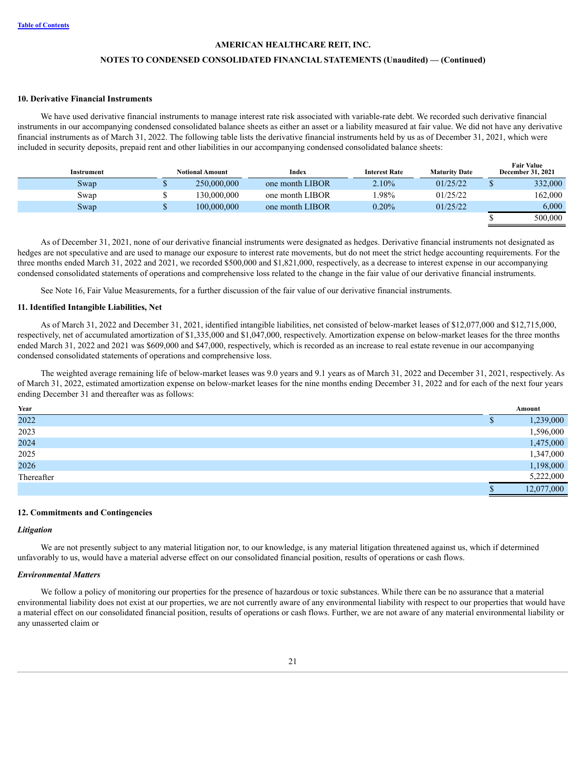#### **NOTES TO CONDENSED CONSOLIDATED FINANCIAL STATEMENTS (Unaudited) — (Continued)**

#### **10. Derivative Financial Instruments**

We have used derivative financial instruments to manage interest rate risk associated with variable-rate debt. We recorded such derivative financial instruments in our accompanying condensed consolidated balance sheets as either an asset or a liability measured at fair value. We did not have any derivative financial instruments as of March 31, 2022. The following table lists the derivative financial instruments held by us as of December 31, 2021, which were included in security deposits, prepaid rent and other liabilities in our accompanying condensed consolidated balance sheets:

| Instrument | Notional Amount | Index           | <b>Interest Rate</b> | <b>Maturity Date</b> | <b>Fair Value</b><br><b>December 31, 2021</b> |
|------------|-----------------|-----------------|----------------------|----------------------|-----------------------------------------------|
| Swap       | 250,000,000     | one month LIBOR | 2.10%                | 01/25/22             | 332,000                                       |
| Swap       | 130.000.000     | one month LIBOR | $.98\%$              | 01/25/22             | 162,000                                       |
| Swap       | 100.000.000     | one month LIBOR | 0.20%                | 01/25/22             | 6.000                                         |
|            |                 |                 |                      |                      | 500.000                                       |

As of December 31, 2021, none of our derivative financial instruments were designated as hedges. Derivative financial instruments not designated as hedges are not speculative and are used to manage our exposure to interest rate movements, but do not meet the strict hedge accounting requirements. For the three months ended March 31, 2022 and 2021, we recorded \$500,000 and \$1,821,000, respectively, as a decrease to interest expense in our accompanying condensed consolidated statements of operations and comprehensive loss related to the change in the fair value of our derivative financial instruments.

See Note 16, Fair Value Measurements, for a further discussion of the fair value of our derivative financial instruments.

#### **11. Identified Intangible Liabilities, Net**

As of March 31, 2022 and December 31, 2021, identified intangible liabilities, net consisted of below-market leases of \$12,077,000 and \$12,715,000, respectively, net of accumulated amortization of \$1,335,000 and \$1,047,000, respectively. Amortization expense on below-market leases for the three months ended March 31, 2022 and 2021 was \$609,000 and \$47,000, respectively, which is recorded as an increase to real estate revenue in our accompanying condensed consolidated statements of operations and comprehensive loss.

The weighted average remaining life of below-market leases was 9.0 years and 9.1 years as of March 31, 2022 and December 31, 2021, respectively. As of March 31, 2022, estimated amortization expense on below-market leases for the nine months ending December 31, 2022 and for each of the next four years ending December 31 and thereafter was as follows:

| Year       |    | Amount     |
|------------|----|------------|
| 2022       | ΨD | 1,239,000  |
| 2023       |    | 1,596,000  |
| 2024       |    | 1,475,000  |
| 2025       |    | 1,347,000  |
| 2026       |    | 1,198,000  |
| Thereafter |    | 5,222,000  |
|            |    | 12,077,000 |

#### **12. Commitments and Contingencies**

#### *Litigation*

We are not presently subject to any material litigation nor, to our knowledge, is any material litigation threatened against us, which if determined unfavorably to us, would have a material adverse effect on our consolidated financial position, results of operations or cash flows.

#### *Environmental Matters*

We follow a policy of monitoring our properties for the presence of hazardous or toxic substances. While there can be no assurance that a material environmental liability does not exist at our properties, we are not currently aware of any environmental liability with respect to our properties that would have a material effect on our consolidated financial position, results of operations or cash flows. Further, we are not aware of any material environmental liability or any unasserted claim or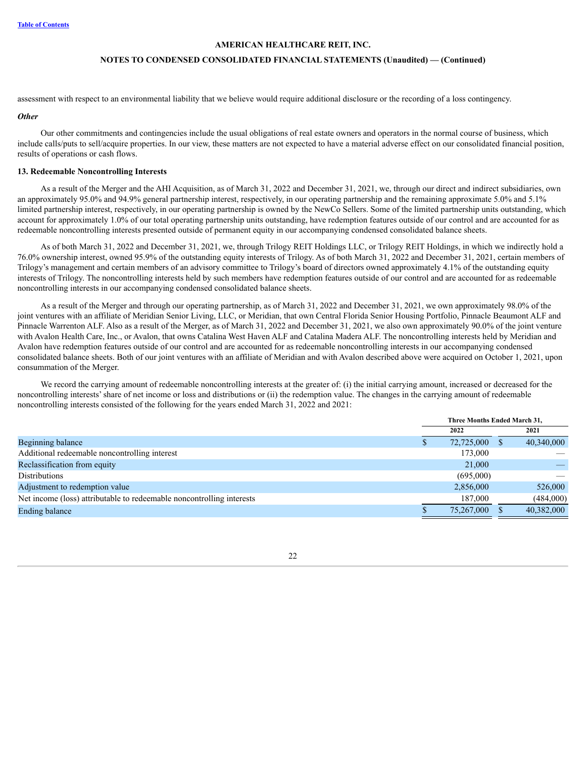#### **NOTES TO CONDENSED CONSOLIDATED FINANCIAL STATEMENTS (Unaudited) — (Continued)**

assessment with respect to an environmental liability that we believe would require additional disclosure or the recording of a loss contingency.

#### *Other*

Our other commitments and contingencies include the usual obligations of real estate owners and operators in the normal course of business, which include calls/puts to sell/acquire properties. In our view, these matters are not expected to have a material adverse effect on our consolidated financial position, results of operations or cash flows.

#### **13. Redeemable Noncontrolling Interests**

As a result of the Merger and the AHI Acquisition, as of March 31, 2022 and December 31, 2021, we, through our direct and indirect subsidiaries, own an approximately 95.0% and 94.9% general partnership interest, respectively, in our operating partnership and the remaining approximate 5.0% and 5.1% limited partnership interest, respectively, in our operating partnership is owned by the NewCo Sellers. Some of the limited partnership units outstanding, which account for approximately 1.0% of our total operating partnership units outstanding, have redemption features outside of our control and are accounted for as redeemable noncontrolling interests presented outside of permanent equity in our accompanying condensed consolidated balance sheets.

As of both March 31, 2022 and December 31, 2021, we, through Trilogy REIT Holdings LLC, or Trilogy REIT Holdings, in which we indirectly hold a 76.0% ownership interest, owned 95.9% of the outstanding equity interests of Trilogy. As of both March 31, 2022 and December 31, 2021, certain members of Trilogy's management and certain members of an advisory committee to Trilogy's board of directors owned approximately 4.1% of the outstanding equity interests of Trilogy. The noncontrolling interests held by such members have redemption features outside of our control and are accounted for as redeemable noncontrolling interests in our accompanying condensed consolidated balance sheets.

As a result of the Merger and through our operating partnership, as of March 31, 2022 and December 31, 2021, we own approximately 98.0% of the joint ventures with an affiliate of Meridian Senior Living, LLC, or Meridian, that own Central Florida Senior Housing Portfolio, Pinnacle Beaumont ALF and Pinnacle Warrenton ALF. Also as a result of the Merger, as of March 31, 2022 and December 31, 2021, we also own approximately 90.0% of the joint venture with Avalon Health Care, Inc., or Avalon, that owns Catalina West Haven ALF and Catalina Madera ALF. The noncontrolling interests held by Meridian and Avalon have redemption features outside of our control and are accounted for as redeemable noncontrolling interests in our accompanying condensed consolidated balance sheets. Both of our joint ventures with an affiliate of Meridian and with Avalon described above were acquired on October 1, 2021, upon consummation of the Merger.

We record the carrying amount of redeemable noncontrolling interests at the greater of: (i) the initial carrying amount, increased or decreased for the noncontrolling interests'share of net income or loss and distributions or (ii) the redemption value. The changes in the carrying amount of redeemable noncontrolling interests consisted of the following for the years ended March 31, 2022 and 2021:

|                                                                       | <b>Three Months Ended March 31.</b> |            |  |            |
|-----------------------------------------------------------------------|-------------------------------------|------------|--|------------|
|                                                                       |                                     | 2022       |  | 2021       |
| Beginning balance                                                     |                                     | 72,725,000 |  | 40,340,000 |
| Additional redeemable noncontrolling interest                         |                                     | 173,000    |  |            |
| Reclassification from equity                                          |                                     | 21,000     |  |            |
| <b>Distributions</b>                                                  |                                     | (695,000)  |  |            |
| Adjustment to redemption value                                        |                                     | 2,856,000  |  | 526,000    |
| Net income (loss) attributable to redeemable noncontrolling interests |                                     | 187,000    |  | (484,000)  |
| <b>Ending balance</b>                                                 |                                     | 75.267.000 |  | 40,382,000 |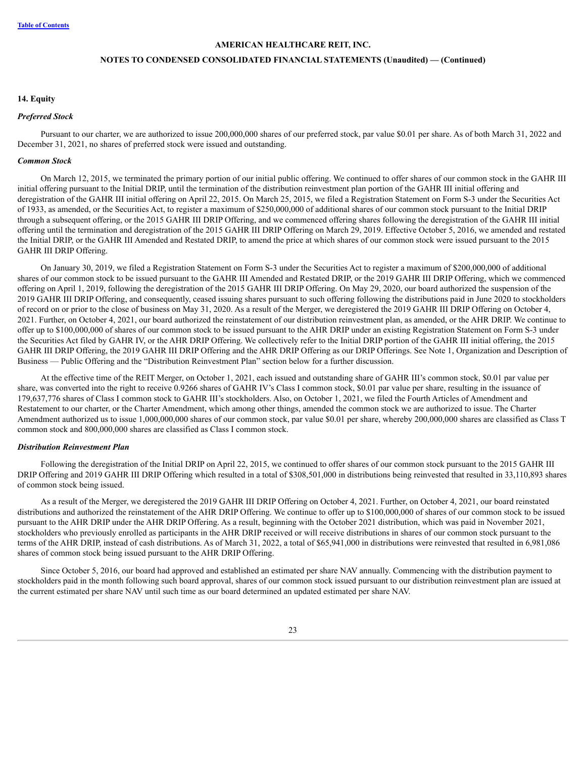#### **NOTES TO CONDENSED CONSOLIDATED FINANCIAL STATEMENTS (Unaudited) — (Continued)**

#### **14. Equity**

## *Preferred Stock*

Pursuant to our charter, we are authorized to issue 200,000,000 shares of our preferred stock, par value \$0.01 per share. As of both March 31, 2022 and December 31, 2021, no shares of preferred stock were issued and outstanding.

#### *Common Stock*

On March 12, 2015, we terminated the primary portion of our initial public offering. We continued to offer shares of our common stock in the GAHR III initial offering pursuant to the Initial DRIP, until the termination of the distribution reinvestment plan portion of the GAHR III initial offering and deregistration of the GAHR III initial offering on April 22, 2015. On March 25, 2015, we filed a Registration Statement on Form S-3 under the Securities Act of 1933, as amended, or the Securities Act, to register a maximum of \$250,000,000 of additional shares of our common stock pursuant to the Initial DRIP through a subsequent offering, or the 2015 GAHR III DRIP Offering, and we commenced offering shares following the deregistration of the GAHR III initial offering until the termination and deregistration of the 2015 GAHR III DRIP Offering on March 29, 2019. Effective October 5, 2016, we amended and restated the Initial DRIP, or the GAHR III Amended and Restated DRIP, to amend the price at which shares of our common stock were issued pursuant to the 2015 GAHR III DRIP Offering.

On January 30, 2019, we filed a Registration Statement on Form S-3 under the Securities Act to register a maximum of \$200,000,000 of additional shares of our common stock to be issued pursuant to the GAHR III Amended and Restated DRIP, or the 2019 GAHR III DRIP Offering, which we commenced offering on April 1, 2019, following the deregistration of the 2015 GAHR III DRIP Offering. On May 29, 2020, our board authorized the suspension of the 2019 GAHR III DRIP Offering, and consequently, ceased issuing shares pursuant to such offering following the distributions paid in June 2020 to stockholders of record on or prior to the close of business on May 31, 2020. As a result of the Merger, we deregistered the 2019 GAHR III DRIP Offering on October 4, 2021. Further, on October 4, 2021, our board authorized the reinstatement of our distribution reinvestment plan, as amended, or the AHR DRIP. We continue to offer up to \$100,000,000 of shares of our common stock to be issued pursuant to the AHR DRIP under an existing Registration Statement on Form S-3 under the Securities Act filed by GAHR IV, or the AHR DRIP Offering. We collectively refer to the Initial DRIP portion of the GAHR III initial offering, the 2015 GAHR III DRIP Offering, the 2019 GAHR III DRIP Offering and the AHR DRIP Offering as our DRIP Offerings. See Note 1, Organization and Description of Business — Public Offering and the "Distribution Reinvestment Plan" section below for a further discussion.

At the effective time of the REIT Merger, on October 1, 2021, each issued and outstanding share of GAHR III's common stock, \$0.01 par value per share, was converted into the right to receive 0.9266 shares of GAHR IV's Class I common stock, \$0.01 par value per share, resulting in the issuance of 179,637,776 shares of Class I common stock to GAHR III's stockholders. Also, on October 1, 2021, we filed the Fourth Articles of Amendment and Restatement to our charter, or the Charter Amendment, which among other things, amended the common stock we are authorized to issue. The Charter Amendment authorized us to issue 1,000,000,000 shares of our common stock, par value \$0.01 per share, whereby 200,000,000 shares are classified as Class T common stock and 800,000,000 shares are classified as Class I common stock.

#### *Distribution Reinvestment Plan*

Following the deregistration of the Initial DRIP on April 22, 2015, we continued to offer shares of our common stock pursuant to the 2015 GAHR III DRIP Offering and 2019 GAHR III DRIP Offering which resulted in a total of \$308,501,000 in distributions being reinvested that resulted in 33,110,893 shares of common stock being issued.

As a result of the Merger, we deregistered the 2019 GAHR III DRIP Offering on October 4, 2021. Further, on October 4, 2021, our board reinstated distributions and authorized the reinstatement of the AHR DRIP Offering. We continue to offer up to \$100,000,000 of shares of our common stock to be issued pursuant to the AHR DRIP under the AHR DRIP Offering. As a result, beginning with the October 2021 distribution, which was paid in November 2021, stockholders who previously enrolled as participants in the AHR DRIP received or will receive distributions in shares of our common stock pursuant to the terms of the AHR DRIP, instead of cash distributions. As of March 31, 2022, a total of \$65,941,000 in distributions were reinvested that resulted in 6,981,086 shares of common stock being issued pursuant to the AHR DRIP Offering.

Since October 5, 2016, our board had approved and established an estimated per share NAV annually. Commencing with the distribution payment to stockholders paid in the month following such board approval, shares of our common stock issued pursuant to our distribution reinvestment plan are issued at the current estimated per share NAV until such time as our board determined an updated estimated per share NAV.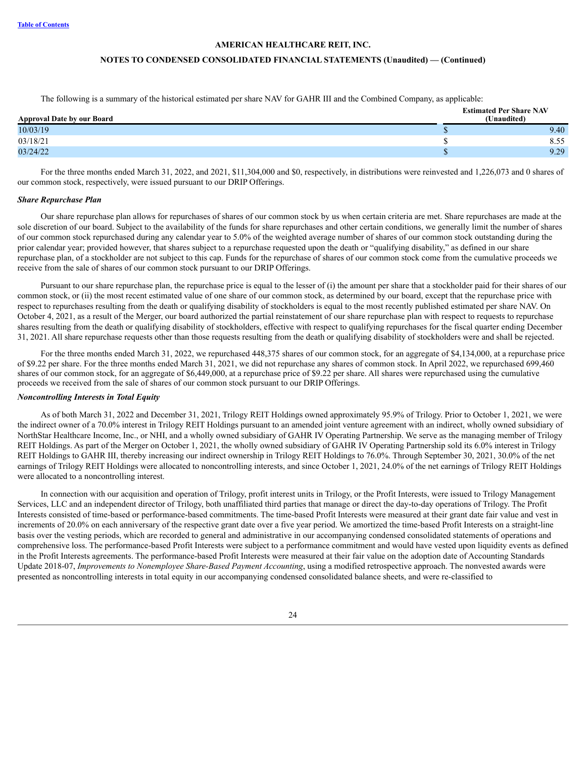#### **NOTES TO CONDENSED CONSOLIDATED FINANCIAL STATEMENTS (Unaudited) — (Continued)**

The following is a summary of the historical estimated per share NAV for GAHR III and the Combined Company, as applicable:

| <b>Estimated Per Share NAV</b><br>(Unaudited) |
|-----------------------------------------------|
| 9.40                                          |
| 3.55                                          |
| 0.20                                          |
|                                               |

For the three months ended March 31, 2022, and 2021, \$11,304,000 and \$0, respectively, in distributions were reinvested and 1,226,073 and 0 shares of our common stock, respectively, were issued pursuant to our DRIP Offerings.

#### *Share Repurchase Plan*

Our share repurchase plan allows for repurchases of shares of our common stock by us when certain criteria are met. Share repurchases are made at the sole discretion of our board. Subject to the availability of the funds for share repurchases and other certain conditions, we generally limit the number of shares of our common stock repurchased during any calendar year to 5.0% of the weighted average number of shares of our common stock outstanding during the prior calendar year; provided however, that shares subject to a repurchase requested upon the death or "qualifying disability," as defined in our share repurchase plan, of a stockholder are not subject to this cap. Funds for the repurchase of shares of our common stock come from the cumulative proceeds we receive from the sale of shares of our common stock pursuant to our DRIP Offerings.

Pursuant to our share repurchase plan, the repurchase price is equal to the lesser of (i) the amount per share that a stockholder paid for their shares of our common stock, or (ii) the most recent estimated value of one share of our common stock, as determined by our board, except that the repurchase price with respect to repurchases resulting from the death or qualifying disability of stockholders is equal to the most recently published estimated per share NAV. On October 4, 2021, as a result of the Merger, our board authorized the partial reinstatement of our share repurchase plan with respect to requests to repurchase shares resulting from the death or qualifying disability of stockholders, effective with respect to qualifying repurchases for the fiscal quarter ending December 31, 2021. All share repurchase requests other than those requests resulting from the death or qualifying disability of stockholders were and shall be rejected.

For the three months ended March 31, 2022, we repurchased 448,375 shares of our common stock, for an aggregate of \$4,134,000, at a repurchase price of \$9.22 per share. For the three months ended March 31, 2021, we did not repurchase any shares of common stock. In April 2022, we repurchased 699,460 shares of our common stock, for an aggregate of \$6,449,000, at a repurchase price of \$9.22 per share. All shares were repurchased using the cumulative proceeds we received from the sale of shares of our common stock pursuant to our DRIP Offerings.

#### *Noncontrolling Interests in Total Equity*

As of both March 31, 2022 and December 31, 2021, Trilogy REIT Holdings owned approximately 95.9% of Trilogy. Prior to October 1, 2021, we were the indirect owner of a 70.0% interest in Trilogy REIT Holdings pursuant to an amended joint venture agreement with an indirect, wholly owned subsidiary of NorthStar Healthcare Income, Inc., or NHI, and a wholly owned subsidiary of GAHR IV Operating Partnership. We serve as the managing member of Trilogy REIT Holdings. As part of the Merger on October 1, 2021, the wholly owned subsidiary of GAHR IV Operating Partnership sold its 6.0% interest in Trilogy REIT Holdings to GAHR III, thereby increasing our indirect ownership in Trilogy REIT Holdings to 76.0%. Through September 30, 2021, 30.0% of the net earnings of Trilogy REIT Holdings were allocated to noncontrolling interests, and since October 1, 2021, 24.0% of the net earnings of Trilogy REIT Holdings were allocated to a noncontrolling interest.

In connection with our acquisition and operation of Trilogy, profit interest units in Trilogy, or the Profit Interests, were issued to Trilogy Management Services, LLC and an independent director of Trilogy, both unaffiliated third parties that manage or direct the day-to-day operations of Trilogy. The Profit Interests consisted of time-based or performance-based commitments. The time-based Profit Interests were measured at their grant date fair value and vest in increments of 20.0% on each anniversary of the respective grant date over a five year period. We amortized the time-based Profit Interests on a straight-line basis over the vesting periods, which are recorded to general and administrative in our accompanying condensed consolidated statements of operations and comprehensive loss. The performance-based Profit Interests were subject to a performance commitment and would have vested upon liquidity events as defined in the Profit Interests agreements. The performance-based Profit Interests were measured at their fair value on the adoption date of Accounting Standards Update 2018-07, *Improvements to Nonemployee Share-Based Payment Accounting*, using a modified retrospective approach. The nonvested awards were presented as noncontrolling interests in total equity in our accompanying condensed consolidated balance sheets, and were re-classified to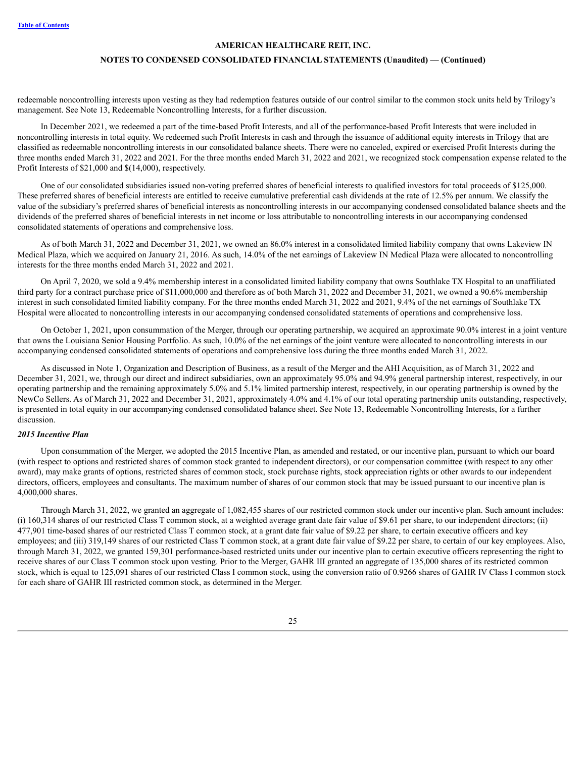#### **NOTES TO CONDENSED CONSOLIDATED FINANCIAL STATEMENTS (Unaudited) — (Continued)**

redeemable noncontrolling interests upon vesting as they had redemption features outside of our control similar to the common stock units held by Trilogy's management. See Note 13, Redeemable Noncontrolling Interests, for a further discussion.

In December 2021, we redeemed a part of the time-based Profit Interests, and all of the performance-based Profit Interests that were included in noncontrolling interests in total equity. We redeemed such Profit Interests in cash and through the issuance of additional equity interests in Trilogy that are classified as redeemable noncontrolling interests in our consolidated balance sheets. There were no canceled, expired or exercised Profit Interests during the three months ended March 31, 2022 and 2021. For the three months ended March 31, 2022 and 2021, we recognized stock compensation expense related to the Profit Interests of \$21,000 and \$(14,000), respectively.

One of our consolidated subsidiaries issued non-voting preferred shares of beneficial interests to qualified investors for total proceeds of \$125,000. These preferred shares of beneficial interests are entitled to receive cumulative preferential cash dividends at the rate of 12.5% per annum. We classify the value of the subsidiary's preferred shares of beneficial interests as noncontrolling interests in our accompanying condensed consolidated balance sheets and the dividends of the preferred shares of beneficial interests in net income or loss attributable to noncontrolling interests in our accompanying condensed consolidated statements of operations and comprehensive loss.

As of both March 31, 2022 and December 31, 2021, we owned an 86.0% interest in a consolidated limited liability company that owns Lakeview IN Medical Plaza, which we acquired on January 21, 2016. As such, 14.0% of the net earnings of Lakeview IN Medical Plaza were allocated to noncontrolling interests for the three months ended March 31, 2022 and 2021.

On April 7, 2020, we sold a 9.4% membership interest in a consolidated limited liability company that owns Southlake TX Hospital to an unaffiliated third party for a contract purchase price of \$11,000,000 and therefore as of both March 31, 2022 and December 31, 2021, we owned a 90.6% membership interest in such consolidated limited liability company. For the three months ended March 31, 2022 and 2021, 9.4% of the net earnings of Southlake TX Hospital were allocated to noncontrolling interests in our accompanying condensed consolidated statements of operations and comprehensive loss.

On October 1, 2021, upon consummation of the Merger, through our operating partnership, we acquired an approximate 90.0% interest in a joint venture that owns the Louisiana Senior Housing Portfolio. As such, 10.0% of the net earnings of the joint venture were allocated to noncontrolling interests in our accompanying condensed consolidated statements of operations and comprehensive loss during the three months ended March 31, 2022.

As discussed in Note 1, Organization and Description of Business, as a result of the Merger and the AHI Acquisition, as of March 31, 2022 and December 31, 2021, we, through our direct and indirect subsidiaries, own an approximately 95.0% and 94.9% general partnership interest, respectively, in our operating partnership and the remaining approximately 5.0% and 5.1% limited partnership interest, respectively, in our operating partnership is owned by the NewCo Sellers. As of March 31, 2022 and December 31, 2021, approximately 4.0% and 4.1% of our total operating partnership units outstanding, respectively, is presented in total equity in our accompanying condensed consolidated balance sheet. See Note 13, Redeemable Noncontrolling Interests, for a further discussion.

#### *2015 Incentive Plan*

Upon consummation of the Merger, we adopted the 2015 Incentive Plan, as amended and restated, or our incentive plan, pursuant to which our board (with respect to options and restricted shares of common stock granted to independent directors), or our compensation committee (with respect to any other award), may make grants of options, restricted shares of common stock, stock purchase rights, stock appreciation rights or other awards to our independent directors, officers, employees and consultants. The maximum number of shares of our common stock that may be issued pursuant to our incentive plan is 4,000,000 shares.

Through March 31, 2022, we granted an aggregate of 1,082,455 shares of our restricted common stock under our incentive plan. Such amount includes: (i) 160,314 shares of our restricted Class T common stock, at a weighted average grant date fair value of \$9.61 per share, to our independent directors; (ii) 477,901 time-based shares of our restricted Class T common stock, at a grant date fair value of \$9.22 per share, to certain executive officers and key employees; and (iii) 319,149 shares of our restricted Class T common stock, at a grant date fair value of \$9.22 per share, to certain of our key employees. Also, through March 31, 2022, we granted 159,301 performance-based restricted units under our incentive plan to certain executive officers representing the right to receive shares of our Class T common stock upon vesting. Prior to the Merger, GAHR III granted an aggregate of 135,000 shares of its restricted common stock, which is equal to 125,091 shares of our restricted Class I common stock, using the conversion ratio of 0.9266 shares of GAHR IV Class I common stock for each share of GAHR III restricted common stock, as determined in the Merger.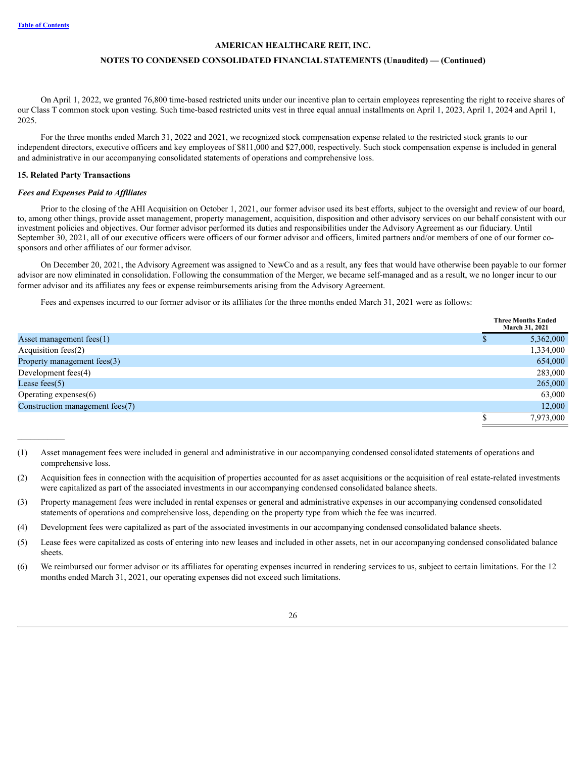#### **NOTES TO CONDENSED CONSOLIDATED FINANCIAL STATEMENTS (Unaudited) — (Continued)**

On April 1, 2022, we granted 76,800 time-based restricted units under our incentive plan to certain employees representing the right to receive shares of our Class T common stock upon vesting. Such time-based restricted units vest in three equal annual installments on April 1, 2023, April 1, 2024 and April 1, 2025.

For the three months ended March 31, 2022 and 2021, we recognized stock compensation expense related to the restricted stock grants to our independent directors, executive officers and key employees of \$811,000 and \$27,000, respectively. Such stock compensation expense is included in general and administrative in our accompanying consolidated statements of operations and comprehensive loss.

#### **15. Related Party Transactions**

#### *Fees and Expenses Paid to Af iliates*

Prior to the closing of the AHI Acquisition on October 1, 2021, our former advisor used its best efforts, subject to the oversight and review of our board, to, among other things, provide asset management, property management, acquisition, disposition and other advisory services on our behalf consistent with our investment policies and objectives. Our former advisor performed its duties and responsibilities under the Advisory Agreement as our fiduciary. Until September 30, 2021, all of our executive officers were officers of our former advisor and officers, limited partners and/or members of one of our former cosponsors and other affiliates of our former advisor.

On December 20, 2021, the Advisory Agreement was assigned to NewCo and as a result, any fees that would have otherwise been payable to our former advisor are now eliminated in consolidation. Following the consummation of the Merger, we became self-managed and as a result, we no longer incur to our former advisor and its affiliates any fees or expense reimbursements arising from the Advisory Agreement.

Fees and expenses incurred to our former advisor or its affiliates for the three months ended March 31, 2021 were as follows:

|                                 | <b>Three Months Ended</b><br>March 31, 2021 |
|---------------------------------|---------------------------------------------|
| Asset management fees $(1)$     | 5,362,000                                   |
| Acquisition fees(2)             | 1,334,000                                   |
| Property management fees(3)     | 654,000                                     |
| Development $fees(4)$           | 283,000                                     |
| Lease fees $(5)$                | 265,000                                     |
| Operating expenses $(6)$        | 63,000                                      |
| Construction management fees(7) | 12,000                                      |
|                                 | 7,973,000                                   |

<sup>(1)</sup> Asset management fees were included in general and administrative in our accompanying condensed consolidated statements of operations and comprehensive loss.

- (2) Acquisition fees in connection with the acquisition of properties accounted for as asset acquisitions or the acquisition of real estate-related investments were capitalized as part of the associated investments in our accompanying condensed consolidated balance sheets.
- (3) Property management fees were included in rental expenses or general and administrative expenses in our accompanying condensed consolidated statements of operations and comprehensive loss, depending on the property type from which the fee was incurred.
- (4) Development fees were capitalized as part of the associated investments in our accompanying condensed consolidated balance sheets.
- (5) Lease fees were capitalized as costs of entering into new leases and included in other assets, net in our accompanying condensed consolidated balance sheets.
- (6) We reimbursed our former advisor or its affiliates for operating expenses incurred in rendering services to us, subject to certain limitations. For the 12 months ended March 31, 2021, our operating expenses did not exceed such limitations.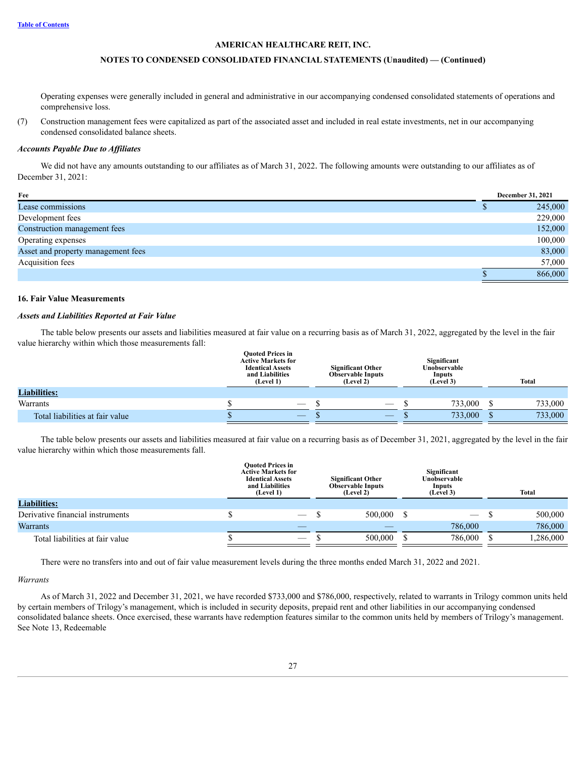## **NOTES TO CONDENSED CONSOLIDATED FINANCIAL STATEMENTS (Unaudited) — (Continued)**

Operating expenses were generally included in general and administrative in our accompanying condensed consolidated statements of operations and comprehensive loss.

(7) Construction management fees were capitalized as part of the associated asset and included in real estate investments, net in our accompanying condensed consolidated balance sheets.

#### *Accounts Payable Due to Af iliates*

We did not have any amounts outstanding to our affiliates as of March 31, 2022. The following amounts were outstanding to our affiliates as of December 31, 2021:

| Fee                                | December 31, 2021 |
|------------------------------------|-------------------|
| Lease commissions                  | 245,000           |
| Development fees                   | 229,000           |
| Construction management fees       | 152,000           |
| Operating expenses                 | 100,000           |
| Asset and property management fees | 83,000            |
| Acquisition fees                   | 57,000            |
|                                    | 866,000           |

#### **16. Fair Value Measurements**

#### *Assets and Liabilities Reported at Fair Value*

The table below presents our assets and liabilities measured at fair value on a recurring basis as of March 31, 2022, aggregated by the level in the fair value hierarchy within which those measurements fall:

|                                 | <b>Ouoted Prices in</b><br><b>Active Markets for</b><br><b>Identical Assets</b><br>and Liabilities<br>(Level 1) | <b>Significant Other</b><br><b>Observable Inputs</b><br>(Level 2) | Significant<br>Unobservable<br>Inputs<br>(Level 3) |         |
|---------------------------------|-----------------------------------------------------------------------------------------------------------------|-------------------------------------------------------------------|----------------------------------------------------|---------|
| <b>Liabilities:</b>             |                                                                                                                 |                                                                   |                                                    |         |
| Warrants                        |                                                                                                                 | $\overbrace{\phantom{12333}}$                                     | 733,000                                            | 733,000 |
| Total liabilities at fair value |                                                                                                                 |                                                                   | 733,000                                            | 733,000 |

The table below presents our assets and liabilities measured at fair value on a recurring basis as of December 31, 2021, aggregated by the level in the fair value hierarchy within which those measurements fall.

|                                  | <b>Ouoted Prices in</b><br><b>Active Markets for</b><br><b>Identical Assets</b><br>and Liabilities<br>(Level 1) | <b>Significant Other</b><br><b>Observable Inputs</b><br>(Level 2) | Significant<br>Unobservable<br>Inputs<br>(Leve13) |                                 |  | Total    |  |  |
|----------------------------------|-----------------------------------------------------------------------------------------------------------------|-------------------------------------------------------------------|---------------------------------------------------|---------------------------------|--|----------|--|--|
| <b>Liabilities:</b>              |                                                                                                                 |                                                                   |                                                   |                                 |  |          |  |  |
| Derivative financial instruments | $\hspace{0.1mm}-\hspace{0.1mm}$                                                                                 | 500,000                                                           |                                                   | $\hspace{0.1mm}-\hspace{0.1mm}$ |  | 500,000  |  |  |
| <b>Warrants</b>                  |                                                                                                                 |                                                                   |                                                   | 786,000                         |  | 786,000  |  |  |
| Total liabilities at fair value  | $\hspace{0.1mm}-\hspace{0.1mm}$                                                                                 | 500,000                                                           |                                                   | 786,000                         |  | .286,000 |  |  |

There were no transfers into and out of fair value measurement levels during the three months ended March 31, 2022 and 2021.

#### *Warrants*

As of March 31, 2022 and December 31, 2021, we have recorded \$733,000 and \$786,000, respectively, related to warrants in Trilogy common units held by certain members of Trilogy's management, which is included in security deposits, prepaid rent and other liabilities in our accompanying condensed consolidated balance sheets. Once exercised, these warrants have redemption features similar to the common units held by members of Trilogy's management. See Note 13, Redeemable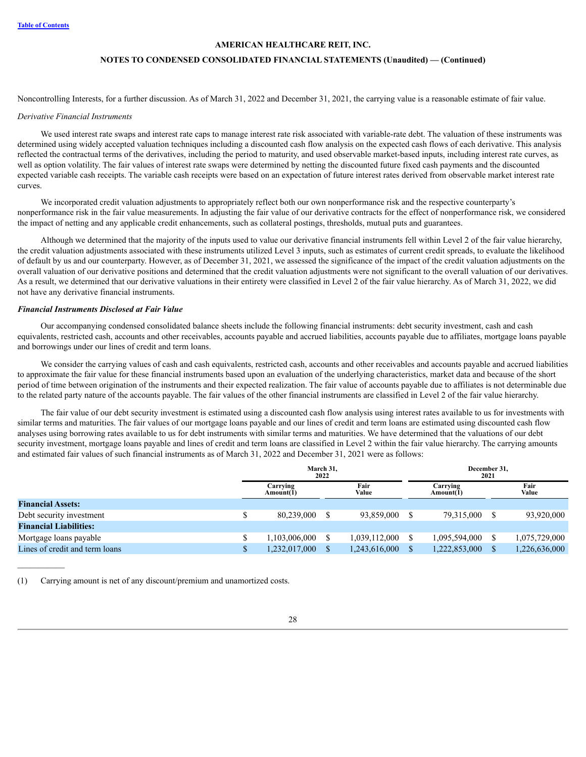#### **NOTES TO CONDENSED CONSOLIDATED FINANCIAL STATEMENTS (Unaudited) — (Continued)**

Noncontrolling Interests, for a further discussion. As of March 31, 2022 and December 31, 2021, the carrying value is a reasonable estimate of fair value.

#### *Derivative Financial Instruments*

We used interest rate swaps and interest rate caps to manage interest rate risk associated with variable-rate debt. The valuation of these instruments was determined using widely accepted valuation techniques including a discounted cash flow analysis on the expected cash flows of each derivative. This analysis reflected the contractual terms of the derivatives, including the period to maturity, and used observable market-based inputs, including interest rate curves, as well as option volatility. The fair values of interest rate swaps were determined by netting the discounted future fixed cash payments and the discounted expected variable cash receipts. The variable cash receipts were based on an expectation of future interest rates derived from observable market interest rate curves.

We incorporated credit valuation adjustments to appropriately reflect both our own nonperformance risk and the respective counterparty's nonperformance risk in the fair value measurements. In adjusting the fair value of our derivative contracts for the effect of nonperformance risk, we considered the impact of netting and any applicable credit enhancements, such as collateral postings, thresholds, mutual puts and guarantees.

Although we determined that the majority of the inputs used to value our derivative financial instruments fell within Level 2 of the fair value hierarchy, the credit valuation adjustments associated with these instruments utilized Level 3 inputs, such as estimates of current credit spreads, to evaluate the likelihood of default by us and our counterparty. However, as of December 31, 2021, we assessed the significance of the impact of the credit valuation adjustments on the overall valuation of our derivative positions and determined that the credit valuation adjustments were not significant to the overall valuation of our derivatives. As a result, we determined that our derivative valuations in their entirety were classified in Level 2 of the fair value hierarchy. As of March 31, 2022, we did not have any derivative financial instruments.

#### *Financial Instruments Disclosed at Fair Value*

 $\frac{1}{2}$ 

Our accompanying condensed consolidated balance sheets include the following financial instruments: debt security investment, cash and cash equivalents, restricted cash, accounts and other receivables, accounts payable and accrued liabilities, accounts payable due to affiliates, mortgage loans payable and borrowings under our lines of credit and term loans.

We consider the carrying values of cash and cash equivalents, restricted cash, accounts and other receivables and accounts payable and accrued liabilities to approximate the fair value for these financial instruments based upon an evaluation of the underlying characteristics, market data and because of the short period of time between origination of the instruments and their expected realization. The fair value of accounts payable due to affiliates is not determinable due to the related party nature of the accounts payable. The fair values of the other financial instruments are classified in Level 2 of the fair value hierarchy.

The fair value of our debt security investment is estimated using a discounted cash flow analysis using interest rates available to us for investments with similar terms and maturities. The fair values of our mortgage loans payable and our lines of credit and term loans are estimated using discounted cash flow analyses using borrowing rates available to us for debt instruments with similar terms and maturities. We have determined that the valuations of our debt security investment, mortgage loans payable and lines of credit and term loans are classified in Level 2 within the fair value hierarchy. The carrying amounts and estimated fair values of such financial instruments as of March 31, 2022 and December 31, 2021 were as follows:

|                                |                       | March 31,<br>2022 |               |    | December 31,          | 2021 |               |  |
|--------------------------------|-----------------------|-------------------|---------------|----|-----------------------|------|---------------|--|
|                                | Carrying<br>Amount(1) |                   | Fair<br>Value |    | Carrying<br>Amount(1` |      | Fair<br>Value |  |
| <b>Financial Assets:</b>       |                       |                   |               |    |                       |      |               |  |
| Debt security investment       | 80.239.000            |                   | 93.859.000    | -S | 79,315,000 \$         |      | 93,920,000    |  |
| <b>Financial Liabilities:</b>  |                       |                   |               |    |                       |      |               |  |
| Mortgage loans payable         | 1,103,006,000         | S                 | 1,039,112,000 |    | 1,095,594,000         |      | 1,075,729,000 |  |
| Lines of credit and term loans | 1,232,017,000         |                   | 1,243,616,000 |    | 1,222,853,000         |      | 1,226,636,000 |  |

(1) Carrying amount is net of any discount/premium and unamortized costs.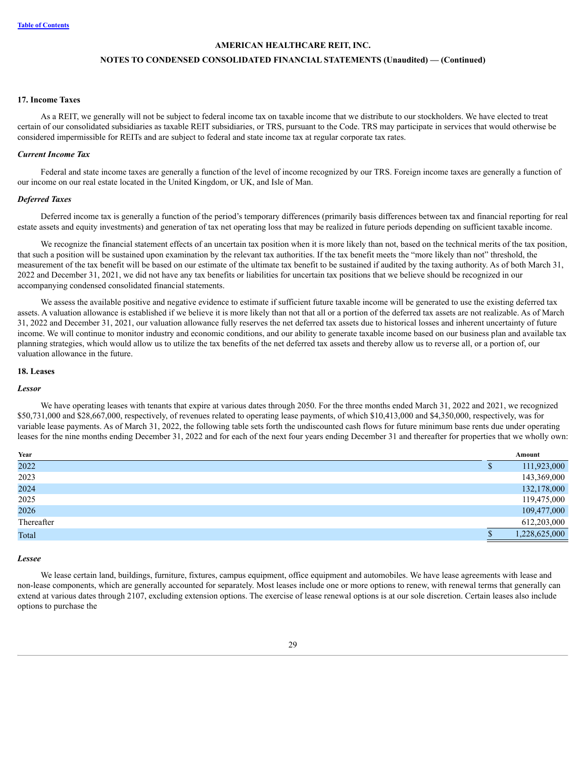#### **NOTES TO CONDENSED CONSOLIDATED FINANCIAL STATEMENTS (Unaudited) — (Continued)**

## **17. Income Taxes**

As a REIT, we generally will not be subject to federal income tax on taxable income that we distribute to our stockholders. We have elected to treat certain of our consolidated subsidiaries as taxable REIT subsidiaries, or TRS, pursuant to the Code. TRS may participate in services that would otherwise be considered impermissible for REITs and are subject to federal and state income tax at regular corporate tax rates.

#### *Current Income Tax*

Federal and state income taxes are generally a function of the level of income recognized by our TRS. Foreign income taxes are generally a function of our income on our real estate located in the United Kingdom, or UK, and Isle of Man.

#### *Deferred Taxes*

Deferred income tax is generally a function of the period's temporary differences (primarily basis differences between tax and financial reporting for real estate assets and equity investments) and generation of tax net operating loss that may be realized in future periods depending on sufficient taxable income.

We recognize the financial statement effects of an uncertain tax position when it is more likely than not, based on the technical merits of the tax position, that such a position will be sustained upon examination by the relevant tax authorities. If the tax benefit meets the "more likely than not" threshold, the measurement of the tax benefit will be based on our estimate of the ultimate tax benefit to be sustained if audited by the taxing authority. As of both March 31, 2022 and December 31, 2021, we did not have any tax benefits or liabilities for uncertain tax positions that we believe should be recognized in our accompanying condensed consolidated financial statements.

We assess the available positive and negative evidence to estimate if sufficient future taxable income will be generated to use the existing deferred tax assets. A valuation allowance is established if we believe it is more likely than not that all or a portion of the deferred tax assets are not realizable. As of March 31, 2022 and December 31, 2021, our valuation allowance fully reserves the net deferred tax assets due to historical losses and inherent uncertainty of future income. We will continue to monitor industry and economic conditions, and our ability to generate taxable income based on our business plan and available tax planning strategies, which would allow us to utilize the tax benefits of the net deferred tax assets and thereby allow us to reverse all, or a portion of, our valuation allowance in the future.

#### **18. Leases**

#### *Lessor*

We have operating leases with tenants that expire at various dates through 2050. For the three months ended March 31, 2022 and 2021, we recognized \$50,731,000 and \$28,667,000, respectively, of revenues related to operating lease payments, of which \$10,413,000 and \$4,350,000, respectively, was for variable lease payments. As of March 31, 2022, the following table sets forth the undiscounted cash flows for future minimum base rents due under operating leases for the nine months ending December 31, 2022 and for each of the next four years ending December 31 and thereafter for properties that we wholly own:

| Year       | Amount        |
|------------|---------------|
| 2022       | 111,923,000   |
| 2023       | 143,369,000   |
| 2024       | 132,178,000   |
| 2025       | 119,475,000   |
| 2026       | 109,477,000   |
| Thereafter | 612,203,000   |
| Total      | 1,228,625,000 |

#### *Lessee*

We lease certain land, buildings, furniture, fixtures, campus equipment, office equipment and automobiles. We have lease agreements with lease and non-lease components, which are generally accounted for separately. Most leases include one or more options to renew, with renewal terms that generally can extend at various dates through 2107, excluding extension options. The exercise of lease renewal options is at our sole discretion. Certain leases also include options to purchase the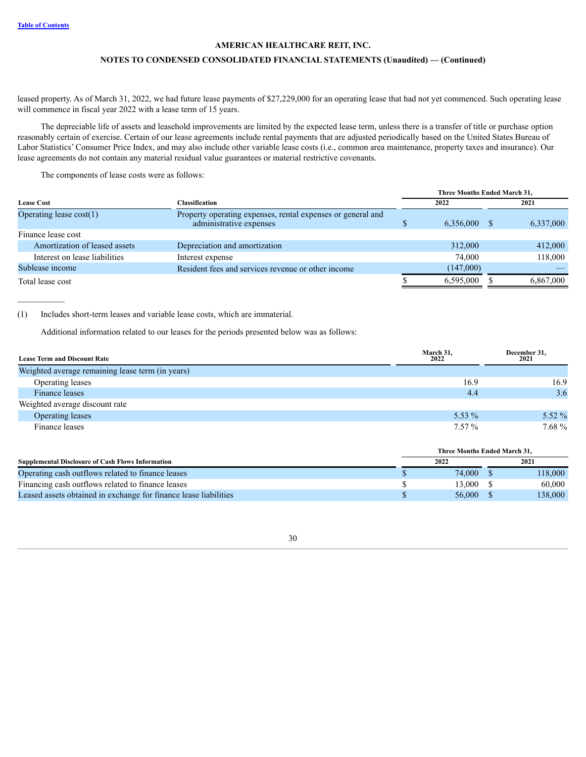$\mathcal{L}_\text{max}$ 

### **AMERICAN HEALTHCARE REIT, INC.**

#### **NOTES TO CONDENSED CONSOLIDATED FINANCIAL STATEMENTS (Unaudited) — (Continued)**

leased property. As of March 31, 2022, we had future lease payments of \$27,229,000 for an operating lease that had not yet commenced. Such operating lease will commence in fiscal year 2022 with a lease term of 15 years.

The depreciable life of assets and leasehold improvements are limited by the expected lease term, unless there is a transfer of title or purchase option reasonably certain of exercise. Certain of our lease agreements include rental payments that are adjusted periodically based on the United States Bureau of Labor Statistics' Consumer Price Index, and may also include other variable lease costs (i.e., common area maintenance, property taxes and insurance). Our lease agreements do not contain any material residual value guarantees or material restrictive covenants.

The components of lease costs were as follows:

| <b>Lease Cost</b>             | <b>Classification</b>                                                                  |  | 2022      |  | 2021      |  |  |
|-------------------------------|----------------------------------------------------------------------------------------|--|-----------|--|-----------|--|--|
| Operating lease $cost(1)$     | Property operating expenses, rental expenses or general and<br>administrative expenses |  | 6,356,000 |  | 6,337,000 |  |  |
| Finance lease cost            |                                                                                        |  |           |  |           |  |  |
| Amortization of leased assets | Depreciation and amortization                                                          |  | 312,000   |  | 412,000   |  |  |
| Interest on lease liabilities | Interest expense                                                                       |  | 74.000    |  | 118,000   |  |  |
| Sublease income               | Resident fees and services revenue or other income                                     |  | (147,000) |  |           |  |  |
| Total lease cost              |                                                                                        |  | 6,595,000 |  | 6,867,000 |  |  |

#### (1) Includes short-term leases and variable lease costs, which are immaterial.

Additional information related to our leases for the periods presented below was as follows:

| <b>Lease Term and Discount Rate</b>              | March 31,<br>2022 | December 31.<br>2021 |
|--------------------------------------------------|-------------------|----------------------|
| Weighted average remaining lease term (in years) |                   |                      |
| Operating leases                                 | 16.9              | 16.9                 |
| Finance leases                                   | 4.4               | 3.6                  |
| Weighted average discount rate                   |                   |                      |
| Operating leases                                 | 5.53 $%$          | 5.52 %               |
| Finance leases                                   | 7.57 %            | 7.68 %               |

|                                                                  | Three Months Ended March 31. |  |         |  |
|------------------------------------------------------------------|------------------------------|--|---------|--|
| <b>Supplemental Disclosure of Cash Flows Information</b>         | 2022                         |  | 2021    |  |
| Operating cash outflows related to finance leases                | 74,000                       |  | 118.000 |  |
| Financing cash outflows related to finance leases                | 13.000                       |  | 60.000  |  |
| Leased assets obtained in exchange for finance lease liabilities | 56,000                       |  | 138.000 |  |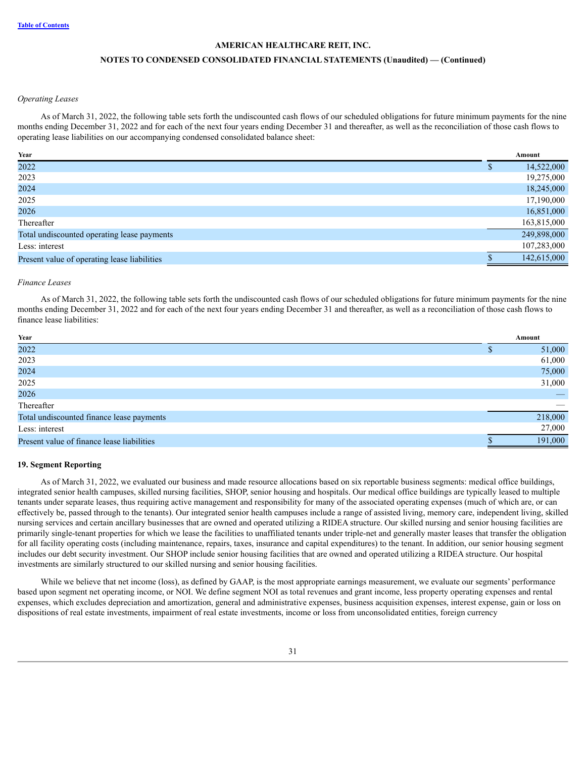#### **NOTES TO CONDENSED CONSOLIDATED FINANCIAL STATEMENTS (Unaudited) — (Continued)**

#### *Operating Leases*

As of March 31, 2022, the following table sets forth the undiscounted cash flows of our scheduled obligations for future minimum payments for the nine months ending December 31, 2022 and for each of the next four years ending December 31 and thereafter, as well as the reconciliation of those cash flows to operating lease liabilities on our accompanying condensed consolidated balance sheet:

| 14,522,000<br>æ<br>19,275,000<br>18,245,000<br>17,190,000<br>16,851,000<br>163,815,000<br>Thereafter<br>249,898,000<br>107,283,000<br>Less: interest<br>142,615,000 | Year                                         | Amount |
|---------------------------------------------------------------------------------------------------------------------------------------------------------------------|----------------------------------------------|--------|
|                                                                                                                                                                     | 2022                                         |        |
|                                                                                                                                                                     | 2023                                         |        |
|                                                                                                                                                                     | 2024                                         |        |
|                                                                                                                                                                     | 2025                                         |        |
|                                                                                                                                                                     | 2026                                         |        |
|                                                                                                                                                                     |                                              |        |
|                                                                                                                                                                     | Total undiscounted operating lease payments  |        |
|                                                                                                                                                                     |                                              |        |
|                                                                                                                                                                     | Present value of operating lease liabilities |        |

#### *Finance Leases*

As of March 31, 2022, the following table sets forth the undiscounted cash flows of our scheduled obligations for future minimum payments for the nine months ending December 31, 2022 and for each of the next four years ending December 31 and thereafter, as well as a reconciliation of those cash flows to finance lease liabilities:

| Year                                       | Amount  |
|--------------------------------------------|---------|
| 2022                                       | 51,000  |
| 2023                                       | 61,000  |
| 2024                                       | 75,000  |
| 2025                                       | 31,000  |
| 2026                                       |         |
| Thereafter                                 |         |
| Total undiscounted finance lease payments  | 218,000 |
| Less: interest                             | 27,000  |
| Present value of finance lease liabilities | 191,000 |

#### **19. Segment Reporting**

As of March 31, 2022, we evaluated our business and made resource allocations based on six reportable business segments: medical office buildings, integrated senior health campuses, skilled nursing facilities, SHOP, senior housing and hospitals. Our medical office buildings are typically leased to multiple tenants under separate leases, thus requiring active management and responsibility for many of the associated operating expenses (much of which are, or can effectively be, passed through to the tenants). Our integrated senior health campuses include a range of assisted living, memory care, independent living, skilled nursing services and certain ancillary businesses that are owned and operated utilizing a RIDEA structure. Our skilled nursing and senior housing facilities are primarily single-tenant properties for which we lease the facilities to unaffiliated tenants under triple-net and generally master leases that transfer the obligation for all facility operating costs (including maintenance, repairs, taxes, insurance and capital expenditures) to the tenant. In addition, our senior housing segment includes our debt security investment. Our SHOP include senior housing facilities that are owned and operated utilizing a RIDEA structure. Our hospital investments are similarly structured to our skilled nursing and senior housing facilities.

While we believe that net income (loss), as defined by GAAP, is the most appropriate earnings measurement, we evaluate our segments' performance based upon segment net operating income, or NOI. We define segment NOI as total revenues and grant income, less property operating expenses and rental expenses, which excludes depreciation and amortization, general and administrative expenses, business acquisition expenses, interest expense, gain or loss on dispositions of real estate investments, impairment of real estate investments, income or loss from unconsolidated entities, foreign currency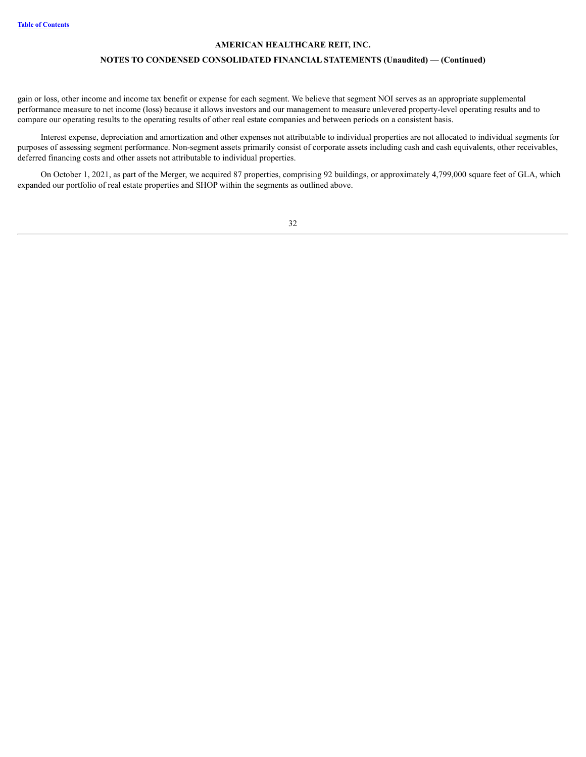#### **NOTES TO CONDENSED CONSOLIDATED FINANCIAL STATEMENTS (Unaudited) — (Continued)**

gain or loss, other income and income tax benefit or expense for each segment. We believe that segment NOI serves as an appropriate supplemental performance measure to net income (loss) because it allows investors and our management to measure unlevered property-level operating results and to compare our operating results to the operating results of other real estate companies and between periods on a consistent basis.

Interest expense, depreciation and amortization and other expenses not attributable to individual properties are not allocated to individual segments for purposes of assessing segment performance. Non-segment assets primarily consist of corporate assets including cash and cash equivalents, other receivables, deferred financing costs and other assets not attributable to individual properties.

On October 1, 2021, as part of the Merger, we acquired 87 properties, comprising 92 buildings, or approximately 4,799,000 square feet of GLA, which expanded our portfolio of real estate properties and SHOP within the segments as outlined above.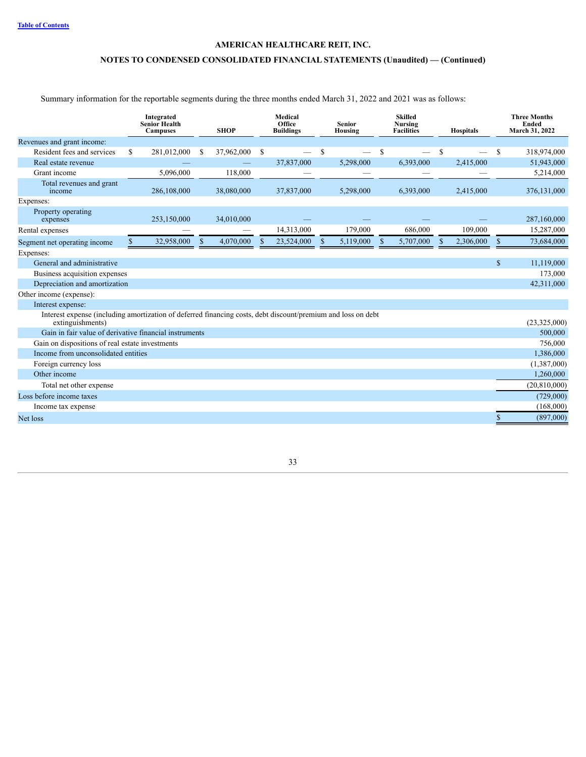## **NOTES TO CONDENSED CONSOLIDATED FINANCIAL STATEMENTS (Unaudited) — (Continued)**

Summary information for the reportable segments during the three months ended March 31, 2022 and 2021 was as follows:

|                                                                                                                                  | Integrated<br><b>Senior Health</b><br><b>Campuses</b> |     | <b>SHOP</b> |          | Medical<br>Office<br><b>Buildings</b> |               | <b>Senior</b><br>Housing |               | <b>Skilled</b><br>Nursing<br><b>Facilities</b> |          | <b>Hospitals</b> |               | <b>Three Months</b><br>Ended<br>March 31, 2022 |
|----------------------------------------------------------------------------------------------------------------------------------|-------------------------------------------------------|-----|-------------|----------|---------------------------------------|---------------|--------------------------|---------------|------------------------------------------------|----------|------------------|---------------|------------------------------------------------|
| Revenues and grant income:                                                                                                       |                                                       |     |             |          |                                       |               |                          |               |                                                |          |                  |               |                                                |
| Resident fees and services                                                                                                       | \$<br>281,012,000                                     | \$. | 37,962,000  | \$       |                                       | S             |                          | <sup>\$</sup> |                                                | <b>S</b> |                  | S             | 318,974,000                                    |
| Real estate revenue                                                                                                              |                                                       |     |             |          | 37,837,000                            |               | 5,298,000                |               | 6,393,000                                      |          | 2,415,000        |               | 51,943,000                                     |
| Grant income                                                                                                                     | 5,096,000                                             |     | 118,000     |          |                                       |               |                          |               |                                                |          |                  |               | 5,214,000                                      |
| Total revenues and grant<br>income                                                                                               | 286,108,000                                           |     | 38,080,000  |          | 37,837,000                            |               | 5,298,000                |               | 6,393,000                                      |          | 2,415,000        |               | 376,131,000                                    |
| Expenses:                                                                                                                        |                                                       |     |             |          |                                       |               |                          |               |                                                |          |                  |               |                                                |
| Property operating<br>expenses                                                                                                   | 253,150,000                                           |     | 34,010,000  |          |                                       |               |                          |               |                                                |          |                  |               | 287,160,000                                    |
| Rental expenses                                                                                                                  |                                                       |     |             |          | 14,313,000                            |               | 179,000                  |               | 686,000                                        |          | 109,000          |               | 15,287,000                                     |
| Segment net operating income                                                                                                     | 32,958,000                                            | S   | 4,070,000   | <b>S</b> | 23,524,000                            | <sup>\$</sup> | 5,119,000                | <sup>S</sup>  | 5,707,000                                      | -S       | 2,306,000        | <sup>\$</sup> | 73,684,000                                     |
| Expenses:                                                                                                                        |                                                       |     |             |          |                                       |               |                          |               |                                                |          |                  |               |                                                |
| General and administrative                                                                                                       |                                                       |     |             |          |                                       |               |                          |               |                                                |          |                  | \$            | 11,119,000                                     |
| Business acquisition expenses                                                                                                    |                                                       |     |             |          |                                       |               |                          |               |                                                |          |                  |               | 173,000                                        |
| Depreciation and amortization                                                                                                    |                                                       |     |             |          |                                       |               |                          |               |                                                |          |                  |               | 42,311,000                                     |
| Other income (expense):                                                                                                          |                                                       |     |             |          |                                       |               |                          |               |                                                |          |                  |               |                                                |
| Interest expense:                                                                                                                |                                                       |     |             |          |                                       |               |                          |               |                                                |          |                  |               |                                                |
| Interest expense (including amortization of deferred financing costs, debt discount/premium and loss on debt<br>extinguishments) |                                                       |     |             |          |                                       |               |                          |               |                                                |          |                  |               | (23,325,000)                                   |
| Gain in fair value of derivative financial instruments                                                                           |                                                       |     |             |          |                                       |               |                          |               |                                                |          |                  |               | 500,000                                        |
| Gain on dispositions of real estate investments                                                                                  |                                                       |     |             |          |                                       |               |                          |               |                                                |          |                  |               | 756,000                                        |
| Income from unconsolidated entities                                                                                              |                                                       |     |             |          |                                       |               |                          |               |                                                |          |                  |               | 1,386,000                                      |
| Foreign currency loss                                                                                                            |                                                       |     |             |          |                                       |               |                          |               |                                                |          |                  |               | (1,387,000)                                    |
| Other income                                                                                                                     |                                                       |     |             |          |                                       |               |                          |               |                                                |          |                  |               | 1,260,000                                      |
| Total net other expense                                                                                                          |                                                       |     |             |          |                                       |               |                          |               |                                                |          |                  |               | (20, 810, 000)                                 |
| Loss before income taxes                                                                                                         |                                                       |     |             |          |                                       |               |                          |               |                                                |          |                  |               | (729,000)                                      |
| Income tax expense                                                                                                               |                                                       |     |             |          |                                       |               |                          |               |                                                |          |                  |               | (168,000)                                      |
| Net loss                                                                                                                         |                                                       |     |             |          |                                       |               |                          |               |                                                |          |                  |               | (897,000)                                      |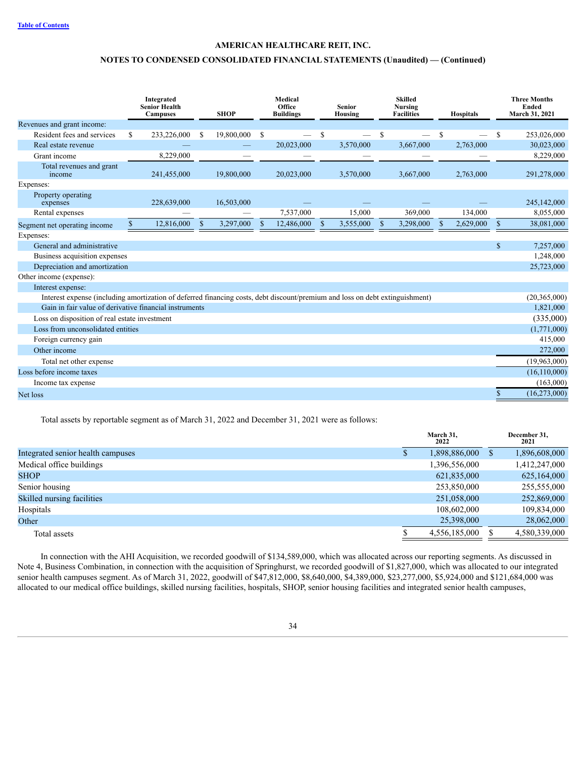## **NOTES TO CONDENSED CONSOLIDATED FINANCIAL STATEMENTS (Unaudited) — (Continued)**

|                                                                                                                              |              | Integrated<br><b>Senior Health</b><br><b>Campuses</b> |               | <b>SHOP</b> |              | Medical<br>Office<br><b>Buildings</b> |              | <b>Senior</b><br>Housing |               | <b>Skilled</b><br><b>Nursing</b><br><b>Facilities</b> |               | <b>Hospitals</b> |              | <b>Three Months</b><br><b>Ended</b><br>March 31, 2021 |
|------------------------------------------------------------------------------------------------------------------------------|--------------|-------------------------------------------------------|---------------|-------------|--------------|---------------------------------------|--------------|--------------------------|---------------|-------------------------------------------------------|---------------|------------------|--------------|-------------------------------------------------------|
| Revenues and grant income:                                                                                                   |              |                                                       |               |             |              |                                       |              |                          |               |                                                       |               |                  |              |                                                       |
| Resident fees and services                                                                                                   | S.           | 233,226,000                                           | S             | 19,800,000  | S            |                                       | \$           |                          | S             |                                                       | S             |                  | S            | 253,026,000                                           |
| Real estate revenue                                                                                                          |              |                                                       |               |             |              | 20,023,000                            |              | 3,570,000                |               | 3,667,000                                             |               | 2,763,000        |              | 30,023,000                                            |
| Grant income                                                                                                                 |              | 8,229,000                                             |               |             |              |                                       |              |                          |               |                                                       |               |                  |              | 8,229,000                                             |
| Total revenues and grant<br>income                                                                                           |              | 241,455,000                                           |               | 19,800,000  |              | 20,023,000                            |              | 3,570,000                |               | 3,667,000                                             |               | 2,763,000        |              | 291,278,000                                           |
| Expenses:                                                                                                                    |              |                                                       |               |             |              |                                       |              |                          |               |                                                       |               |                  |              |                                                       |
| Property operating<br>expenses                                                                                               |              | 228,639,000                                           |               | 16,503,000  |              |                                       |              |                          |               |                                                       |               |                  |              | 245,142,000                                           |
| Rental expenses                                                                                                              |              |                                                       |               |             |              | 7,537,000                             |              | 15,000                   |               | 369,000                                               |               | 134,000          |              | 8,055,000                                             |
| Segment net operating income                                                                                                 | <sup>S</sup> | 12,816,000                                            | <sup>\$</sup> | 3,297,000   | <sup>S</sup> | 12,486,000                            | $\mathbb{S}$ | 3,555,000                | <sup>\$</sup> | 3,298,000                                             | <sup>\$</sup> | 2,629,000        | <sup>S</sup> | 38,081,000                                            |
| Expenses:                                                                                                                    |              |                                                       |               |             |              |                                       |              |                          |               |                                                       |               |                  |              |                                                       |
| General and administrative                                                                                                   |              |                                                       |               |             |              |                                       |              |                          |               |                                                       |               |                  | $\mathbb{S}$ | 7,257,000                                             |
| Business acquisition expenses                                                                                                |              |                                                       |               |             |              |                                       |              |                          |               |                                                       |               |                  |              | 1,248,000                                             |
| Depreciation and amortization                                                                                                |              |                                                       |               |             |              |                                       |              |                          |               |                                                       |               |                  |              | 25,723,000                                            |
| Other income (expense):                                                                                                      |              |                                                       |               |             |              |                                       |              |                          |               |                                                       |               |                  |              |                                                       |
| Interest expense:                                                                                                            |              |                                                       |               |             |              |                                       |              |                          |               |                                                       |               |                  |              |                                                       |
| Interest expense (including amortization of deferred financing costs, debt discount/premium and loss on debt extinguishment) |              |                                                       |               |             |              |                                       |              |                          |               |                                                       |               |                  |              | (20, 365, 000)                                        |
| Gain in fair value of derivative financial instruments                                                                       |              |                                                       |               |             |              |                                       |              |                          |               |                                                       |               |                  |              | 1,821,000                                             |
| Loss on disposition of real estate investment                                                                                |              |                                                       |               |             |              |                                       |              |                          |               |                                                       |               |                  |              | (335,000)                                             |
| Loss from unconsolidated entities                                                                                            |              |                                                       |               |             |              |                                       |              |                          |               |                                                       |               |                  |              | (1,771,000)                                           |
| Foreign currency gain                                                                                                        |              |                                                       |               |             |              |                                       |              |                          |               |                                                       |               |                  |              | 415,000                                               |
| Other income                                                                                                                 |              |                                                       |               |             |              |                                       |              |                          |               |                                                       |               |                  |              | 272,000                                               |
| Total net other expense                                                                                                      |              |                                                       |               |             |              |                                       |              |                          |               |                                                       |               |                  |              | (19,963,000)                                          |
| Loss before income taxes                                                                                                     |              |                                                       |               |             |              |                                       |              |                          |               |                                                       |               |                  |              | (16, 110, 000)                                        |
| Income tax expense                                                                                                           |              |                                                       |               |             |              |                                       |              |                          |               |                                                       |               |                  |              | (163,000)                                             |
| Net loss                                                                                                                     |              |                                                       |               |             |              |                                       |              |                          |               |                                                       |               |                  | S            | (16, 273, 000)                                        |

Total assets by reportable segment as of March 31, 2022 and December 31, 2021 were as follows:

|                                   | March 31.<br>2022 |    | December 31,<br>2021 |
|-----------------------------------|-------------------|----|----------------------|
| Integrated senior health campuses | 1,898,886,000     | S. | 1,896,608,000        |
| Medical office buildings          | 1,396,556,000     |    | 1,412,247,000        |
| <b>SHOP</b>                       | 621,835,000       |    | 625,164,000          |
| Senior housing                    | 253,850,000       |    | 255,555,000          |
| Skilled nursing facilities        | 251,058,000       |    | 252,869,000          |
| Hospitals                         | 108,602,000       |    | 109,834,000          |
| Other                             | 25,398,000        |    | 28,062,000           |
| Total assets                      | 4,556,185,000     |    | 4,580,339,000        |

In connection with the AHI Acquisition, we recorded goodwill of \$134,589,000, which was allocated across our reporting segments. As discussed in Note 4, Business Combination, in connection with the acquisition of Springhurst, we recorded goodwill of \$1,827,000, which was allocated to our integrated senior health campuses segment. As of March 31, 2022, goodwill of \$47,812,000, \$8,640,000, \$4,389,000, \$23,277,000, \$5,924,000 and \$121,684,000 was allocated to our medical office buildings, skilled nursing facilities, hospitals, SHOP, senior housing facilities and integrated senior health campuses,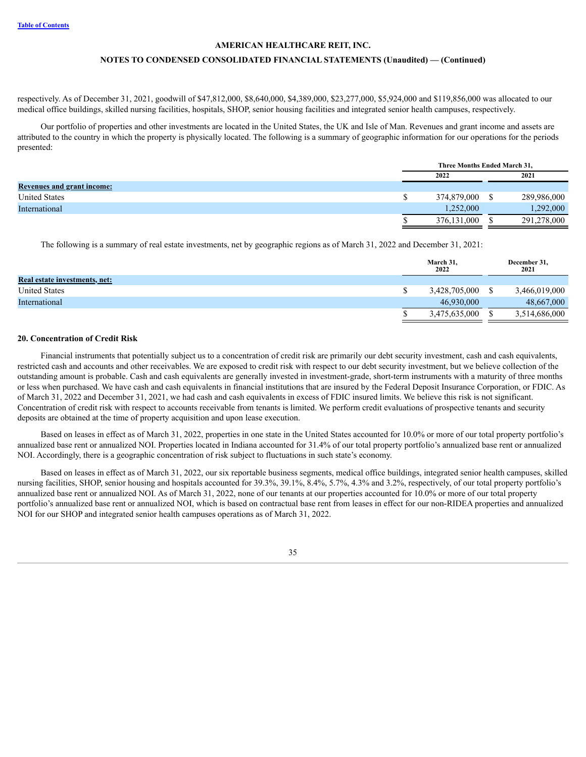#### **NOTES TO CONDENSED CONSOLIDATED FINANCIAL STATEMENTS (Unaudited) — (Continued)**

respectively. As of December 31, 2021, goodwill of \$47,812,000, \$8,640,000, \$4,389,000, \$23,277,000, \$5,924,000 and \$119,856,000 was allocated to our medical office buildings, skilled nursing facilities, hospitals, SHOP, senior housing facilities and integrated senior health campuses, respectively.

Our portfolio of properties and other investments are located in the United States, the UK and Isle of Man. Revenues and grant income and assets are attributed to the country in which the property is physically located. The following is a summary of geographic information for our operations for the periods presented:

|                                   | Three Months Ended March 31, |  |             |  |  |
|-----------------------------------|------------------------------|--|-------------|--|--|
|                                   | 2022<br>2021                 |  |             |  |  |
| <b>Revenues and grant income:</b> |                              |  |             |  |  |
| <b>United States</b>              | 374,879,000                  |  | 289,986,000 |  |  |
| International                     | 1,252,000                    |  | 1,292,000   |  |  |
|                                   | 376, 131, 000                |  | 291,278,000 |  |  |

The following is a summary of real estate investments, net by geographic regions as of March 31, 2022 and December 31, 2021:

|                               | March 31,<br>2022 | December 31,<br>2021 |
|-------------------------------|-------------------|----------------------|
| Real estate investments, net: |                   |                      |
| <b>United States</b>          | 3,428,705,000     | 3,466,019,000        |
| International                 | 46,930,000        | 48,667,000           |
|                               | 3,475,635,000     | 3,514,686,000        |

#### **20. Concentration of Credit Risk**

Financial instruments that potentially subject us to a concentration of credit risk are primarily our debt security investment, cash and cash equivalents, restricted cash and accounts and other receivables. We are exposed to credit risk with respect to our debt security investment, but we believe collection of the outstanding amount is probable. Cash and cash equivalents are generally invested in investment-grade, short-term instruments with a maturity of three months or less when purchased. We have cash and cash equivalents in financial institutions that are insured by the Federal Deposit Insurance Corporation, or FDIC. As of March 31, 2022 and December 31, 2021, we had cash and cash equivalents in excess of FDIC insured limits. We believe this risk is not significant. Concentration of credit risk with respect to accounts receivable from tenants is limited. We perform credit evaluations of prospective tenants and security deposits are obtained at the time of property acquisition and upon lease execution.

Based on leases in effect as of March 31, 2022, properties in one state in the United States accounted for 10.0% or more of our total property portfolio's annualized base rent or annualized NOI. Properties located in Indiana accounted for 31.4% of our total property portfolio's annualized base rent or annualized NOI. Accordingly, there is a geographic concentration of risk subject to fluctuations in such state's economy.

Based on leases in effect as of March 31, 2022, our six reportable business segments, medical office buildings, integrated senior health campuses, skilled nursing facilities, SHOP, senior housing and hospitals accounted for 39.3%, 39.1%, 8.4%, 5.7%, 4.3% and 3.2%, respectively, of our total property portfolio's annualized base rent or annualized NOI. As of March 31, 2022, none of our tenants at our properties accounted for 10.0% or more of our total property portfolio's annualized base rent or annualized NOI, which is based on contractual base rent from leases in effect for our non-RIDEA properties and annualized NOI for our SHOP and integrated senior health campuses operations as of March 31, 2022.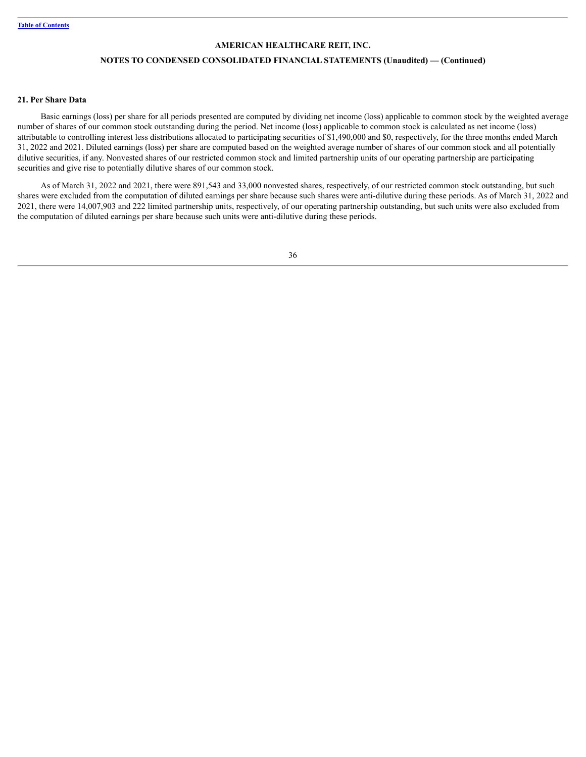#### **NOTES TO CONDENSED CONSOLIDATED FINANCIAL STATEMENTS (Unaudited) — (Continued)**

## **21. Per Share Data**

Basic earnings (loss) per share for all periods presented are computed by dividing net income (loss) applicable to common stock by the weighted average number of shares of our common stock outstanding during the period. Net income (loss) applicable to common stock is calculated as net income (loss) attributable to controlling interest less distributions allocated to participating securities of \$1,490,000 and \$0, respectively, for the three months ended March 31, 2022 and 2021. Diluted earnings (loss) per share are computed based on the weighted average number of shares of our common stock and all potentially dilutive securities, if any. Nonvested shares of our restricted common stock and limited partnership units of our operating partnership are participating securities and give rise to potentially dilutive shares of our common stock.

<span id="page-36-0"></span>As of March 31, 2022 and 2021, there were 891,543 and 33,000 nonvested shares, respectively, of our restricted common stock outstanding, but such shares were excluded from the computation of diluted earnings per share because such shares were anti-dilutive during these periods. As of March 31, 2022 and 2021, there were 14,007,903 and 222 limited partnership units, respectively, of our operating partnership outstanding, but such units were also excluded from the computation of diluted earnings per share because such units were anti-dilutive during these periods.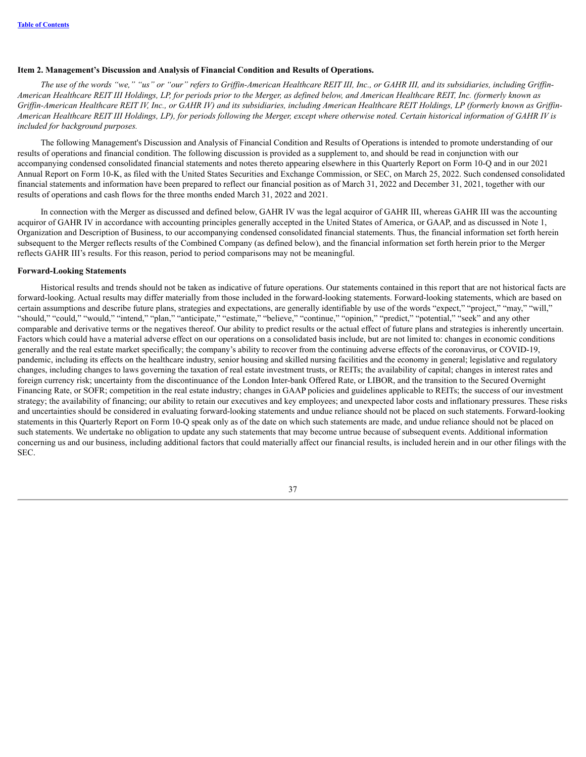#### **Item 2. Management's Discussion and Analysis of Financial Condition and Results of Operations.**

The use of the words "we," "us" or "our" refers to Griffin-American Healthcare REIT III, Inc., or GAHR III, and its subsidiaries, including Griffin-American Healthcare REIT III Holdings, LP, for periods prior to the Merger, as defined below, and American Healthcare REIT, Inc. (formerly known as Griffin-American Healthcare REIT IV, Inc., or GAHR IV) and its subsidiaries, including American Healthcare REIT Holdings, LP (formerly known as Griffin-American Healthcare REIT III Holdings, LP), for periods following the Merger, except where otherwise noted. Certain historical information of GAHR IV is *included for background purposes.*

The following Management's Discussion and Analysis of Financial Condition and Results of Operations is intended to promote understanding of our results of operations and financial condition. The following discussion is provided as a supplement to, and should be read in conjunction with our accompanying condensed consolidated financial statements and notes thereto appearing elsewhere in this Quarterly Report on Form 10-Q and in our 2021 Annual Report on Form 10-K, as filed with the United States Securities and Exchange Commission, or SEC, on March 25, 2022. Such condensed consolidated financial statements and information have been prepared to reflect our financial position as of March 31, 2022 and December 31, 2021, together with our results of operations and cash flows for the three months ended March 31, 2022 and 2021.

In connection with the Merger as discussed and defined below, GAHR IV was the legal acquiror of GAHR III, whereas GAHR III was the accounting acquiror of GAHR IV in accordance with accounting principles generally accepted in the United States of America, or GAAP, and as discussed in Note 1, Organization and Description of Business, to our accompanying condensed consolidated financial statements. Thus, the financial information set forth herein subsequent to the Merger reflects results of the Combined Company (as defined below), and the financial information set forth herein prior to the Merger reflects GAHR III's results. For this reason, period to period comparisons may not be meaningful.

#### **Forward-Looking Statements**

Historical results and trends should not be taken as indicative of future operations. Our statements contained in this report that are not historical facts are forward-looking. Actual results may differ materially from those included in the forward-looking statements. Forward-looking statements, which are based on certain assumptions and describe future plans, strategies and expectations, are generally identifiable by use of the words "expect," "project," "may," "will," "should," "could," "would," "intend," "plan," "anticipate," "estimate," "believe," "continue," "opinion," "predict," "potential," "seek" and any other comparable and derivative terms or the negatives thereof. Our ability to predict results or the actual effect of future plans and strategies is inherently uncertain. Factors which could have a material adverse effect on our operations on a consolidated basis include, but are not limited to: changes in economic conditions generally and the real estate market specifically; the company's ability to recover from the continuing adverse effects of the coronavirus, or COVID-19, pandemic, including its effects on the healthcare industry, senior housing and skilled nursing facilities and the economy in general; legislative and regulatory changes, including changes to laws governing the taxation of real estate investment trusts, or REITs; the availability of capital; changes in interest rates and foreign currency risk; uncertainty from the discontinuance of the London Inter-bank Offered Rate, or LIBOR, and the transition to the Secured Overnight Financing Rate, or SOFR; competition in the real estate industry; changes in GAAP policies and guidelines applicable to REITs; the success of our investment strategy; the availability of financing; our ability to retain our executives and key employees; and unexpected labor costs and inflationary pressures. These risks and uncertainties should be considered in evaluating forward-looking statements and undue reliance should not be placed on such statements. Forward-looking statements in this Quarterly Report on Form 10-Q speak only as of the date on which such statements are made, and undue reliance should not be placed on such statements. We undertake no obligation to update any such statements that may become untrue because of subsequent events. Additional information concerning us and our business, including additional factors that could materially affect our financial results, is included herein and in our other filings with the SEC.

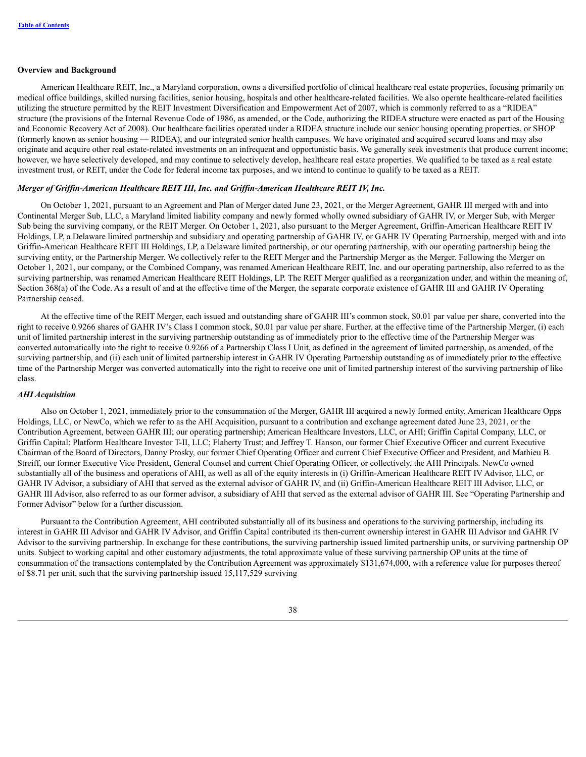#### **Overview and Background**

American Healthcare REIT, Inc., a Maryland corporation, owns a diversified portfolio of clinical healthcare real estate properties, focusing primarily on medical office buildings, skilled nursing facilities, senior housing, hospitals and other healthcare-related facilities. We also operate healthcare-related facilities utilizing the structure permitted by the REIT Investment Diversification and Empowerment Act of 2007, which is commonly referred to as a "RIDEA" structure (the provisions of the Internal Revenue Code of 1986, as amended, or the Code, authorizing the RIDEA structure were enacted as part of the Housing and Economic Recovery Act of 2008). Our healthcare facilities operated under a RIDEA structure include our senior housing operating properties, or SHOP (formerly known as senior housing — RIDEA), and our integrated senior health campuses. We have originated and acquired secured loans and may also originate and acquire other real estate-related investments on an infrequent and opportunistic basis. We generally seek investments that produce current income; however, we have selectively developed, and may continue to selectively develop, healthcare real estate properties. We qualified to be taxed as a real estate investment trust, or REIT, under the Code for federal income tax purposes, and we intend to continue to qualify to be taxed as a REIT.

## *Merger of Grif in-American Healthcare REIT III, Inc. and Grif in-American Healthcare REIT IV, Inc.*

On October 1, 2021, pursuant to an Agreement and Plan of Merger dated June 23, 2021, or the Merger Agreement, GAHR III merged with and into Continental Merger Sub, LLC, a Maryland limited liability company and newly formed wholly owned subsidiary of GAHR IV, or Merger Sub, with Merger Sub being the surviving company, or the REIT Merger. On October 1, 2021, also pursuant to the Merger Agreement, Griffin-American Healthcare REIT IV Holdings, LP, a Delaware limited partnership and subsidiary and operating partnership of GAHR IV, or GAHR IV Operating Partnership, merged with and into Griffin-American Healthcare REIT III Holdings, LP, a Delaware limited partnership, or our operating partnership, with our operating partnership being the surviving entity, or the Partnership Merger. We collectively refer to the REIT Merger and the Partnership Merger as the Merger. Following the Merger on October 1, 2021, our company, or the Combined Company, was renamed American Healthcare REIT, Inc. and our operating partnership, also referred to as the surviving partnership, was renamed American Healthcare REIT Holdings, LP. The REIT Merger qualified as a reorganization under, and within the meaning of, Section 368(a) of the Code. As a result of and at the effective time of the Merger, the separate corporate existence of GAHR III and GAHR IV Operating Partnership ceased.

At the effective time of the REIT Merger, each issued and outstanding share of GAHR III's common stock, \$0.01 par value per share, converted into the right to receive 0.9266 shares of GAHR IV's Class I common stock, \$0.01 par value per share. Further, at the effective time of the Partnership Merger, (i) each unit of limited partnership interest in the surviving partnership outstanding as of immediately prior to the effective time of the Partnership Merger was converted automatically into the right to receive 0.9266 of a Partnership Class I Unit, as defined in the agreement of limited partnership, as amended, of the surviving partnership, and (ii) each unit of limited partnership interest in GAHR IV Operating Partnership outstanding as of immediately prior to the effective time of the Partnership Merger was converted automatically into the right to receive one unit of limited partnership interest of the surviving partnership of like class.

#### *AHI Acquisition*

Also on October 1, 2021, immediately prior to the consummation of the Merger, GAHR III acquired a newly formed entity, American Healthcare Opps Holdings, LLC, or NewCo, which we refer to as the AHI Acquisition, pursuant to a contribution and exchange agreement dated June 23, 2021, or the Contribution Agreement, between GAHR III; our operating partnership; American Healthcare Investors, LLC, or AHI; Griffin Capital Company, LLC, or Griffin Capital; Platform Healthcare Investor T-II, LLC; Flaherty Trust; and Jeffrey T. Hanson, our former Chief Executive Officer and current Executive Chairman of the Board of Directors, Danny Prosky, our former Chief Operating Officer and current Chief Executive Officer and President, and Mathieu B. Streiff, our former Executive Vice President, General Counsel and current Chief Operating Officer, or collectively, the AHI Principals. NewCo owned substantially all of the business and operations of AHI, as well as all of the equity interests in (i) Griffin-American Healthcare REIT IV Advisor, LLC, or GAHR IV Advisor, a subsidiary of AHI that served as the external advisor of GAHR IV, and (ii) Griffin-American Healthcare REIT III Advisor, LLC, or GAHR III Advisor, also referred to as our former advisor, a subsidiary of AHI that served as the external advisor of GAHR III. See "Operating Partnership and Former Advisor" below for a further discussion.

Pursuant to the Contribution Agreement, AHI contributed substantially all of its business and operations to the surviving partnership, including its interest in GAHR III Advisor and GAHR IV Advisor, and Griffin Capital contributed its then-current ownership interest in GAHR III Advisor and GAHR IV Advisor to the surviving partnership. In exchange for these contributions, the surviving partnership issued limited partnership units, or surviving partnership OP units. Subject to working capital and other customary adjustments, the total approximate value of these surviving partnership OP units at the time of consummation of the transactions contemplated by the Contribution Agreement was approximately \$131,674,000, with a reference value for purposes thereof of \$8.71 per unit, such that the surviving partnership issued 15,117,529 surviving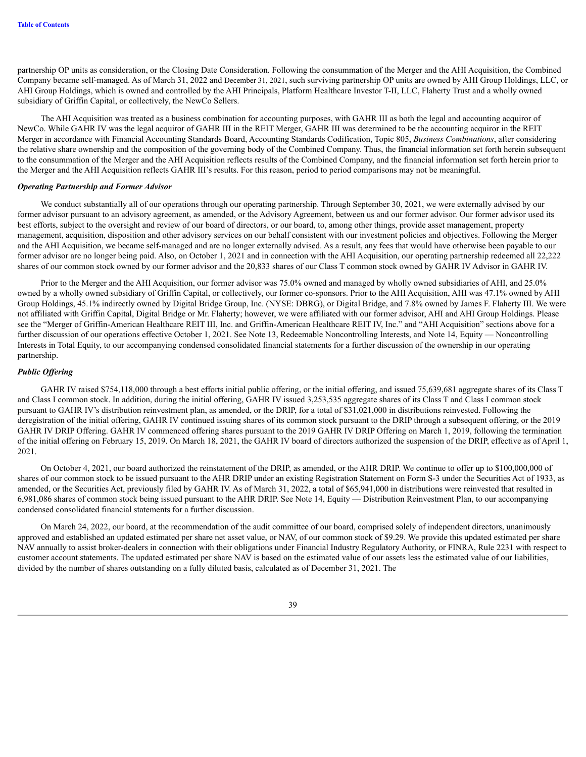partnership OP units as consideration, or the Closing Date Consideration. Following the consummation of the Merger and the AHI Acquisition, the Combined Company became self-managed. As of March 31, 2022 and December 31, 2021, such surviving partnership OP units are owned by AHI Group Holdings, LLC, or AHI Group Holdings, which is owned and controlled by the AHI Principals, Platform Healthcare Investor T-II, LLC, Flaherty Trust and a wholly owned subsidiary of Griffin Capital, or collectively, the NewCo Sellers.

The AHI Acquisition was treated as a business combination for accounting purposes, with GAHR III as both the legal and accounting acquiror of NewCo. While GAHR IV was the legal acquiror of GAHR III in the REIT Merger, GAHR III was determined to be the accounting acquiror in the REIT Merger in accordance with Financial Accounting Standards Board, Accounting Standards Codification, Topic 805, *Business Combinations*, after considering the relative share ownership and the composition of the governing body of the Combined Company. Thus, the financial information set forth herein subsequent to the consummation of the Merger and the AHI Acquisition reflects results of the Combined Company, and the financial information set forth herein prior to the Merger and the AHI Acquisition reflects GAHR III's results. For this reason, period to period comparisons may not be meaningful.

#### *Operating Partnership and Former Advisor*

We conduct substantially all of our operations through our operating partnership. Through September 30, 2021, we were externally advised by our former advisor pursuant to an advisory agreement, as amended, or the Advisory Agreement, between us and our former advisor. Our former advisor used its best efforts, subject to the oversight and review of our board of directors, or our board, to, among other things, provide asset management, property management, acquisition, disposition and other advisory services on our behalf consistent with our investment policies and objectives. Following the Merger and the AHI Acquisition, we became self-managed and are no longer externally advised. As a result, any fees that would have otherwise been payable to our former advisor are no longer being paid. Also, on October 1, 2021 and in connection with the AHI Acquisition, our operating partnership redeemed all 22,222 shares of our common stock owned by our former advisor and the 20,833 shares of our Class T common stock owned by GAHR IV Advisor in GAHR IV.

Prior to the Merger and the AHI Acquisition, our former advisor was 75.0% owned and managed by wholly owned subsidiaries of AHI, and 25.0% owned by a wholly owned subsidiary of Griffin Capital, or collectively, our former co-sponsors. Prior to the AHI Acquisition, AHI was 47.1% owned by AHI Group Holdings, 45.1% indirectly owned by Digital Bridge Group, Inc. (NYSE: DBRG), or Digital Bridge, and 7.8% owned by James F. Flaherty III. We were not affiliated with Griffin Capital, Digital Bridge or Mr. Flaherty; however, we were affiliated with our former advisor, AHI and AHI Group Holdings. Please see the "Merger of Griffin-American Healthcare REIT III, Inc. and Griffin-American Healthcare REIT IV, Inc." and "AHI Acquisition" sections above for a further discussion of our operations effective October 1, 2021. See Note 13, Redeemable Noncontrolling Interests, and Note 14, Equity — Noncontrolling Interests in Total Equity, to our accompanying condensed consolidated financial statements for a further discussion of the ownership in our operating partnership.

#### *Public Of ering*

GAHR IV raised \$754,118,000 through a best efforts initial public offering, or the initial offering, and issued 75,639,681 aggregate shares of its Class T and Class I common stock. In addition, during the initial offering, GAHR IV issued 3,253,535 aggregate shares of its Class T and Class I common stock pursuant to GAHR IV's distribution reinvestment plan, as amended, or the DRIP, for a total of \$31,021,000 in distributions reinvested. Following the deregistration of the initial offering, GAHR IV continued issuing shares of its common stock pursuant to the DRIP through a subsequent offering, or the 2019 GAHR IV DRIP Offering. GAHR IV commenced offering shares pursuant to the 2019 GAHR IV DRIP Offering on March 1, 2019, following the termination of the initial offering on February 15, 2019. On March 18, 2021, the GAHR IV board of directors authorized the suspension of the DRIP, effective as of April 1, 2021.

On October 4, 2021, our board authorized the reinstatement of the DRIP, as amended, or the AHR DRIP. We continue to offer up to \$100,000,000 of shares of our common stock to be issued pursuant to the AHR DRIP under an existing Registration Statement on Form S-3 under the Securities Act of 1933, as amended, or the Securities Act, previously filed by GAHR IV. As of March 31, 2022, a total of \$65,941,000 in distributions were reinvested that resulted in 6,981,086 shares of common stock being issued pursuant to the AHR DRIP. See Note 14, Equity — Distribution Reinvestment Plan, to our accompanying condensed consolidated financial statements for a further discussion.

On March 24, 2022, our board, at the recommendation of the audit committee of our board, comprised solely of independent directors, unanimously approved and established an updated estimated per share net asset value, or NAV, of our common stock of \$9.29. We provide this updated estimated per share NAV annually to assist broker-dealers in connection with their obligations under Financial Industry Regulatory Authority, or FINRA, Rule 2231 with respect to customer account statements. The updated estimated per share NAV is based on the estimated value of our assets less the estimated value of our liabilities, divided by the number of shares outstanding on a fully diluted basis, calculated as of December 31, 2021. The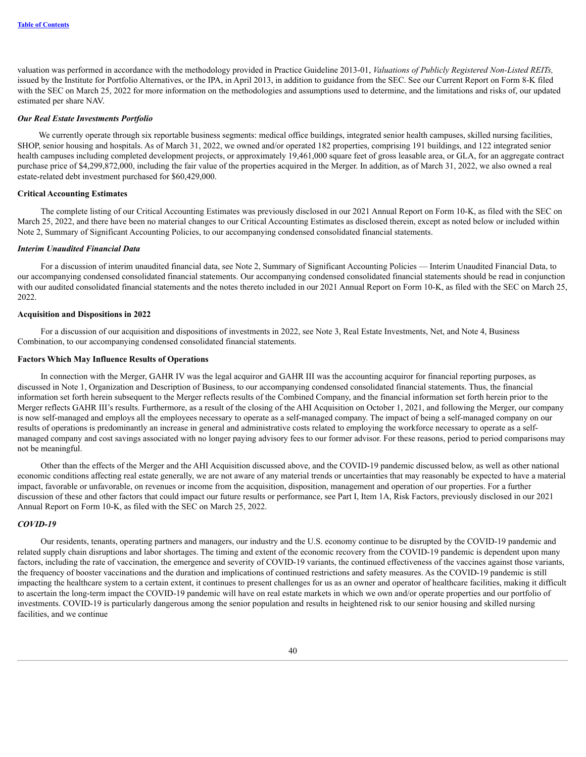valuation was performed in accordance with the methodology provided in Practice Guideline 2013-01, *Valuations of Publicly Registered Non-Listed REITs,* issued by the Institute for Portfolio Alternatives, or the IPA, in April 2013, in addition to guidance from the SEC. See our Current Report on Form 8-K filed with the SEC on March 25, 2022 for more information on the methodologies and assumptions used to determine, and the limitations and risks of, our updated estimated per share NAV.

#### *Our Real Estate Investments Portfolio*

We currently operate through six reportable business segments: medical office buildings, integrated senior health campuses, skilled nursing facilities, SHOP, senior housing and hospitals. As of March 31, 2022, we owned and/or operated 182 properties, comprising 191 buildings, and 122 integrated senior health campuses including completed development projects, or approximately 19,461,000 square feet of gross leasable area, or GLA, for an aggregate contract purchase price of \$4,299,872,000, including the fair value of the properties acquired in the Merger. In addition, as of March 31, 2022, we also owned a real estate-related debt investment purchased for \$60,429,000.

#### **Critical Accounting Estimates**

The complete listing of our Critical Accounting Estimates was previously disclosed in our 2021 Annual Report on Form 10-K, as filed with the SEC on March 25, 2022, and there have been no material changes to our Critical Accounting Estimates as disclosed therein, except as noted below or included within Note 2, Summary of Significant Accounting Policies, to our accompanying condensed consolidated financial statements.

#### *Interim Unaudited Financial Data*

For a discussion of interim unaudited financial data, see Note 2, Summary of Significant Accounting Policies — Interim Unaudited Financial Data, to our accompanying condensed consolidated financial statements. Our accompanying condensed consolidated financial statements should be read in conjunction with our audited consolidated financial statements and the notes thereto included in our 2021 Annual Report on Form 10-K, as filed with the SEC on March 25, 2022.

#### **Acquisition and Dispositions in 2022**

For a discussion of our acquisition and dispositions of investments in 2022, see Note 3, Real Estate Investments, Net, and Note 4, Business Combination, to our accompanying condensed consolidated financial statements.

#### **Factors Which May Influence Results of Operations**

In connection with the Merger, GAHR IV was the legal acquiror and GAHR III was the accounting acquiror for financial reporting purposes, as discussed in Note 1, Organization and Description of Business, to our accompanying condensed consolidated financial statements. Thus, the financial information set forth herein subsequent to the Merger reflects results of the Combined Company, and the financial information set forth herein prior to the Merger reflects GAHR III's results. Furthermore, as a result of the closing of the AHI Acquisition on October 1, 2021, and following the Merger, our company is now self-managed and employs all the employees necessary to operate as a self-managed company. The impact of being a self-managed company on our results of operations is predominantly an increase in general and administrative costs related to employing the workforce necessary to operate as a selfmanaged company and cost savings associated with no longer paying advisory fees to our former advisor. For these reasons, period to period comparisons may not be meaningful.

Other than the effects of the Merger and the AHI Acquisition discussed above, and the COVID-19 pandemic discussed below, as well as other national economic conditions affecting real estate generally, we are not aware of any material trends or uncertainties that may reasonably be expected to have a material impact, favorable or unfavorable, on revenues or income from the acquisition, disposition, management and operation of our properties. For a further discussion of these and other factors that could impact our future results or performance, see Part I, Item 1A, Risk Factors, previously disclosed in our 2021 Annual Report on Form 10-K, as filed with the SEC on March 25, 2022.

#### *COVID-19*

Our residents, tenants, operating partners and managers, our industry and the U.S. economy continue to be disrupted by the COVID-19 pandemic and related supply chain disruptions and labor shortages. The timing and extent of the economic recovery from the COVID-19 pandemic is dependent upon many factors, including the rate of vaccination, the emergence and severity of COVID-19 variants, the continued effectiveness of the vaccines against those variants, the frequency of booster vaccinations and the duration and implications of continued restrictions and safety measures. As the COVID-19 pandemic is still impacting the healthcare system to a certain extent, it continues to present challenges for us as an owner and operator of healthcare facilities, making it difficult to ascertain the long-term impact the COVID-19 pandemic will have on real estate markets in which we own and/or operate properties and our portfolio of investments. COVID-19 is particularly dangerous among the senior population and results in heightened risk to our senior housing and skilled nursing facilities, and we continue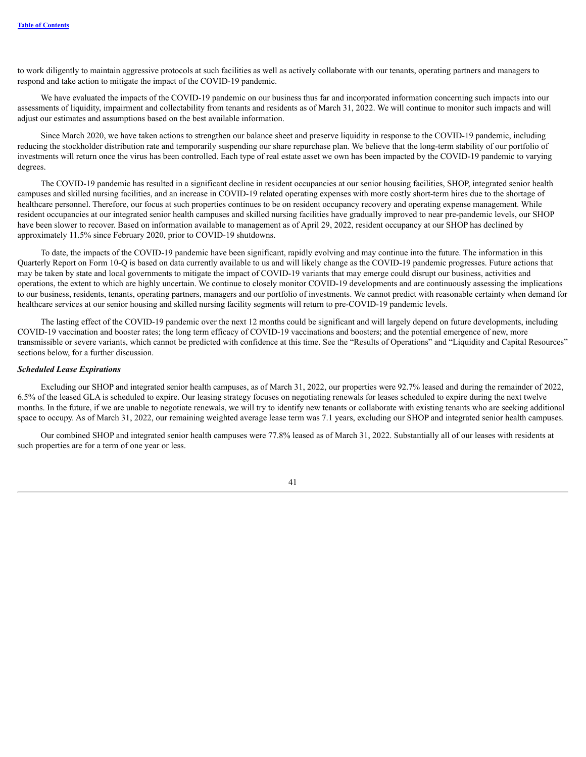to work diligently to maintain aggressive protocols at such facilities as well as actively collaborate with our tenants, operating partners and managers to respond and take action to mitigate the impact of the COVID-19 pandemic.

We have evaluated the impacts of the COVID-19 pandemic on our business thus far and incorporated information concerning such impacts into our assessments of liquidity, impairment and collectability from tenants and residents as of March 31, 2022. We will continue to monitor such impacts and will adjust our estimates and assumptions based on the best available information.

Since March 2020, we have taken actions to strengthen our balance sheet and preserve liquidity in response to the COVID-19 pandemic, including reducing the stockholder distribution rate and temporarily suspending our share repurchase plan. We believe that the long-term stability of our portfolio of investments will return once the virus has been controlled. Each type of real estate asset we own has been impacted by the COVID-19 pandemic to varying degrees.

The COVID-19 pandemic has resulted in a significant decline in resident occupancies at our senior housing facilities, SHOP, integrated senior health campuses and skilled nursing facilities, and an increase in COVID-19 related operating expenses with more costly short-term hires due to the shortage of healthcare personnel. Therefore, our focus at such properties continues to be on resident occupancy recovery and operating expense management. While resident occupancies at our integrated senior health campuses and skilled nursing facilities have gradually improved to near pre-pandemic levels, our SHOP have been slower to recover. Based on information available to management as of April 29, 2022, resident occupancy at our SHOP has declined by approximately 11.5% since February 2020, prior to COVID-19 shutdowns.

To date, the impacts of the COVID-19 pandemic have been significant, rapidly evolving and may continue into the future. The information in this Quarterly Report on Form 10-Q is based on data currently available to us and will likely change as the COVID-19 pandemic progresses. Future actions that may be taken by state and local governments to mitigate the impact of COVID-19 variants that may emerge could disrupt our business, activities and operations, the extent to which are highly uncertain. We continue to closely monitor COVID-19 developments and are continuously assessing the implications to our business, residents, tenants, operating partners, managers and our portfolio of investments. We cannot predict with reasonable certainty when demand for healthcare services at our senior housing and skilled nursing facility segments will return to pre-COVID-19 pandemic levels.

The lasting effect of the COVID-19 pandemic over the next 12 months could be significant and will largely depend on future developments, including COVID-19 vaccination and booster rates; the long term efficacy of COVID-19 vaccinations and boosters; and the potential emergence of new, more transmissible or severe variants, which cannot be predicted with confidence at this time. See the "Results of Operations" and "Liquidity and Capital Resources" sections below, for a further discussion.

#### *Scheduled Lease Expirations*

Excluding our SHOP and integrated senior health campuses, as of March 31, 2022, our properties were 92.7% leased and during the remainder of 2022, 6.5% of the leased GLA is scheduled to expire. Our leasing strategy focuses on negotiating renewals for leases scheduled to expire during the next twelve months. In the future, if we are unable to negotiate renewals, we will try to identify new tenants or collaborate with existing tenants who are seeking additional space to occupy. As of March 31, 2022, our remaining weighted average lease term was 7.1 years, excluding our SHOP and integrated senior health campuses.

Our combined SHOP and integrated senior health campuses were 77.8% leased as of March 31, 2022. Substantially all of our leases with residents at such properties are for a term of one year or less.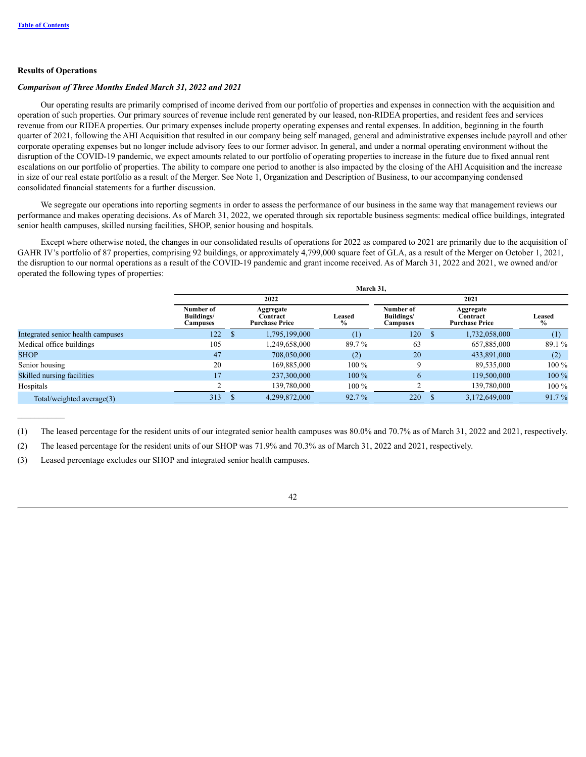$\mathcal{L}_\text{max}$ 

#### **Results of Operations**

#### *Comparison of Three Months Ended March 31, 2022 and 2021*

Our operating results are primarily comprised of income derived from our portfolio of properties and expenses in connection with the acquisition and operation of such properties. Our primary sources of revenue include rent generated by our leased, non-RIDEA properties, and resident fees and services revenue from our RIDEA properties. Our primary expenses include property operating expenses and rental expenses. In addition, beginning in the fourth quarter of 2021, following the AHI Acquisition that resulted in our company being self managed, general and administrative expenses include payroll and other corporate operating expenses but no longer include advisory fees to our former advisor. In general, and under a normal operating environment without the disruption of the COVID-19 pandemic, we expect amounts related to our portfolio of operating properties to increase in the future due to fixed annual rent escalations on our portfolio of properties. The ability to compare one period to another is also impacted by the closing of the AHI Acquisition and the increase in size of our real estate portfolio as a result of the Merger. See Note 1, Organization and Description of Business, to our accompanying condensed consolidated financial statements for a further discussion.

We segregate our operations into reporting segments in order to assess the performance of our business in the same way that management reviews our performance and makes operating decisions. As of March 31, 2022, we operated through six reportable business segments: medical office buildings, integrated senior health campuses, skilled nursing facilities, SHOP, senior housing and hospitals.

Except where otherwise noted, the changes in our consolidated results of operations for 2022 as compared to 2021 are primarily due to the acquisition of GAHR IV's portfolio of 87 properties, comprising 92 buildings, or approximately 4,799,000 square feet of GLA, as a result of the Merger on October 1, 2021, the disruption to our normal operations as a result of the COVID-19 pandemic and grant income received. As of March 31, 2022 and 2021, we owned and/or operated the following types of properties:

|                                   |                                                   |   |                                                | March 31.      |                                                    |                                                |               |                         |
|-----------------------------------|---------------------------------------------------|---|------------------------------------------------|----------------|----------------------------------------------------|------------------------------------------------|---------------|-------------------------|
|                                   |                                                   |   | 2022                                           |                |                                                    |                                                | 2021          |                         |
|                                   | Number of<br><b>Buildings/</b><br><b>Campuses</b> |   | Aggregate<br>Contract<br><b>Purchase Price</b> | Leased<br>$\%$ | Number of<br><b>Buildings</b> /<br><b>Campuses</b> | Aggregate<br>Contract<br><b>Purchase Price</b> |               | Leased<br>$\frac{0}{0}$ |
| Integrated senior health campuses | 122                                               | æ | 1,795,199,000                                  | (1)            | 120                                                |                                                | 1,732,058,000 | (1)                     |
| Medical office buildings          | 105                                               |   | 1,249,658,000                                  | 89.7%          | 63                                                 |                                                | 657,885,000   | 89.1 %                  |
| <b>SHOP</b>                       | 47                                                |   | 708,050,000                                    | (2)            | 20                                                 |                                                | 433,891,000   | (2)                     |
| Senior housing                    | 20                                                |   | 169,885,000                                    | $100\%$        | 9                                                  |                                                | 89,535,000    | $100\%$                 |
| Skilled nursing facilities        | 17                                                |   | 237,300,000                                    | $100\%$        | 6                                                  |                                                | 119,500,000   | $100\%$                 |
| Hospitals                         |                                                   |   | 139,780,000                                    | 100 %          |                                                    |                                                | 139,780,000   | $100\%$                 |
| Total/weighted average $(3)$      | 313                                               |   | 4,299,872,000                                  | $92.7\%$       | 220                                                |                                                | 3,172,649,000 | $91.7\%$                |

(1) The leased percentage for the resident units of our integrated senior health campuses was 80.0% and 70.7% as of March 31, 2022 and 2021, respectively.

(2) The leased percentage for the resident units of our SHOP was 71.9% and 70.3% as of March 31, 2022 and 2021, respectively.

(3) Leased percentage excludes our SHOP and integrated senior health campuses.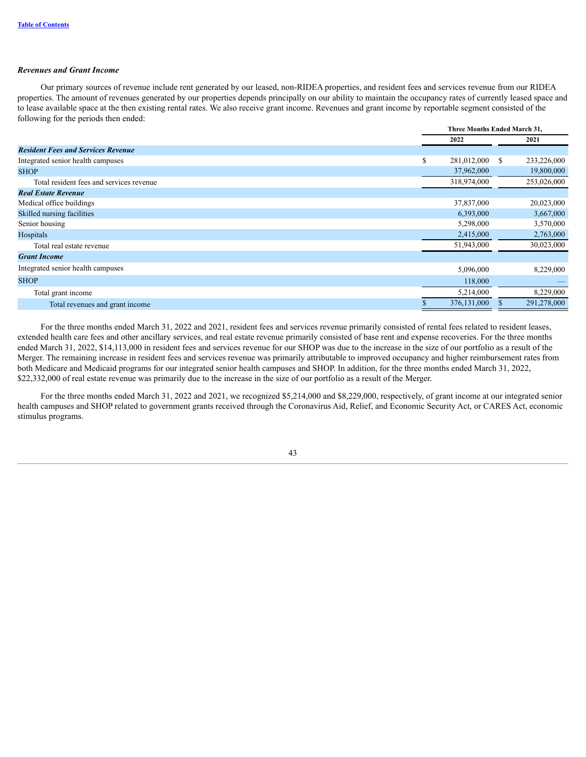#### *Revenues and Grant Income*

Our primary sources of revenue include rent generated by our leased, non-RIDEA properties, and resident fees and services revenue from our RIDEA properties. The amount of revenues generated by our properties depends principally on our ability to maintain the occupancy rates of currently leased space and to lease available space at the then existing rental rates. We also receive grant income. Revenues and grant income by reportable segment consisted of the following for the periods then ended:

|                                           | Three Months Ended March 31, |             |    |             |  |
|-------------------------------------------|------------------------------|-------------|----|-------------|--|
|                                           |                              | 2022        |    | 2021        |  |
| <b>Resident Fees and Services Revenue</b> |                              |             |    |             |  |
| Integrated senior health campuses         | \$                           | 281,012,000 | -S | 233,226,000 |  |
| <b>SHOP</b>                               |                              | 37,962,000  |    | 19,800,000  |  |
| Total resident fees and services revenue  |                              | 318,974,000 |    | 253,026,000 |  |
| <b>Real Estate Revenue</b>                |                              |             |    |             |  |
| Medical office buildings                  |                              | 37,837,000  |    | 20,023,000  |  |
| Skilled nursing facilities                |                              | 6,393,000   |    | 3,667,000   |  |
| Senior housing                            |                              | 5,298,000   |    | 3,570,000   |  |
| Hospitals                                 |                              | 2,415,000   |    | 2,763,000   |  |
| Total real estate revenue                 |                              | 51,943,000  |    | 30,023,000  |  |
| <b>Grant Income</b>                       |                              |             |    |             |  |
| Integrated senior health campuses         |                              | 5,096,000   |    | 8,229,000   |  |
| <b>SHOP</b>                               |                              | 118,000     |    |             |  |
| Total grant income                        |                              | 5,214,000   |    | 8,229,000   |  |
| Total revenues and grant income           |                              | 376,131,000 |    | 291,278,000 |  |

For the three months ended March 31, 2022 and 2021, resident fees and services revenue primarily consisted of rental fees related to resident leases, extended health care fees and other ancillary services, and real estate revenue primarily consisted of base rent and expense recoveries. For the three months ended March 31, 2022, \$14,113,000 in resident fees and services revenue for our SHOP was due to the increase in the size of our portfolio as a result of the Merger. The remaining increase in resident fees and services revenue was primarily attributable to improved occupancy and higher reimbursement rates from both Medicare and Medicaid programs for our integrated senior health campuses and SHOP. In addition, for the three months ended March 31, 2022, \$22,332,000 of real estate revenue was primarily due to the increase in the size of our portfolio as a result of the Merger.

For the three months ended March 31, 2022 and 2021, we recognized \$5,214,000 and \$8,229,000, respectively, of grant income at our integrated senior health campuses and SHOP related to government grants received through the Coronavirus Aid, Relief, and Economic Security Act, or CARES Act, economic stimulus programs.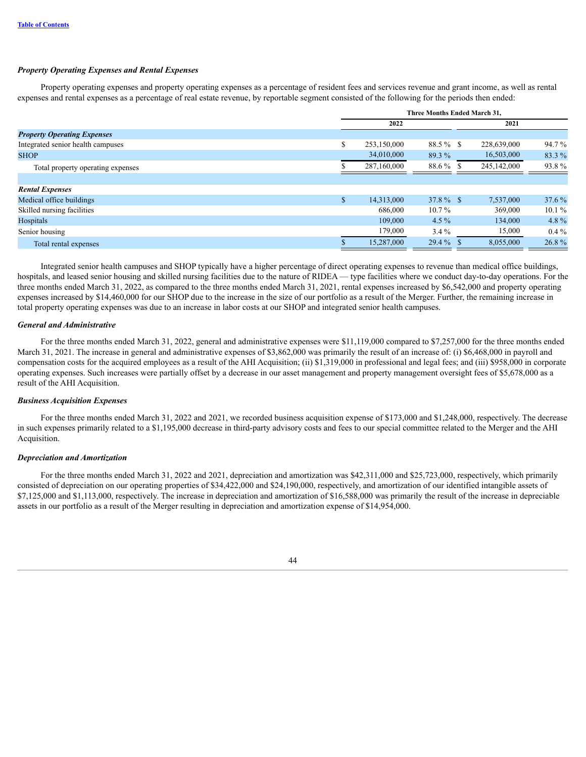#### *Property Operating Expenses and Rental Expenses*

Property operating expenses and property operating expenses as a percentage of resident fees and services revenue and grant income, as well as rental expenses and rental expenses as a percentage of real estate revenue, by reportable segment consisted of the following for the periods then ended:

|                                    | Three Months Ended March 31, |             |             |  |             |          |
|------------------------------------|------------------------------|-------------|-------------|--|-------------|----------|
|                                    | 2022                         |             |             |  | 2021        |          |
| <b>Property Operating Expenses</b> |                              |             |             |  |             |          |
| Integrated senior health campuses  | \$                           | 253.150.000 | 88.5% \$    |  | 228,639,000 | 94.7%    |
| <b>SHOP</b>                        |                              | 34,010,000  | 89.3 %      |  | 16,503,000  | 83.3 %   |
| Total property operating expenses  |                              | 287,160,000 | $88.6\%$ \$ |  | 245,142,000 | 93.8%    |
| <b>Rental Expenses</b>             |                              |             |             |  |             |          |
| Medical office buildings           | $\mathbb{S}$                 | 14,313,000  | $37.8\%$ \$ |  | 7,537,000   | 37.6 %   |
| Skilled nursing facilities         |                              | 686,000     | $10.7\%$    |  | 369,000     | $10.1\%$ |
| Hospitals                          |                              | 109,000     | $4.5\%$     |  | 134,000     | 4.8 $%$  |
| Senior housing                     |                              | 179,000     | $3.4\%$     |  | 15,000      | $0.4\%$  |
| Total rental expenses              |                              | 15,287,000  | 29.4 %      |  | 8,055,000   | 26.8%    |

Integrated senior health campuses and SHOP typically have a higher percentage of direct operating expenses to revenue than medical office buildings, hospitals, and leased senior housing and skilled nursing facilities due to the nature of RIDEA — type facilities where we conduct day-to-day operations. For the three months ended March 31, 2022, as compared to the three months ended March 31, 2021, rental expenses increased by \$6,542,000 and property operating expenses increased by \$14,460,000 for our SHOP due to the increase in the size of our portfolio as a result of the Merger. Further, the remaining increase in total property operating expenses was due to an increase in labor costs at our SHOP and integrated senior health campuses.

#### *General and Administrative*

For the three months ended March 31, 2022, general and administrative expenses were \$11,119,000 compared to \$7,257,000 for the three months ended March 31, 2021. The increase in general and administrative expenses of \$3,862,000 was primarily the result of an increase of: (i) \$6,468,000 in payroll and compensation costs for the acquired employees as a result of the AHI Acquisition; (ii) \$1,319,000 in professional and legal fees; and (iii) \$958,000 in corporate operating expenses. Such increases were partially offset by a decrease in our asset management and property management oversight fees of \$5,678,000 as a result of the AHI Acquisition.

#### *Business Acquisition Expenses*

For the three months ended March 31, 2022 and 2021, we recorded business acquisition expense of \$173,000 and \$1,248,000, respectively. The decrease in such expenses primarily related to a \$1,195,000 decrease in third-party advisory costs and fees to our special committee related to the Merger and the AHI Acquisition.

#### *Depreciation and Amortization*

For the three months ended March 31, 2022 and 2021, depreciation and amortization was \$42,311,000 and \$25,723,000, respectively, which primarily consisted of depreciation on our operating properties of \$34,422,000 and \$24,190,000, respectively, and amortization of our identified intangible assets of \$7,125,000 and \$1,113,000, respectively. The increase in depreciation and amortization of \$16,588,000 was primarily the result of the increase in depreciable assets in our portfolio as a result of the Merger resulting in depreciation and amortization expense of \$14,954,000.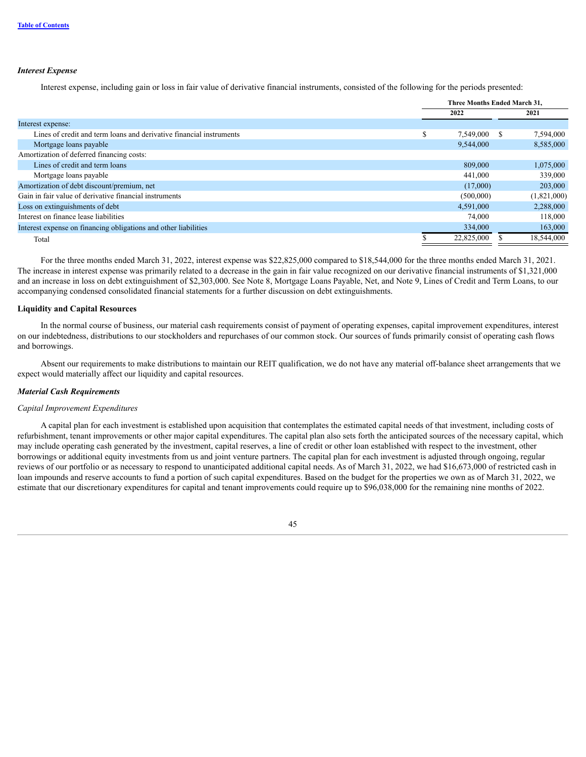#### *Interest Expense*

Interest expense, including gain or loss in fair value of derivative financial instruments, consisted of the following for the periods presented:

|                                                                     |   | Three Months Ended March 31, |     |             |  |
|---------------------------------------------------------------------|---|------------------------------|-----|-------------|--|
|                                                                     |   | 2022                         |     | 2021        |  |
| Interest expense:                                                   |   |                              |     |             |  |
| Lines of credit and term loans and derivative financial instruments | S | 7,549,000                    | - S | 7,594,000   |  |
| Mortgage loans payable                                              |   | 9,544,000                    |     | 8,585,000   |  |
| Amortization of deferred financing costs:                           |   |                              |     |             |  |
| Lines of credit and term loans                                      |   | 809,000                      |     | 1,075,000   |  |
| Mortgage loans payable                                              |   | 441,000                      |     | 339,000     |  |
| Amortization of debt discount/premium, net                          |   | (17,000)                     |     | 203,000     |  |
| Gain in fair value of derivative financial instruments              |   | (500,000)                    |     | (1,821,000) |  |
| Loss on extinguishments of debt                                     |   | 4,591,000                    |     | 2,288,000   |  |
| Interest on finance lease liabilities                               |   | 74,000                       |     | 118,000     |  |
| Interest expense on financing obligations and other liabilities     |   | 334,000                      |     | 163,000     |  |
| Total                                                               |   | 22,825,000                   |     | 18,544,000  |  |
|                                                                     |   |                              |     |             |  |

For the three months ended March 31, 2022, interest expense was \$22,825,000 compared to \$18,544,000 for the three months ended March 31, 2021. The increase in interest expense was primarily related to a decrease in the gain in fair value recognized on our derivative financial instruments of \$1,321,000 and an increase in loss on debt extinguishment of \$2,303,000. See Note 8, Mortgage Loans Payable, Net, and Note 9, Lines of Credit and Term Loans, to our accompanying condensed consolidated financial statements for a further discussion on debt extinguishments.

#### **Liquidity and Capital Resources**

In the normal course of business, our material cash requirements consist of payment of operating expenses, capital improvement expenditures, interest on our indebtedness, distributions to our stockholders and repurchases of our common stock. Our sources of funds primarily consist of operating cash flows and borrowings.

Absent our requirements to make distributions to maintain our REIT qualification, we do not have any material off-balance sheet arrangements that we expect would materially affect our liquidity and capital resources.

#### *Material Cash Requirements*

#### *Capital Improvement Expenditures*

A capital plan for each investment is established upon acquisition that contemplates the estimated capital needs of that investment, including costs of refurbishment, tenant improvements or other major capital expenditures. The capital plan also sets forth the anticipated sources of the necessary capital, which may include operating cash generated by the investment, capital reserves, a line of credit or other loan established with respect to the investment, other borrowings or additional equity investments from us and joint venture partners. The capital plan for each investment is adjusted through ongoing, regular reviews of our portfolio or as necessary to respond to unanticipated additional capital needs. As of March 31, 2022, we had \$16,673,000 of restricted cash in loan impounds and reserve accounts to fund a portion of such capital expenditures. Based on the budget for the properties we own as of March 31, 2022, we estimate that our discretionary expenditures for capital and tenant improvements could require up to \$96,038,000 for the remaining nine months of 2022.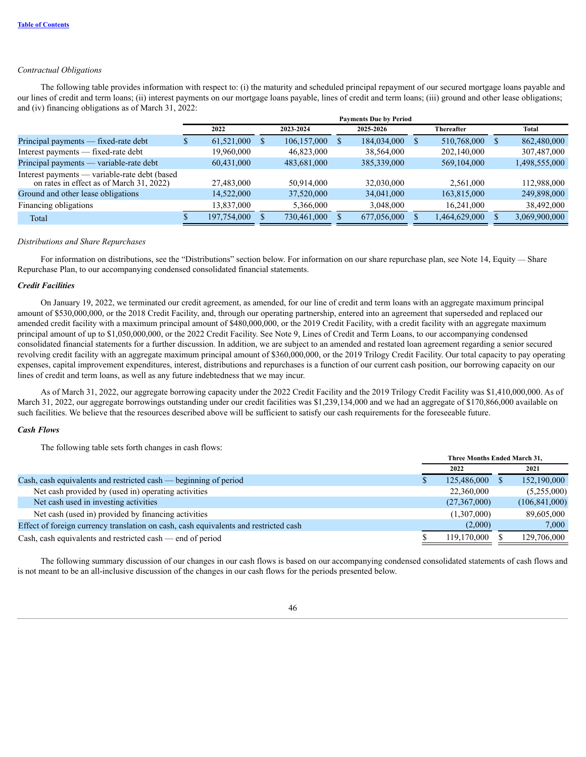#### *Contractual Obligations*

The following table provides information with respect to: (i) the maturity and scheduled principal repayment of our secured mortgage loans payable and our lines of credit and term loans; (ii) interest payments on our mortgage loans payable, lines of credit and term loans; (iii) ground and other lease obligations; and (iv) financing obligations as of March 31, 2022:

|                                                                                           | <b>Payments Due by Period</b> |             |  |             |  |             |   |                   |  |               |  |  |
|-------------------------------------------------------------------------------------------|-------------------------------|-------------|--|-------------|--|-------------|---|-------------------|--|---------------|--|--|
|                                                                                           |                               | 2022        |  | 2023-2024   |  | 2025-2026   |   | <b>Thereafter</b> |  | Total         |  |  |
| Principal payments — fixed-rate debt                                                      |                               | 61,521,000  |  | 106,157,000 |  | 184,034,000 | ъ | 510,768,000       |  | 862,480,000   |  |  |
| Interest payments — fixed-rate debt                                                       |                               | 19,960,000  |  | 46,823,000  |  | 38,564,000  |   | 202,140,000       |  | 307,487,000   |  |  |
| Principal payments — variable-rate debt                                                   |                               | 60,431,000  |  | 483,681,000 |  | 385,339,000 |   | 569,104,000       |  | 1,498,555,000 |  |  |
| Interest payments — variable-rate debt (based<br>on rates in effect as of March 31, 2022) |                               | 27,483,000  |  | 50.914.000  |  | 32,030,000  |   | 2.561.000         |  | 112,988,000   |  |  |
| Ground and other lease obligations                                                        |                               | 14,522,000  |  | 37,520,000  |  | 34,041,000  |   | 163,815,000       |  | 249,898,000   |  |  |
| Financing obligations                                                                     |                               | 13,837,000  |  | 5,366,000   |  | 3,048,000   |   | 16,241,000        |  | 38,492,000    |  |  |
| Total                                                                                     |                               | 197,754,000 |  | 730,461,000 |  | 677,056,000 |   | 1,464,629,000     |  | 3,069,900,000 |  |  |

#### *Distributions and Share Repurchases*

For information on distributions, see the "Distributions" section below. For information on our share repurchase plan, see Note 14, Equity — Share Repurchase Plan, to our accompanying condensed consolidated financial statements.

#### *Credit Facilities*

On January 19, 2022, we terminated our credit agreement, as amended, for our line of credit and term loans with an aggregate maximum principal amount of \$530,000,000, or the 2018 Credit Facility, and, through our operating partnership, entered into an agreement that superseded and replaced our amended credit facility with a maximum principal amount of \$480,000,000, or the 2019 Credit Facility, with a credit facility with an aggregate maximum principal amount of up to \$1,050,000,000, or the 2022 Credit Facility. See Note 9, Lines of Credit and Term Loans, to our accompanying condensed consolidated financial statements for a further discussion. In addition, we are subject to an amended and restated loan agreement regarding a senior secured revolving credit facility with an aggregate maximum principal amount of \$360,000,000, or the 2019 Trilogy Credit Facility. Our total capacity to pay operating expenses, capital improvement expenditures, interest, distributions and repurchases is a function of our current cash position, our borrowing capacity on our lines of credit and term loans, as well as any future indebtedness that we may incur.

As of March 31, 2022, our aggregate borrowing capacity under the 2022 Credit Facility and the 2019 Trilogy Credit Facility was \$1,410,000,000. As of March 31, 2022, our aggregate borrowings outstanding under our credit facilities was \$1,239,134,000 and we had an aggregate of \$170,866,000 available on such facilities. We believe that the resources described above will be sufficient to satisfy our cash requirements for the foreseeable future.

#### *Cash Flows*

The following table sets forth changes in cash flows:

|                                                                                      | Three Months Ended March 31, |              |  |                 |  |
|--------------------------------------------------------------------------------------|------------------------------|--------------|--|-----------------|--|
|                                                                                      | 2022                         |              |  | 2021            |  |
| Cash, cash equivalents and restricted cash — beginning of period                     |                              | 125,486,000  |  | 152,190,000     |  |
| Net cash provided by (used in) operating activities                                  |                              | 22,360,000   |  | (5,255,000)     |  |
| Net cash used in investing activities                                                |                              | (27,367,000) |  | (106, 841, 000) |  |
| Net cash (used in) provided by financing activities                                  |                              | (1,307,000)  |  | 89,605,000      |  |
| Effect of foreign currency translation on cash, cash equivalents and restricted cash |                              | (2,000)      |  | 7.000           |  |
| Cash, cash equivalents and restricted cash — end of period                           |                              | 119,170,000  |  | 129,706,000     |  |
|                                                                                      |                              |              |  |                 |  |

The following summary discussion of our changes in our cash flows is based on our accompanying condensed consolidated statements of cash flows and is not meant to be an all-inclusive discussion of the changes in our cash flows for the periods presented below.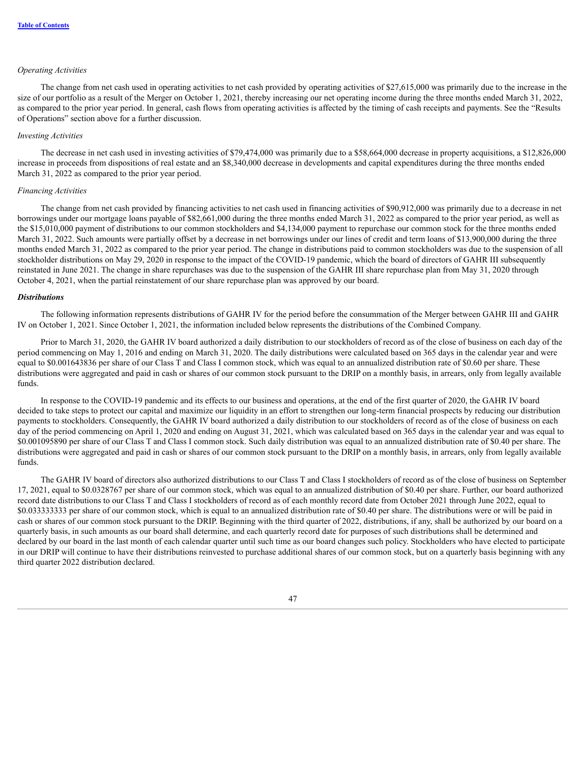#### *Operating Activities*

The change from net cash used in operating activities to net cash provided by operating activities of \$27,615,000 was primarily due to the increase in the size of our portfolio as a result of the Merger on October 1, 2021, thereby increasing our net operating income during the three months ended March 31, 2022, as compared to the prior year period. In general, cash flows from operating activities is affected by the timing of cash receipts and payments. See the "Results of Operations" section above for a further discussion.

#### *Investing Activities*

The decrease in net cash used in investing activities of \$79,474,000 was primarily due to a \$58,664,000 decrease in property acquisitions, a \$12,826,000 increase in proceeds from dispositions of real estate and an \$8,340,000 decrease in developments and capital expenditures during the three months ended March 31, 2022 as compared to the prior year period.

#### *Financing Activities*

The change from net cash provided by financing activities to net cash used in financing activities of \$90,912,000 was primarily due to a decrease in net borrowings under our mortgage loans payable of \$82,661,000 during the three months ended March 31, 2022 as compared to the prior year period, as well as the \$15,010,000 payment of distributions to our common stockholders and \$4,134,000 payment to repurchase our common stock for the three months ended March 31, 2022. Such amounts were partially offset by a decrease in net borrowings under our lines of credit and term loans of \$13,900,000 during the three months ended March 31, 2022 as compared to the prior year period. The change in distributions paid to common stockholders was due to the suspension of all stockholder distributions on May 29, 2020 in response to the impact of the COVID-19 pandemic, which the board of directors of GAHR III subsequently reinstated in June 2021. The change in share repurchases was due to the suspension of the GAHR III share repurchase plan from May 31, 2020 through October 4, 2021, when the partial reinstatement of our share repurchase plan was approved by our board.

#### *Distributions*

The following information represents distributions of GAHR IV for the period before the consummation of the Merger between GAHR III and GAHR IV on October 1, 2021. Since October 1, 2021, the information included below represents the distributions of the Combined Company.

Prior to March 31, 2020, the GAHR IV board authorized a daily distribution to our stockholders of record as of the close of business on each day of the period commencing on May 1, 2016 and ending on March 31, 2020. The daily distributions were calculated based on 365 days in the calendar year and were equal to \$0.001643836 per share of our Class T and Class I common stock, which was equal to an annualized distribution rate of \$0.60 per share. These distributions were aggregated and paid in cash or shares of our common stock pursuant to the DRIP on a monthly basis, in arrears, only from legally available funds.

In response to the COVID-19 pandemic and its effects to our business and operations, at the end of the first quarter of 2020, the GAHR IV board decided to take steps to protect our capital and maximize our liquidity in an effort to strengthen our long-term financial prospects by reducing our distribution payments to stockholders. Consequently, the GAHR IV board authorized a daily distribution to our stockholders of record as of the close of business on each day of the period commencing on April 1, 2020 and ending on August 31, 2021, which was calculated based on 365 days in the calendar year and was equal to \$0.001095890 per share of our Class T and Class I common stock. Such daily distribution was equal to an annualized distribution rate of \$0.40 per share. The distributions were aggregated and paid in cash or shares of our common stock pursuant to the DRIP on a monthly basis, in arrears, only from legally available funds.

The GAHR IV board of directors also authorized distributions to our Class T and Class I stockholders of record as of the close of business on September 17, 2021, equal to \$0.0328767 per share of our common stock, which was equal to an annualized distribution of \$0.40 per share. Further, our board authorized record date distributions to our Class T and Class I stockholders of record as of each monthly record date from October 2021 through June 2022, equal to \$0.033333333 per share of our common stock, which is equal to an annualized distribution rate of \$0.40 per share. The distributions were or will be paid in cash or shares of our common stock pursuant to the DRIP. Beginning with the third quarter of 2022, distributions, if any, shall be authorized by our board on a quarterly basis, in such amounts as our board shall determine, and each quarterly record date for purposes of such distributions shall be determined and declared by our board in the last month of each calendar quarter until such time as our board changes such policy. Stockholders who have elected to participate in our DRIP will continue to have their distributions reinvested to purchase additional shares of our common stock, but on a quarterly basis beginning with any third quarter 2022 distribution declared.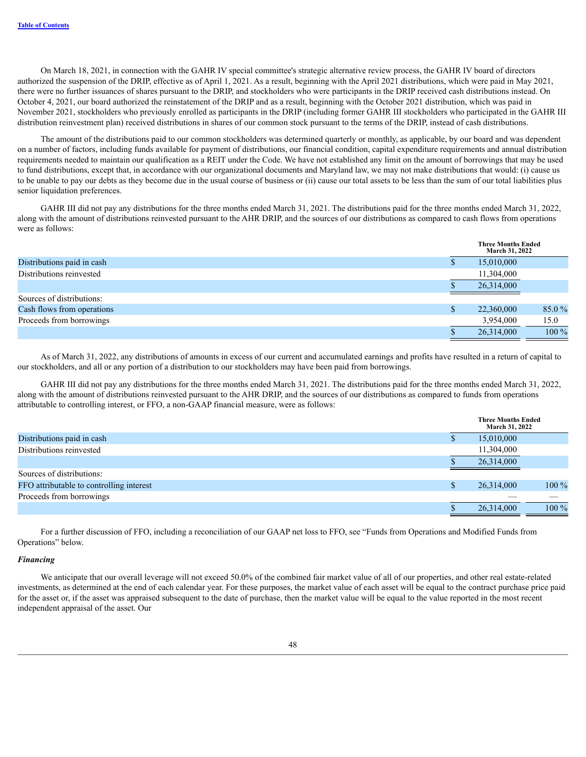On March 18, 2021, in connection with the GAHR IV special committee's strategic alternative review process, the GAHR IV board of directors authorized the suspension of the DRIP, effective as of April 1, 2021. As a result, beginning with the April 2021 distributions, which were paid in May 2021, there were no further issuances of shares pursuant to the DRIP, and stockholders who were participants in the DRIP received cash distributions instead. On October 4, 2021, our board authorized the reinstatement of the DRIP and as a result, beginning with the October 2021 distribution, which was paid in November 2021, stockholders who previously enrolled as participants in the DRIP (including former GAHR III stockholders who participated in the GAHR III distribution reinvestment plan) received distributions in shares of our common stock pursuant to the terms of the DRIP, instead of cash distributions.

The amount of the distributions paid to our common stockholders was determined quarterly or monthly, as applicable, by our board and was dependent on a number of factors, including funds available for payment of distributions, our financial condition, capital expenditure requirements and annual distribution requirements needed to maintain our qualification as a REIT under the Code. We have not established any limit on the amount of borrowings that may be used to fund distributions, except that, in accordance with our organizational documents and Maryland law, we may not make distributions that would: (i) cause us to be unable to pay our debts as they become due in the usual course of business or (ii) cause our total assets to be less than the sum of our total liabilities plus senior liquidation preferences.

GAHR III did not pay any distributions for the three months ended March 31, 2021. The distributions paid for the three months ended March 31, 2022, along with the amount of distributions reinvested pursuant to the AHR DRIP, and the sources of our distributions as compared to cash flows from operations were as follows:

|                            | <b>Three Months Ended</b><br><b>March 31, 2022</b> |        |
|----------------------------|----------------------------------------------------|--------|
| Distributions paid in cash | 15,010,000                                         |        |
| Distributions reinvested   | 11,304,000                                         |        |
|                            | 26,314,000                                         |        |
| Sources of distributions:  |                                                    |        |
| Cash flows from operations | 22,360,000                                         | 85.0 % |
| Proceeds from borrowings   | 3,954,000                                          | 15.0   |
|                            | 26,314,000                                         | 100 %  |

As of March 31, 2022, any distributions of amounts in excess of our current and accumulated earnings and profits have resulted in a return of capital to our stockholders, and all or any portion of a distribution to our stockholders may have been paid from borrowings.

GAHR III did not pay any distributions for the three months ended March 31, 2021. The distributions paid for the three months ended March 31, 2022, along with the amount of distributions reinvested pursuant to the AHR DRIP, and the sources of our distributions as compared to funds from operations attributable to controlling interest, or FFO, a non-GAAP financial measure, were as follows:

| <b>Three Months Ended</b><br><b>March 31, 2022</b> |       |  |  |
|----------------------------------------------------|-------|--|--|
| 15,010,000                                         |       |  |  |
| 11,304,000                                         |       |  |  |
| 26,314,000                                         |       |  |  |
|                                                    |       |  |  |
| 26,314,000                                         | 100 % |  |  |
|                                                    |       |  |  |
| 26,314,000                                         | 100 % |  |  |
|                                                    |       |  |  |

For a further discussion of FFO, including a reconciliation of our GAAP net loss to FFO, see "Funds from Operations and Modified Funds from Operations" below.

#### *Financing*

We anticipate that our overall leverage will not exceed 50.0% of the combined fair market value of all of our properties, and other real estate-related investments, as determined at the end of each calendar year. For these purposes, the market value of each asset will be equal to the contract purchase price paid for the asset or, if the asset was appraised subsequent to the date of purchase, then the market value will be equal to the value reported in the most recent independent appraisal of the asset. Our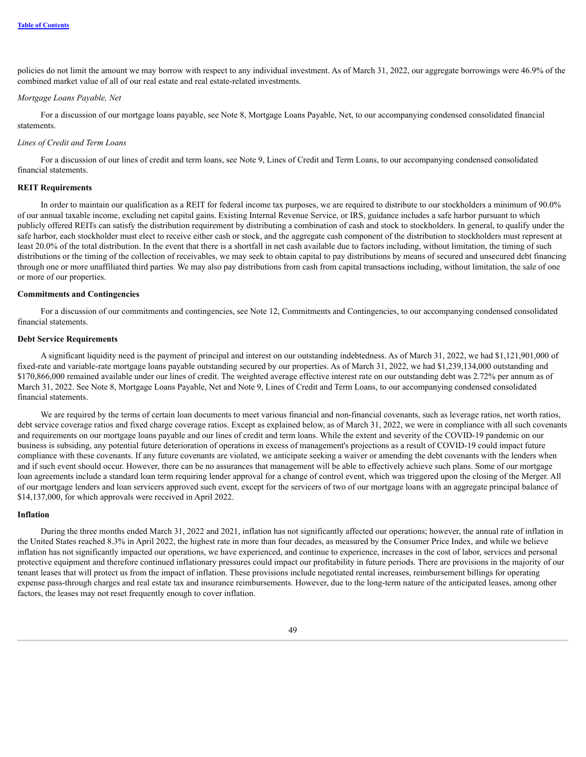policies do not limit the amount we may borrow with respect to any individual investment. As of March 31, 2022, our aggregate borrowings were 46.9% of the combined market value of all of our real estate and real estate-related investments.

#### *Mortgage Loans Payable, Net*

For a discussion of our mortgage loans payable, see Note 8, Mortgage Loans Payable, Net, to our accompanying condensed consolidated financial statements.

#### *Lines of Credit and Term Loans*

For a discussion of our lines of credit and term loans, see Note 9, Lines of Credit and Term Loans, to our accompanying condensed consolidated financial statements.

#### **REIT Requirements**

In order to maintain our qualification as a REIT for federal income tax purposes, we are required to distribute to our stockholders a minimum of 90.0% of our annual taxable income, excluding net capital gains. Existing Internal Revenue Service, or IRS, guidance includes a safe harbor pursuant to which publicly offered REITs can satisfy the distribution requirement by distributing a combination of cash and stock to stockholders. In general, to qualify under the safe harbor, each stockholder must elect to receive either cash or stock, and the aggregate cash component of the distribution to stockholders must represent at least 20.0% of the total distribution. In the event that there is a shortfall in net cash available due to factors including, without limitation, the timing of such distributions or the timing of the collection of receivables, we may seek to obtain capital to pay distributions by means of secured and unsecured debt financing through one or more unaffiliated third parties. We may also pay distributions from cash from capital transactions including, without limitation, the sale of one or more of our properties.

#### **Commitments and Contingencies**

For a discussion of our commitments and contingencies, see Note 12, Commitments and Contingencies, to our accompanying condensed consolidated financial statements.

#### **Debt Service Requirements**

A significant liquidity need is the payment of principal and interest on our outstanding indebtedness. As of March 31, 2022, we had \$1,121,901,000 of fixed-rate and variable-rate mortgage loans payable outstanding secured by our properties. As of March 31, 2022, we had \$1,239,134,000 outstanding and \$170,866,000 remained available under our lines of credit. The weighted average effective interest rate on our outstanding debt was 2.72% per annum as of March 31, 2022. See Note 8, Mortgage Loans Payable, Net and Note 9, Lines of Credit and Term Loans, to our accompanying condensed consolidated financial statements.

We are required by the terms of certain loan documents to meet various financial and non-financial covenants, such as leverage ratios, net worth ratios, debt service coverage ratios and fixed charge coverage ratios. Except as explained below, as of March 31, 2022, we were in compliance with all such covenants and requirements on our mortgage loans payable and our lines of credit and term loans. While the extent and severity of the COVID-19 pandemic on our business is subsiding, any potential future deterioration of operations in excess of management's projections as a result of COVID-19 could impact future compliance with these covenants. If any future covenants are violated, we anticipate seeking a waiver or amending the debt covenants with the lenders when and if such event should occur. However, there can be no assurances that management will be able to effectively achieve such plans. Some of our mortgage loan agreements include a standard loan term requiring lender approval for a change of control event, which was triggered upon the closing of the Merger. All of our mortgage lenders and loan servicers approved such event, except for the servicers of two of our mortgage loans with an aggregate principal balance of \$14,137,000, for which approvals were received in April 2022.

#### **Inflation**

During the three months ended March 31, 2022 and 2021, inflation has not significantly affected our operations; however, the annual rate of inflation in the United States reached 8.3% in April 2022, the highest rate in more than four decades, as measured by the Consumer Price Index, and while we believe inflation has not significantly impacted our operations, we have experienced, and continue to experience, increases in the cost of labor, services and personal protective equipment and therefore continued inflationary pressures could impact our profitability in future periods. There are provisions in the majority of our tenant leases that will protect us from the impact of inflation. These provisions include negotiated rental increases, reimbursement billings for operating expense pass-through charges and real estate tax and insurance reimbursements. However, due to the long-term nature of the anticipated leases, among other factors, the leases may not reset frequently enough to cover inflation.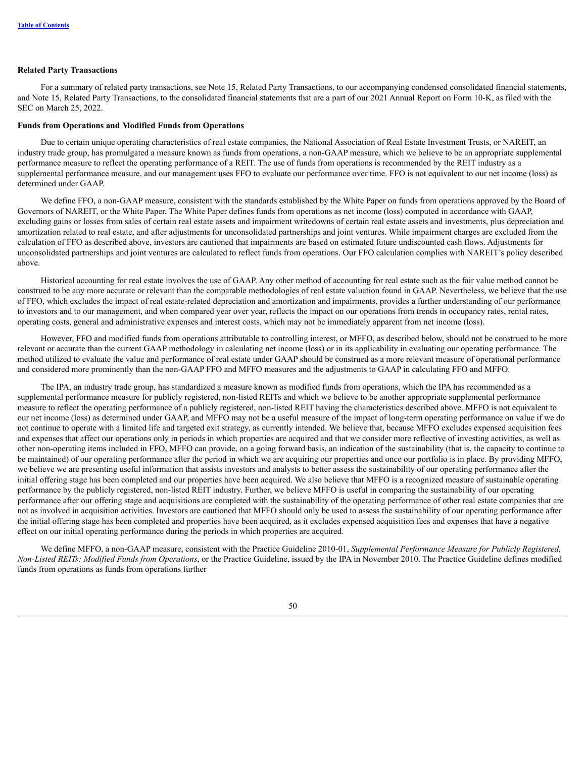#### **Related Party Transactions**

For a summary of related party transactions, see Note 15, Related Party Transactions, to our accompanying condensed consolidated financial statements, and Note 15, Related Party Transactions, to the consolidated financial statements that are a part of our 2021 Annual Report on Form 10-K, as filed with the SEC on March 25, 2022.

#### **Funds from Operations and Modified Funds from Operations**

Due to certain unique operating characteristics of real estate companies, the National Association of Real Estate Investment Trusts, or NAREIT, an industry trade group, has promulgated a measure known as funds from operations, a non-GAAP measure, which we believe to be an appropriate supplemental performance measure to reflect the operating performance of a REIT. The use of funds from operations is recommended by the REIT industry as a supplemental performance measure, and our management uses FFO to evaluate our performance over time. FFO is not equivalent to our net income (loss) as determined under GAAP.

We define FFO, a non-GAAP measure, consistent with the standards established by the White Paper on funds from operations approved by the Board of Governors of NAREIT, or the White Paper. The White Paper defines funds from operations as net income (loss) computed in accordance with GAAP, excluding gains or losses from sales of certain real estate assets and impairment writedowns of certain real estate assets and investments, plus depreciation and amortization related to real estate, and after adjustments for unconsolidated partnerships and joint ventures. While impairment charges are excluded from the calculation of FFO as described above, investors are cautioned that impairments are based on estimated future undiscounted cash flows. Adjustments for unconsolidated partnerships and joint ventures are calculated to reflect funds from operations. Our FFO calculation complies with NAREIT's policy described above.

Historical accounting for real estate involves the use of GAAP. Any other method of accounting for real estate such as the fair value method cannot be construed to be any more accurate or relevant than the comparable methodologies of real estate valuation found in GAAP. Nevertheless, we believe that the use of FFO, which excludes the impact of real estate-related depreciation and amortization and impairments, provides a further understanding of our performance to investors and to our management, and when compared year over year, reflects the impact on our operations from trends in occupancy rates, rental rates, operating costs, general and administrative expenses and interest costs, which may not be immediately apparent from net income (loss).

However, FFO and modified funds from operations attributable to controlling interest, or MFFO, as described below, should not be construed to be more relevant or accurate than the current GAAP methodology in calculating net income (loss) or in its applicability in evaluating our operating performance. The method utilized to evaluate the value and performance of real estate under GAAP should be construed as a more relevant measure of operational performance and considered more prominently than the non-GAAP FFO and MFFO measures and the adjustments to GAAP in calculating FFO and MFFO.

The IPA, an industry trade group, has standardized a measure known as modified funds from operations, which the IPA has recommended as a supplemental performance measure for publicly registered, non-listed REITs and which we believe to be another appropriate supplemental performance measure to reflect the operating performance of a publicly registered, non-listed REIT having the characteristics described above. MFFO is not equivalent to our net income (loss) as determined under GAAP, and MFFO may not be a useful measure of the impact of long-term operating performance on value if we do not continue to operate with a limited life and targeted exit strategy, as currently intended. We believe that, because MFFO excludes expensed acquisition fees and expenses that affect our operations only in periods in which properties are acquired and that we consider more reflective of investing activities, as well as other non-operating items included in FFO, MFFO can provide, on a going forward basis, an indication of the sustainability (that is, the capacity to continue to be maintained) of our operating performance after the period in which we are acquiring our properties and once our portfolio is in place. By providing MFFO, we believe we are presenting useful information that assists investors and analysts to better assess the sustainability of our operating performance after the initial offering stage has been completed and our properties have been acquired. We also believe that MFFO is a recognized measure of sustainable operating performance by the publicly registered, non-listed REIT industry. Further, we believe MFFO is useful in comparing the sustainability of our operating performance after our offering stage and acquisitions are completed with the sustainability of the operating performance of other real estate companies that are not as involved in acquisition activities. Investors are cautioned that MFFO should only be used to assess the sustainability of our operating performance after the initial offering stage has been completed and properties have been acquired, as it excludes expensed acquisition fees and expenses that have a negative effect on our initial operating performance during the periods in which properties are acquired.

We define MFFO, a non-GAAP measure, consistent with the Practice Guideline 2010-01, *Supplemental Performance Measure for Publicly Registered, Non-Listed REITs: Modified Funds from Operations*, or the Practice Guideline, issued by the IPA in November 2010. The Practice Guideline defines modified funds from operations as funds from operations further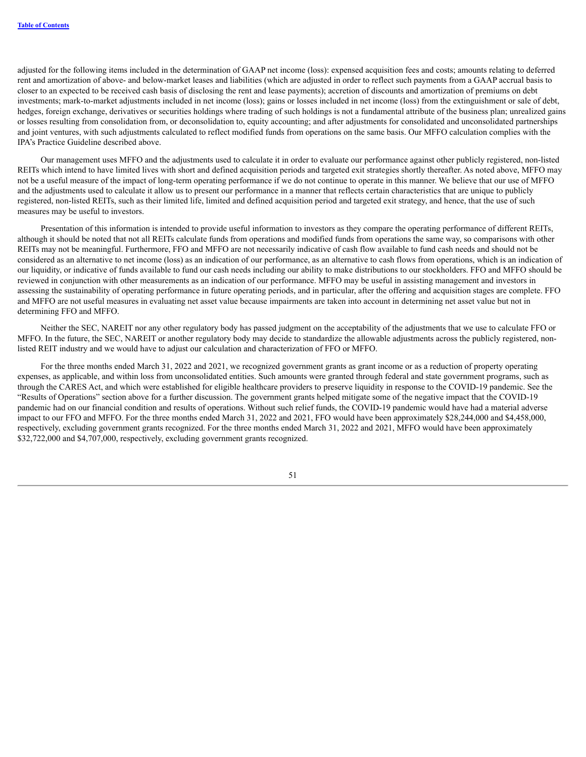adjusted for the following items included in the determination of GAAP net income (loss): expensed acquisition fees and costs; amounts relating to deferred rent and amortization of above- and below-market leases and liabilities (which are adjusted in order to reflect such payments from a GAAP accrual basis to closer to an expected to be received cash basis of disclosing the rent and lease payments); accretion of discounts and amortization of premiums on debt investments; mark-to-market adjustments included in net income (loss); gains or losses included in net income (loss) from the extinguishment or sale of debt, hedges, foreign exchange, derivatives or securities holdings where trading of such holdings is not a fundamental attribute of the business plan; unrealized gains or losses resulting from consolidation from, or deconsolidation to, equity accounting; and after adjustments for consolidated and unconsolidated partnerships and joint ventures, with such adjustments calculated to reflect modified funds from operations on the same basis. Our MFFO calculation complies with the IPA's Practice Guideline described above.

Our management uses MFFO and the adjustments used to calculate it in order to evaluate our performance against other publicly registered, non-listed REITs which intend to have limited lives with short and defined acquisition periods and targeted exit strategies shortly thereafter. As noted above, MFFO may not be a useful measure of the impact of long-term operating performance if we do not continue to operate in this manner. We believe that our use of MFFO and the adjustments used to calculate it allow us to present our performance in a manner that reflects certain characteristics that are unique to publicly registered, non-listed REITs, such as their limited life, limited and defined acquisition period and targeted exit strategy, and hence, that the use of such measures may be useful to investors.

Presentation of this information is intended to provide useful information to investors as they compare the operating performance of different REITs, although it should be noted that not all REITs calculate funds from operations and modified funds from operations the same way, so comparisons with other REITs may not be meaningful. Furthermore, FFO and MFFO are not necessarily indicative of cash flow available to fund cash needs and should not be considered as an alternative to net income (loss) as an indication of our performance, as an alternative to cash flows from operations, which is an indication of our liquidity, or indicative of funds available to fund our cash needs including our ability to make distributions to our stockholders. FFO and MFFO should be reviewed in conjunction with other measurements as an indication of our performance. MFFO may be useful in assisting management and investors in assessing the sustainability of operating performance in future operating periods, and in particular, after the offering and acquisition stages are complete. FFO and MFFO are not useful measures in evaluating net asset value because impairments are taken into account in determining net asset value but not in determining FFO and MFFO.

Neither the SEC, NAREIT nor any other regulatory body has passed judgment on the acceptability of the adjustments that we use to calculate FFO or MFFO. In the future, the SEC, NAREIT or another regulatory body may decide to standardize the allowable adjustments across the publicly registered, nonlisted REIT industry and we would have to adjust our calculation and characterization of FFO or MFFO.

For the three months ended March 31, 2022 and 2021, we recognized government grants as grant income or as a reduction of property operating expenses, as applicable, and within loss from unconsolidated entities. Such amounts were granted through federal and state government programs, such as through the CARES Act, and which were established for eligible healthcare providers to preserve liquidity in response to the COVID-19 pandemic. See the "Results of Operations" section above for a further discussion. The government grants helped mitigate some of the negative impact that the COVID-19 pandemic had on our financial condition and results of operations. Without such relief funds, the COVID-19 pandemic would have had a material adverse impact to our FFO and MFFO. For the three months ended March 31, 2022 and 2021, FFO would have been approximately \$28,244,000 and \$4,458,000, respectively, excluding government grants recognized. For the three months ended March 31, 2022 and 2021, MFFO would have been approximately \$32,722,000 and \$4,707,000, respectively, excluding government grants recognized.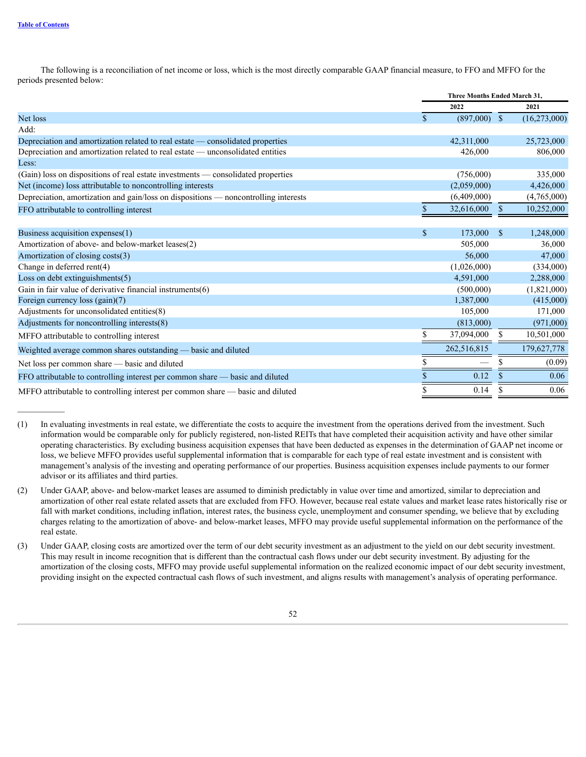$\mathcal{L}_\text{max}$ 

The following is a reconciliation of net income or loss, which is the most directly comparable GAAP financial measure, to FFO and MFFO for the periods presented below:

|                                                                                     | Three Months Ended March 31, |                |               |                |  |
|-------------------------------------------------------------------------------------|------------------------------|----------------|---------------|----------------|--|
|                                                                                     |                              | 2022           |               | 2021           |  |
| Net loss                                                                            | \$                           | $(897,000)$ \$ |               | (16, 273, 000) |  |
| Add:                                                                                |                              |                |               |                |  |
| Depreciation and amortization related to real estate — consolidated properties      |                              | 42,311,000     |               | 25,723,000     |  |
| Depreciation and amortization related to real estate — unconsolidated entities      |                              | 426,000        |               | 806,000        |  |
| Less:                                                                               |                              |                |               |                |  |
| (Gain) loss on dispositions of real estate investments - consolidated properties    |                              | (756,000)      |               | 335,000        |  |
| Net (income) loss attributable to noncontrolling interests                          |                              | (2,059,000)    |               | 4,426,000      |  |
| Depreciation, amortization and gain/loss on dispositions — noncontrolling interests |                              | (6,409,000)    |               | (4,765,000)    |  |
| FFO attributable to controlling interest                                            | \$                           | 32,616,000     | $\mathcal{S}$ | 10,252,000     |  |
|                                                                                     |                              |                |               |                |  |
| Business acquisition expenses(1)                                                    | \$                           | 173,000        | $\mathbf S$   | 1,248,000      |  |
| Amortization of above- and below-market leases(2)                                   |                              | 505,000        |               | 36,000         |  |
| Amortization of closing costs(3)                                                    |                              | 56,000         |               | 47,000         |  |
| Change in deferred rent $(4)$                                                       |                              | (1,026,000)    |               | (334,000)      |  |
| Loss on debt extinguishments $(5)$                                                  |                              | 4,591,000      |               | 2,288,000      |  |
| Gain in fair value of derivative financial instruments(6)                           |                              | (500,000)      |               | (1,821,000)    |  |
| Foreign currency loss (gain)(7)                                                     |                              | 1,387,000      |               | (415,000)      |  |
| Adjustments for unconsolidated entities(8)                                          |                              | 105,000        |               | 171,000        |  |
| Adjustments for noncontrolling interests(8)                                         |                              | (813,000)      |               | (971,000)      |  |
| MFFO attributable to controlling interest                                           | \$                           | 37,094,000     | <sup>\$</sup> | 10,501,000     |  |
| Weighted average common shares outstanding — basic and diluted                      |                              | 262,516,815    |               | 179,627,778    |  |
| Net loss per common share — basic and diluted                                       |                              |                |               | (0.09)         |  |
| FFO attributable to controlling interest per common share — basic and diluted       |                              | 0.12           | <sup>\$</sup> | 0.06           |  |
| MFFO attributable to controlling interest per common share — basic and diluted      |                              | 0.14           | S             | 0.06           |  |

<sup>(1)</sup> In evaluating investments in real estate, we differentiate the costs to acquire the investment from the operations derived from the investment. Such information would be comparable only for publicly registered, non-listed REITs that have completed their acquisition activity and have other similar operating characteristics. By excluding business acquisition expenses that have been deducted as expenses in the determination of GAAP net income or loss, we believe MFFO provides useful supplemental information that is comparable for each type of real estate investment and is consistent with management's analysis of the investing and operating performance of our properties. Business acquisition expenses include payments to our former advisor or its affiliates and third parties.

<sup>(2)</sup> Under GAAP, above- and below-market leases are assumed to diminish predictably in value over time and amortized, similar to depreciation and amortization of other real estate related assets that are excluded from FFO. However, because real estate values and market lease rates historically rise or fall with market conditions, including inflation, interest rates, the business cycle, unemployment and consumer spending, we believe that by excluding charges relating to the amortization of above- and below-market leases, MFFO may provide useful supplemental information on the performance of the real estate.

<sup>(3)</sup> Under GAAP, closing costs are amortized over the term of our debt security investment as an adjustment to the yield on our debt security investment. This may result in income recognition that is different than the contractual cash flows under our debt security investment. By adjusting for the amortization of the closing costs, MFFO may provide useful supplemental information on the realized economic impact of our debt security investment, providing insight on the expected contractual cash flows of such investment, and aligns results with management's analysis of operating performance.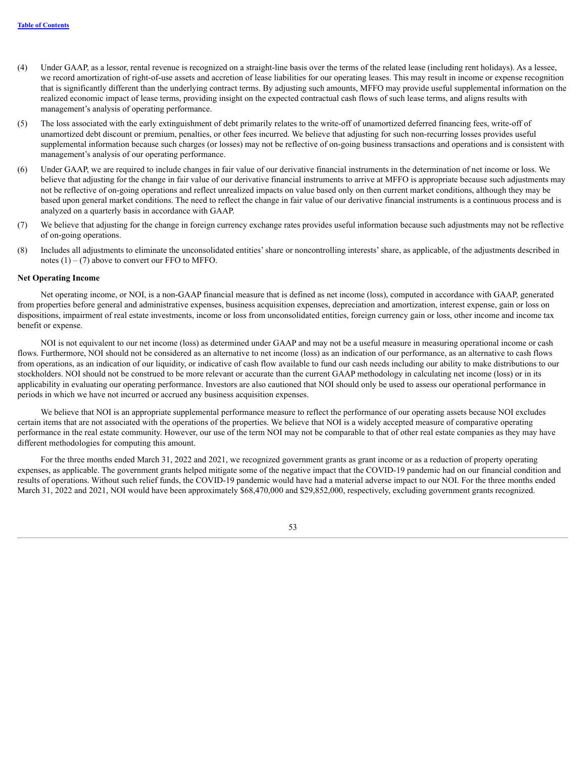- (4) Under GAAP, as a lessor, rental revenue is recognized on a straight-line basis over the terms of the related lease (including rent holidays). As a lessee, we record amortization of right-of-use assets and accretion of lease liabilities for our operating leases. This may result in income or expense recognition that is significantly different than the underlying contract terms. By adjusting such amounts, MFFO may provide useful supplemental information on the realized economic impact of lease terms, providing insight on the expected contractual cash flows of such lease terms, and aligns results with management's analysis of operating performance.
- (5) The loss associated with the early extinguishment of debt primarily relates to the write-off of unamortized deferred financing fees, write-off of unamortized debt discount or premium, penalties, or other fees incurred. We believe that adjusting for such non-recurring losses provides useful supplemental information because such charges (or losses) may not be reflective of on-going business transactions and operations and is consistent with management's analysis of our operating performance.
- (6) Under GAAP, we are required to include changes in fair value of our derivative financial instruments in the determination of net income or loss. We believe that adjusting for the change in fair value of our derivative financial instruments to arrive at MFFO is appropriate because such adjustments may not be reflective of on-going operations and reflect unrealized impacts on value based only on then current market conditions, although they may be based upon general market conditions. The need to reflect the change in fair value of our derivative financial instruments is a continuous process and is analyzed on a quarterly basis in accordance with GAAP.
- (7) We believe that adjusting for the change in foreign currency exchange rates provides useful information because such adjustments may not be reflective of on-going operations.
- (8) Includes all adjustments to eliminate the unconsolidated entities'share or noncontrolling interests'share, as applicable, of the adjustments described in notes  $(1) - (7)$  above to convert our FFO to MFFO.

#### **Net Operating Income**

Net operating income, or NOI, is a non-GAAP financial measure that is defined as net income (loss), computed in accordance with GAAP, generated from properties before general and administrative expenses, business acquisition expenses, depreciation and amortization, interest expense, gain or loss on dispositions, impairment of real estate investments, income or loss from unconsolidated entities, foreign currency gain or loss, other income and income tax benefit or expense.

NOI is not equivalent to our net income (loss) as determined under GAAP and may not be a useful measure in measuring operational income or cash flows. Furthermore, NOI should not be considered as an alternative to net income (loss) as an indication of our performance, as an alternative to cash flows from operations, as an indication of our liquidity, or indicative of cash flow available to fund our cash needs including our ability to make distributions to our stockholders. NOI should not be construed to be more relevant or accurate than the current GAAP methodology in calculating net income (loss) or in its applicability in evaluating our operating performance. Investors are also cautioned that NOI should only be used to assess our operational performance in periods in which we have not incurred or accrued any business acquisition expenses.

We believe that NOI is an appropriate supplemental performance measure to reflect the performance of our operating assets because NOI excludes certain items that are not associated with the operations of the properties. We believe that NOI is a widely accepted measure of comparative operating performance in the real estate community. However, our use of the term NOI may not be comparable to that of other real estate companies as they may have different methodologies for computing this amount.

For the three months ended March 31, 2022 and 2021, we recognized government grants as grant income or as a reduction of property operating expenses, as applicable. The government grants helped mitigate some of the negative impact that the COVID-19 pandemic had on our financial condition and results of operations. Without such relief funds, the COVID-19 pandemic would have had a material adverse impact to our NOI. For the three months ended March 31, 2022 and 2021, NOI would have been approximately \$68,470,000 and \$29,852,000, respectively, excluding government grants recognized.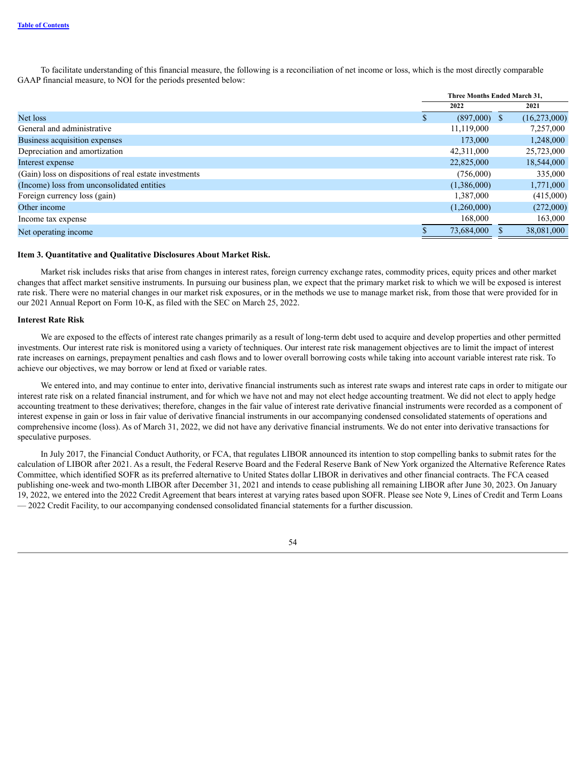To facilitate understanding of this financial measure, the following is a reconciliation of net income or loss, which is the most directly comparable GAAP financial measure, to NOI for the periods presented below:

|                                                        | Three Months Ended March 31, |                |  |                |  |
|--------------------------------------------------------|------------------------------|----------------|--|----------------|--|
|                                                        |                              | 2022           |  | 2021           |  |
| Net loss                                               | аĐ.                          | $(897,000)$ \$ |  | (16, 273, 000) |  |
| General and administrative                             |                              | 11,119,000     |  | 7,257,000      |  |
| Business acquisition expenses                          |                              | 173,000        |  | 1,248,000      |  |
| Depreciation and amortization                          |                              | 42,311,000     |  | 25,723,000     |  |
| Interest expense                                       |                              | 22,825,000     |  | 18,544,000     |  |
| (Gain) loss on dispositions of real estate investments |                              | (756,000)      |  | 335,000        |  |
| (Income) loss from unconsolidated entities             |                              | (1,386,000)    |  | 1,771,000      |  |
| Foreign currency loss (gain)                           |                              | 1,387,000      |  | (415,000)      |  |
| Other income                                           |                              | (1,260,000)    |  | (272,000)      |  |
| Income tax expense                                     |                              | 168,000        |  | 163,000        |  |
| Net operating income                                   |                              | 73,684,000     |  | 38,081,000     |  |

#### <span id="page-54-0"></span>**Item 3. Quantitative and Qualitative Disclosures About Market Risk.**

Market risk includes risks that arise from changes in interest rates, foreign currency exchange rates, commodity prices, equity prices and other market changes that affect market sensitive instruments. In pursuing our business plan, we expect that the primary market risk to which we will be exposed is interest rate risk. There were no material changes in our market risk exposures, or in the methods we use to manage market risk, from those that were provided for in our 2021 Annual Report on Form 10-K, as filed with the SEC on March 25, 2022.

#### **Interest Rate Risk**

We are exposed to the effects of interest rate changes primarily as a result of long-term debt used to acquire and develop properties and other permitted investments. Our interest rate risk is monitored using a variety of techniques. Our interest rate risk management objectives are to limit the impact of interest rate increases on earnings, prepayment penalties and cash flows and to lower overall borrowing costs while taking into account variable interest rate risk. To achieve our objectives, we may borrow or lend at fixed or variable rates.

We entered into, and may continue to enter into, derivative financial instruments such as interest rate swaps and interest rate caps in order to mitigate our interest rate risk on a related financial instrument, and for which we have not and may not elect hedge accounting treatment. We did not elect to apply hedge accounting treatment to these derivatives; therefore, changes in the fair value of interest rate derivative financial instruments were recorded as a component of interest expense in gain or loss in fair value of derivative financial instruments in our accompanying condensed consolidated statements of operations and comprehensive income (loss). As of March 31, 2022, we did not have any derivative financial instruments. We do not enter into derivative transactions for speculative purposes.

In July 2017, the Financial Conduct Authority, or FCA, that regulates LIBOR announced its intention to stop compelling banks to submit rates for the calculation of LIBOR after 2021. As a result, the Federal Reserve Board and the Federal Reserve Bank of New York organized the Alternative Reference Rates Committee, which identified SOFR as its preferred alternative to United States dollar LIBOR in derivatives and other financial contracts. The FCA ceased publishing one-week and two-month LIBOR after December 31, 2021 and intends to cease publishing all remaining LIBOR after June 30, 2023. On January 19, 2022, we entered into the 2022 Credit Agreement that bears interest at varying rates based upon SOFR. Please see Note 9, Lines of Credit and Term Loans — 2022 Credit Facility, to our accompanying condensed consolidated financial statements for a further discussion.

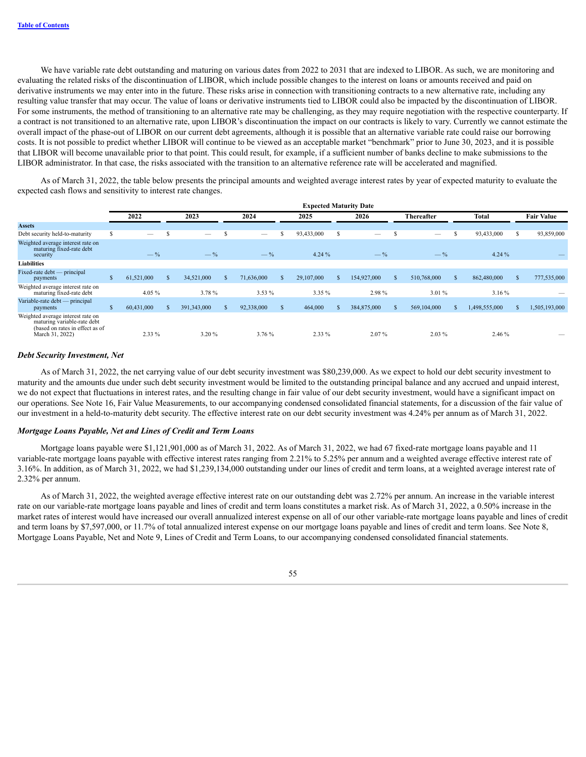We have variable rate debt outstanding and maturing on various dates from 2022 to 2031 that are indexed to LIBOR. As such, we are monitoring and evaluating the related risks of the discontinuation of LIBOR, which include possible changes to the interest on loans or amounts received and paid on derivative instruments we may enter into in the future. These risks arise in connection with transitioning contracts to a new alternative rate, including any resulting value transfer that may occur. The value of loans or derivative instruments tied to LIBOR could also be impacted by the discontinuation of LIBOR. For some instruments, the method of transitioning to an alternative rate may be challenging, as they may require negotiation with the respective counterparty. If a contract is not transitioned to an alternative rate, upon LIBOR's discontinuation the impact on our contracts is likely to vary. Currently we cannot estimate the overall impact of the phase-out of LIBOR on our current debt agreements, although it is possible that an alternative variable rate could raise our borrowing costs. It is not possible to predict whether LIBOR will continue to be viewed as an acceptable market "benchmark" prior to June 30, 2023, and it is possible that LIBOR will become unavailable prior to that point. This could result, for example, if a sufficient number of banks decline to make submissions to the LIBOR administrator. In that case, the risks associated with the transition to an alternative reference rate will be accelerated and magnified.

As of March 31, 2022, the table below presents the principal amounts and weighted average interest rates by year of expected maturity to evaluate the expected cash flows and sensitivity to interest rate changes.

|                                                                                                                        | <b>Expected Maturity Date</b> |                 |  |                |  |                 |     |            |               |                          |                    |                 |   |               |    |                   |
|------------------------------------------------------------------------------------------------------------------------|-------------------------------|-----------------|--|----------------|--|-----------------|-----|------------|---------------|--------------------------|--------------------|-----------------|---|---------------|----|-------------------|
|                                                                                                                        |                               | 2022            |  | 2023           |  | 2024            |     | 2025       |               | 2026                     |                    |                 |   | Total         |    | <b>Fair Value</b> |
| <b>Assets</b>                                                                                                          |                               |                 |  |                |  |                 |     |            |               |                          |                    |                 |   |               |    |                   |
| Debt security held-to-maturity                                                                                         | s                             | $\qquad \qquad$ |  | -              |  | $\qquad \qquad$ |     | 93,433,000 | <sup>\$</sup> | $\overline{\phantom{a}}$ |                    | $\qquad \qquad$ | S | 93,433,000    | \$ | 93,859,000        |
| Weighted average interest rate on<br>maturing fixed-rate debt<br>security                                              |                               | $-\frac{6}{6}$  |  | $-\frac{9}{6}$ |  | $-\frac{6}{6}$  |     | 4.24%      |               | $-\frac{9}{6}$           |                    | $-\frac{9}{6}$  |   | 4.24%         |    |                   |
| <b>Liabilities</b>                                                                                                     |                               |                 |  |                |  |                 |     |            |               |                          |                    |                 |   |               |    |                   |
| Fixed-rate debt — principal<br>payments                                                                                | S                             | 61,521,000      |  | 34,521,000     |  | 71,636,000      |     | 29,107,000 |               | 154,927,000              | $\mathbf{\hat{S}}$ | 510,768,000     |   | 862,480,000   |    | 777,535,000       |
| Weighted average interest rate on<br>maturing fixed-rate debt                                                          |                               | 4.05 %          |  | 3.78 %         |  | 3.53 %          |     | 3.35 %     |               | 2.98%                    |                    | 3.01%           |   | 3.16%         |    |                   |
| Variable-rate debt — principal<br>payments                                                                             | S                             | 60,431,000      |  | 391,343,000    |  | 92,338,000      | \$. | 464,000    |               | 384,875,000              |                    | 569,104,000     |   | 1,498,555,000 |    | 1,505,193,000     |
| Weighted average interest rate on<br>maturing variable-rate debt<br>(based on rates in effect as of<br>March 31, 2022) |                               | 2.33 %          |  | 3.20 %         |  | 3.76 %          |     | 2.33 %     |               | $2.07\%$                 |                    | $2.03\%$        |   | 2.46 %        |    |                   |

#### *Debt Security Investment, Net*

As of March 31, 2022, the net carrying value of our debt security investment was \$80,239,000. As we expect to hold our debt security investment to maturity and the amounts due under such debt security investment would be limited to the outstanding principal balance and any accrued and unpaid interest, we do not expect that fluctuations in interest rates, and the resulting change in fair value of our debt security investment, would have a significant impact on our operations. See Note 16, Fair Value Measurements, to our accompanying condensed consolidated financial statements, for a discussion of the fair value of our investment in a held-to-maturity debt security. The effective interest rate on our debt security investment was 4.24% per annum as of March 31, 2022.

#### *Mortgage Loans Payable, Net and Lines of Credit and Term Loans*

Mortgage loans payable were \$1,121,901,000 as of March 31, 2022. As of March 31, 2022, we had 67 fixed-rate mortgage loans payable and 11 variable-rate mortgage loans payable with effective interest rates ranging from 2.21% to 5.25% per annum and a weighted average effective interest rate of 3.16%. In addition, as of March 31, 2022, we had \$1,239,134,000 outstanding under our lines of credit and term loans, at a weighted average interest rate of 2.32% per annum.

As of March 31, 2022, the weighted average effective interest rate on our outstanding debt was 2.72% per annum. An increase in the variable interest rate on our variable-rate mortgage loans payable and lines of credit and term loans constitutes a market risk. As of March 31, 2022, a 0.50% increase in the market rates of interest would have increased our overall annualized interest expense on all of our other variable-rate mortgage loans payable and lines of credit and term loans by \$7,597,000, or 11.7% of total annualized interest expense on our mortgage loans payable and lines of credit and term loans. See Note 8, Mortgage Loans Payable, Net and Note 9, Lines of Credit and Term Loans, to our accompanying condensed consolidated financial statements.

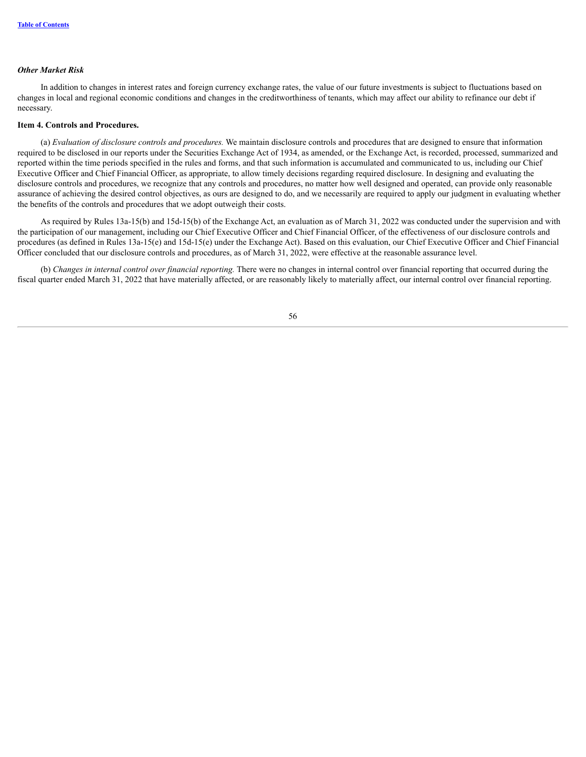#### *Other Market Risk*

In addition to changes in interest rates and foreign currency exchange rates, the value of our future investments is subject to fluctuations based on changes in local and regional economic conditions and changes in the creditworthiness of tenants, which may affect our ability to refinance our debt if necessary.

#### <span id="page-56-0"></span>**Item 4. Controls and Procedures.**

(a) *Evaluation of disclosure controls and procedures.* We maintain disclosure controls and procedures that are designed to ensure that information required to be disclosed in our reports under the Securities Exchange Act of 1934, as amended, or the Exchange Act, is recorded, processed, summarized and reported within the time periods specified in the rules and forms, and that such information is accumulated and communicated to us, including our Chief Executive Officer and Chief Financial Officer, as appropriate, to allow timely decisions regarding required disclosure. In designing and evaluating the disclosure controls and procedures, we recognize that any controls and procedures, no matter how well designed and operated, can provide only reasonable assurance of achieving the desired control objectives, as ours are designed to do, and we necessarily are required to apply our judgment in evaluating whether the benefits of the controls and procedures that we adopt outweigh their costs.

As required by Rules 13a-15(b) and 15d-15(b) of the Exchange Act, an evaluation as of March 31, 2022 was conducted under the supervision and with the participation of our management, including our Chief Executive Officer and Chief Financial Officer, of the effectiveness of our disclosure controls and procedures (as defined in Rules 13a-15(e) and 15d-15(e) under the Exchange Act). Based on this evaluation, our Chief Executive Officer and Chief Financial Officer concluded that our disclosure controls and procedures, as of March 31, 2022, were effective at the reasonable assurance level.

<span id="page-56-1"></span>(b) *Changes in internal control over financial reporting.* There were no changes in internal control over financial reporting that occurred during the fiscal quarter ended March 31, 2022 that have materially affected, or are reasonably likely to materially affect, our internal control over financial reporting.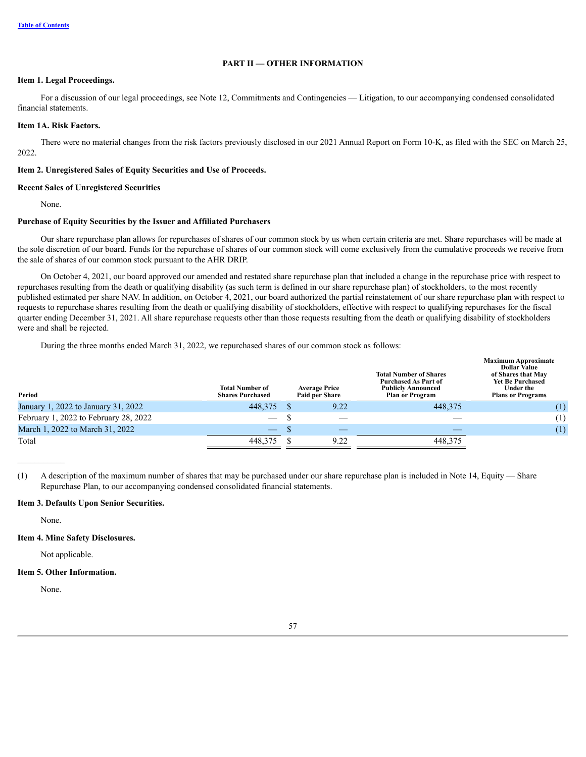#### **PART II — OTHER INFORMATION**

#### <span id="page-57-0"></span>**Item 1. Legal Proceedings.**

For a discussion of our legal proceedings, see Note 12, Commitments and Contingencies — Litigation, to our accompanying condensed consolidated financial statements.

#### <span id="page-57-1"></span>**Item 1A. Risk Factors.**

There were no material changes from the risk factors previously disclosed in our 2021 Annual Report on Form 10-K, as filed with the SEC on March 25, 2022.

#### <span id="page-57-2"></span>**Item 2. Unregistered Sales of Equity Securities and Use of Proceeds.**

#### **Recent Sales of Unregistered Securities**

None.

#### **Purchase of Equity Securities by the Issuer and Affiliated Purchasers**

Our share repurchase plan allows for repurchases of shares of our common stock by us when certain criteria are met. Share repurchases will be made at the sole discretion of our board. Funds for the repurchase of shares of our common stock will come exclusively from the cumulative proceeds we receive from the sale of shares of our common stock pursuant to the AHR DRIP.

On October 4, 2021, our board approved our amended and restated share repurchase plan that included a change in the repurchase price with respect to repurchases resulting from the death or qualifying disability (as such term is defined in our share repurchase plan) of stockholders, to the most recently published estimated per share NAV. In addition, on October 4, 2021, our board authorized the partial reinstatement of our share repurchase plan with respect to requests to repurchase shares resulting from the death or qualifying disability of stockholders, effective with respect to qualifying repurchases for the fiscal quarter ending December 31, 2021. All share repurchase requests other than those requests resulting from the death or qualifying disability of stockholders were and shall be rejected.

During the three months ended March 31, 2022, we repurchased shares of our common stock as follows:

| <b>Total Number of</b><br><b>Shares Purchased</b> | <b>Average Price</b><br>Paid per Share | <b>Total Number of Shares</b><br><b>Purchased As Part of</b><br><b>Publicly Announced</b><br><b>Plan or Program</b> | <b>Maximum Approximate</b><br><b>Dollar Value</b><br>of Shares that May<br><b>Yet Be Purchased</b><br>Under the<br><b>Plans or Programs</b> |
|---------------------------------------------------|----------------------------------------|---------------------------------------------------------------------------------------------------------------------|---------------------------------------------------------------------------------------------------------------------------------------------|
| 448,375                                           | 9.22                                   | 448,375                                                                                                             | $\left(1\right)$                                                                                                                            |
| $\hspace{0.05cm}$                                 |                                        |                                                                                                                     | $\left(1\right)$                                                                                                                            |
|                                                   |                                        |                                                                                                                     | $\left(1\right)$                                                                                                                            |
| 448,375                                           | 9.22                                   | 448,375                                                                                                             |                                                                                                                                             |
|                                                   |                                        |                                                                                                                     |                                                                                                                                             |

(1) A description of the maximum number of shares that may be purchased under our share repurchase plan is included in Note 14, Equity — Share Repurchase Plan, to our accompanying condensed consolidated financial statements.

#### <span id="page-57-3"></span>**Item 3. Defaults Upon Senior Securities.**

None.

#### <span id="page-57-4"></span>**Item 4. Mine Safety Disclosures.**

Not applicable.

#### <span id="page-57-5"></span>**Item 5. Other Information.**

<span id="page-57-6"></span>None.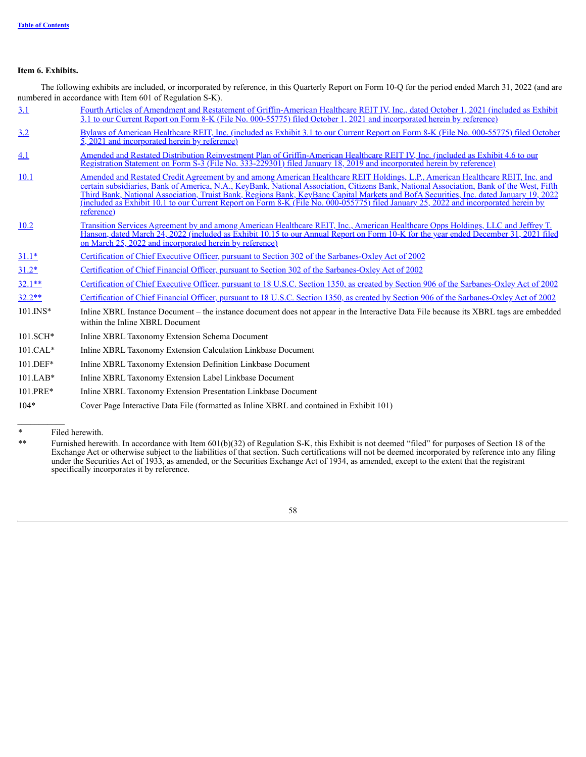#### **Item 6. Exhibits.**

The following exhibits are included, or incorporated by reference, in this Quarterly Report on Form 10-Q for the period ended March 31, 2022 (and are numbered in accordance with Item 601 of Regulation S-K).

- [3.1](https://content.edgar-online.com/ExternalLink/EDGAR/0001632970-21-000095.html?hash=18bb9b85c09d37fad25a90ad3c9ef513d80e7b8c4b06aab72328d55ef22fe4af&dest=exh31ahrmergerclosinggahri_htm) Fourth Articles of Amendment and Restatement of [Griffin-American](https://content.edgar-online.com/ExternalLink/EDGAR/0001632970-21-000095.html?hash=18bb9b85c09d37fad25a90ad3c9ef513d80e7b8c4b06aab72328d55ef22fe4af&dest=exh31ahrmergerclosinggahri_htm) Healthcare REIT IV, Inc., dated October 1, 2021 (included as Exhibit 3.1 to our Current Report on Form 8-K (File No. 000-55775) filed October 1, 2021 and [incorporated](https://content.edgar-online.com/ExternalLink/EDGAR/0001632970-21-000095.html?hash=18bb9b85c09d37fad25a90ad3c9ef513d80e7b8c4b06aab72328d55ef22fe4af&dest=exh31ahrmergerclosinggahri_htm) herein by reference)
- [3.2](https://content.edgar-online.com/ExternalLink/EDGAR/0001632970-21-000099.html?hash=fd3f4c5d82d1b61806bed6aa56e1b12a8cd93375509432c027a87cdb12802ec2&dest=exh31ahrformpostmergerbyla_htm) Bylaws of American Healthcare REIT, Inc. (included as Exhibit 3.1 to our Current Report on Form 8-K (File No. [000-55775\)](https://content.edgar-online.com/ExternalLink/EDGAR/0001632970-21-000099.html?hash=fd3f4c5d82d1b61806bed6aa56e1b12a8cd93375509432c027a87cdb12802ec2&dest=exh31ahrformpostmergerbyla_htm) filed October 2021 and [incorporated](https://content.edgar-online.com/ExternalLink/EDGAR/0001632970-21-000099.html?hash=fd3f4c5d82d1b61806bed6aa56e1b12a8cd93375509432c027a87cdb12802ec2&dest=exh31ahrformpostmergerbyla_htm) herein by reference)
- [4.1](https://content.edgar-online.com/ExternalLink/EDGAR/0001632970-19-000019.html?hash=18c27024ff803d42ea75dc1c8355e0d37ae8112cff1526be0a8e5dfdc5363613&dest=gahr4forms-3drip_htm_s1992693DF88150049C808945212EE540) Amended and Restated Distribution Reinvestment Plan of [Griffin-American](https://content.edgar-online.com/ExternalLink/EDGAR/0001632970-19-000019.html?hash=18c27024ff803d42ea75dc1c8355e0d37ae8112cff1526be0a8e5dfdc5363613&dest=gahr4forms-3drip_htm_s1992693DF88150049C808945212EE540) Healthcare REIT IV, Inc. (included as Exhibit 4.6 to our Registration Statement on Form S-3 (File No. [333-229301\)](https://content.edgar-online.com/ExternalLink/EDGAR/0001632970-19-000019.html?hash=18c27024ff803d42ea75dc1c8355e0d37ae8112cff1526be0a8e5dfdc5363613&dest=gahr4forms-3drip_htm_s1992693DF88150049C808945212EE540) filed January 18, 2019 and incorporated herein by reference)
- [10.1](https://content.edgar-online.com/ExternalLink/EDGAR/0001632970-22-000004.html?hash=497b90f0d5529817ee5f951e56295edca2f68695c317b9b709b645e7a8148070&dest=ex101ahrformreamendedandre_htm) Amended and Restated Credit [Agreement](https://content.edgar-online.com/ExternalLink/EDGAR/0001632970-22-000004.html?hash=497b90f0d5529817ee5f951e56295edca2f68695c317b9b709b645e7a8148070&dest=ex101ahrformreamendedandre_htm) by and among American Healthcare REIT Holdings, L.P., American [Healthcare](https://content.edgar-online.com/ExternalLink/EDGAR/0001632970-22-000004.html?hash=497b90f0d5529817ee5f951e56295edca2f68695c317b9b709b645e7a8148070&dest=ex101ahrformreamendedandre_htm) REIT, Inc. and certain [subsidiaries,](https://content.edgar-online.com/ExternalLink/EDGAR/0001632970-22-000004.html?hash=497b90f0d5529817ee5f951e56295edca2f68695c317b9b709b645e7a8148070&dest=ex101ahrformreamendedandre_htm) Bank of America, N.A., KeyBank, National Association, Citizens Bank, National [Association,](https://content.edgar-online.com/ExternalLink/EDGAR/0001632970-22-000004.html?hash=497b90f0d5529817ee5f951e56295edca2f68695c317b9b709b645e7a8148070&dest=ex101ahrformreamendedandre_htm) Bank of the West, Fifth Third Bank, National [Association,](https://content.edgar-online.com/ExternalLink/EDGAR/0001632970-22-000004.html?hash=497b90f0d5529817ee5f951e56295edca2f68695c317b9b709b645e7a8148070&dest=ex101ahrformreamendedandre_htm) Truist Bank, Regions Bank, KeyBanc Capital Markets and BofA Securities, Inc. dated January 19, 2022 (included as Exhibit 10.1 to our Current Report on Form 8-K (File No. [000-055775\)](https://content.edgar-online.com/ExternalLink/EDGAR/0001632970-22-000004.html?hash=497b90f0d5529817ee5f951e56295edca2f68695c317b9b709b645e7a8148070&dest=ex101ahrformreamendedandre_htm) filed January 25, 2022 and incorporated herein by [reference\)](https://content.edgar-online.com/ExternalLink/EDGAR/0001632970-22-000004.html?hash=497b90f0d5529817ee5f951e56295edca2f68695c317b9b709b645e7a8148070&dest=ex101ahrformreamendedandre_htm)
- [10.2](https://content.edgar-online.com/ExternalLink/EDGAR/0001632970-22-000020.html?hash=e4aa20ea36d9fb539fc789ffb209e1ef87cba45a83f9de7efeac2e78cab98dd2&dest=ex1015-2021xq410xkahr_htm) Transition Services [Agreement](https://content.edgar-online.com/ExternalLink/EDGAR/0001632970-22-000020.html?hash=e4aa20ea36d9fb539fc789ffb209e1ef87cba45a83f9de7efeac2e78cab98dd2&dest=ex1015-2021xq410xkahr_htm) by and among American Healthcare REIT, Inc., American Healthcare Opps Holdings, LLC and Jeffrey T. Hanson, dated March 24, 2022 (included as Exhibit 10.15 to our Annual Report on Form 10-K for the year ended [December](https://content.edgar-online.com/ExternalLink/EDGAR/0001632970-22-000020.html?hash=e4aa20ea36d9fb539fc789ffb209e1ef87cba45a83f9de7efeac2e78cab98dd2&dest=ex1015-2021xq410xkahr_htm) 31, 2021 filed on March 25, 2022 and [incorporated](https://content.edgar-online.com/ExternalLink/EDGAR/0001632970-22-000020.html?hash=e4aa20ea36d9fb539fc789ffb209e1ef87cba45a83f9de7efeac2e78cab98dd2&dest=ex1015-2021xq410xkahr_htm) herein by reference)
- [31.1\\*](#page-60-0) Certification of Chief Executive Officer, pursuant to Section 302 of the [Sarbanes-Oxley](#page-60-0) Act of 2002
- [31.2\\*](#page-61-0) Certification of Chief Financial Officer, pursuant to Section 302 of the [Sarbanes-Oxley](#page-61-0) Act of 2002
- [32.1\\*\\*](#page-62-0) Certification of Chief Executive Officer, pursuant to 18 U.S.C. Section 1350, as created by Section 906 of the [Sarbanes-Oxley](#page-62-0) Act of 2002
- [32.2\\*\\*](#page-63-0) Certification of Chief Financial Officer, pursuant to 18 U.S.C. Section 1350, as created by Section 906 of the [Sarbanes-Oxley](#page-63-0) Act of 2002
- 101.INS\* Inline XBRL Instance Document the instance document does not appear in the Interactive Data File because its XBRL tags are embedded within the Inline XBRL Document
- 101.SCH\* Inline XBRL Taxonomy Extension Schema Document
- 101.CAL\* Inline XBRL Taxonomy Extension Calculation Linkbase Document
- 101.DEF\* Inline XBRL Taxonomy Extension Definition Linkbase Document
- 101.LAB\* Inline XBRL Taxonomy Extension Label Linkbase Document
- 101.PRE\* Inline XBRL Taxonomy Extension Presentation Linkbase Document
- 104\* Cover Page Interactive Data File (formatted as Inline XBRL and contained in Exhibit 101)

 $\mathcal{L}_\text{max}$ 

Filed herewith.

<span id="page-58-0"></span>Furnished herewith. In accordance with Item 601(b)(32) of Regulation S-K, this Exhibit is not deemed "filed" for purposes of Section 18 of the Exchange Act or otherwise subject to the liabilities of that section. Such certifications will not be deemed incorporated by reference into any filing under the Securities Act of 1933, as amended, or the Securities Exchange Act of 1934, as amended, except to the extent that the registrant specifically incorporates it by reference.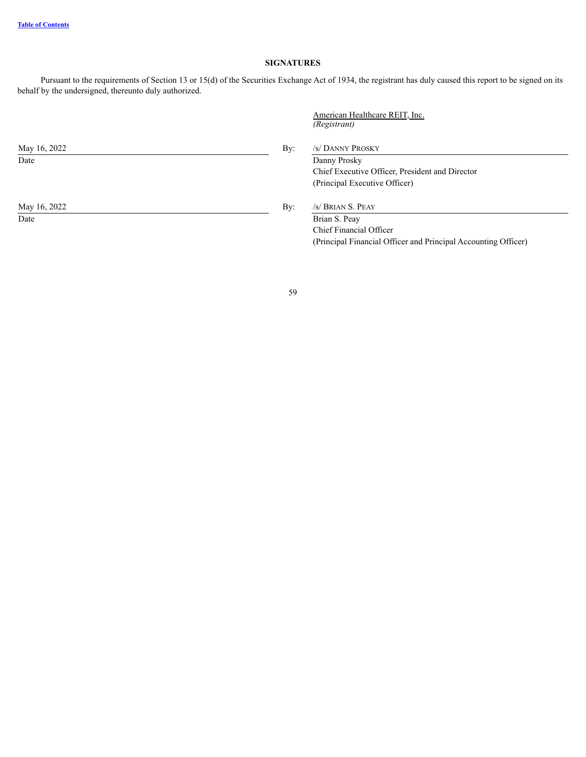## **SIGNATURES**

Pursuant to the requirements of Section 13 or 15(d) of the Securities Exchange Act of 1934, the registrant has duly caused this report to be signed on its behalf by the undersigned, thereunto duly authorized.

May 16, 2022 By: /s/ DANNY PROSKY Date Danny Prosky

*(Registrant)*

Chief Executive Officer, President and Director (Principal Executive Officer)

American Healthcare REIT, Inc.

Date Brian S. Peay

## May 16, 2022 BRIAN S. PEAY

Chief Financial Officer (Principal Financial Officer and Principal Accounting Officer)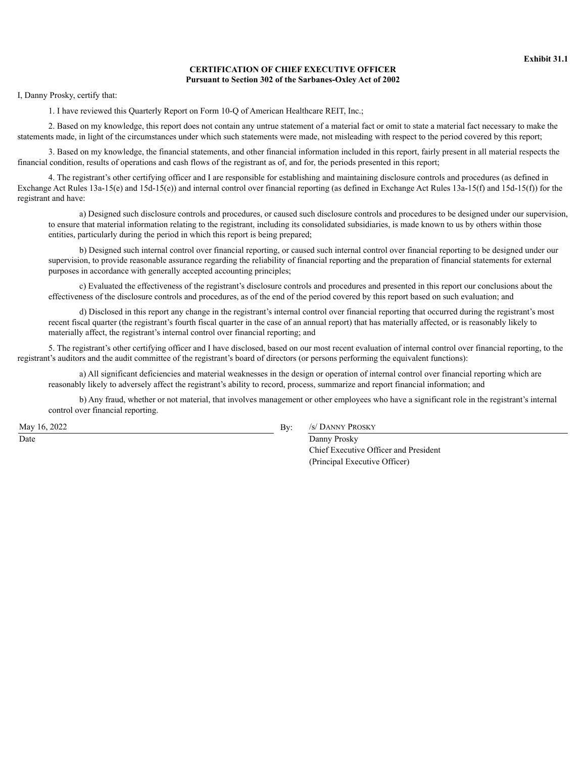#### **CERTIFICATION OF CHIEF EXECUTIVE OFFICER Pursuant to Section 302 of the Sarbanes-Oxley Act of 2002**

<span id="page-60-0"></span>I, Danny Prosky, certify that:

1. I have reviewed this Quarterly Report on Form 10-Q of American Healthcare REIT, Inc.;

2. Based on my knowledge, this report does not contain any untrue statement of a material fact or omit to state a material fact necessary to make the statements made, in light of the circumstances under which such statements were made, not misleading with respect to the period covered by this report;

3. Based on my knowledge, the financial statements, and other financial information included in this report, fairly present in all material respects the financial condition, results of operations and cash flows of the registrant as of, and for, the periods presented in this report;

4. The registrant's other certifying officer and I are responsible for establishing and maintaining disclosure controls and procedures (as defined in Exchange Act Rules 13a-15(e) and 15d-15(e)) and internal control over financial reporting (as defined in Exchange Act Rules 13a-15(f) and 15d-15(f)) for the registrant and have:

a) Designed such disclosure controls and procedures, or caused such disclosure controls and procedures to be designed under our supervision, to ensure that material information relating to the registrant, including its consolidated subsidiaries, is made known to us by others within those entities, particularly during the period in which this report is being prepared;

b) Designed such internal control over financial reporting, or caused such internal control over financial reporting to be designed under our supervision, to provide reasonable assurance regarding the reliability of financial reporting and the preparation of financial statements for external purposes in accordance with generally accepted accounting principles;

c) Evaluated the effectiveness of the registrant's disclosure controls and procedures and presented in this report our conclusions about the effectiveness of the disclosure controls and procedures, as of the end of the period covered by this report based on such evaluation; and

d) Disclosed in this report any change in the registrant's internal control over financial reporting that occurred during the registrant's most recent fiscal quarter (the registrant's fourth fiscal quarter in the case of an annual report) that has materially affected, or is reasonably likely to materially affect, the registrant's internal control over financial reporting; and

5. The registrant's other certifying officer and I have disclosed, based on our most recent evaluation of internal control over financial reporting, to the registrant's auditors and the audit committee of the registrant's board of directors (or persons performing the equivalent functions):

a) All significant deficiencies and material weaknesses in the design or operation of internal control over financial reporting which are reasonably likely to adversely affect the registrant's ability to record, process, summarize and report financial information; and

b) Any fraud, whether or not material, that involves management or other employees who have a significant role in the registrant's internal control over financial reporting.

May 16, 2022 By: /s/ DANNY PROSKY

Date Danny Prosky Chief Executive Officer and President (Principal Executive Officer)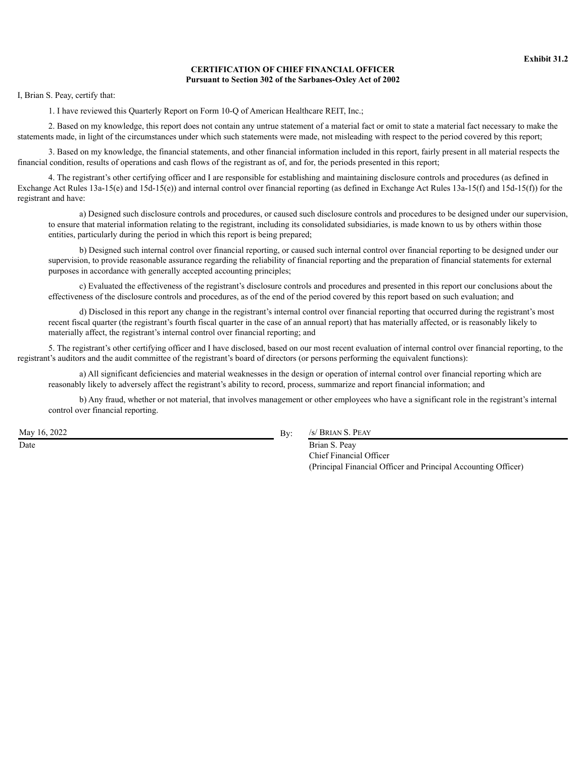#### **CERTIFICATION OF CHIEF FINANCIAL OFFICER Pursuant to Section 302 of the Sarbanes-Oxley Act of 2002**

<span id="page-61-0"></span>I, Brian S. Peay, certify that:

1. I have reviewed this Quarterly Report on Form 10-Q of American Healthcare REIT, Inc.;

2. Based on my knowledge, this report does not contain any untrue statement of a material fact or omit to state a material fact necessary to make the statements made, in light of the circumstances under which such statements were made, not misleading with respect to the period covered by this report;

3. Based on my knowledge, the financial statements, and other financial information included in this report, fairly present in all material respects the financial condition, results of operations and cash flows of the registrant as of, and for, the periods presented in this report;

4. The registrant's other certifying officer and I are responsible for establishing and maintaining disclosure controls and procedures (as defined in Exchange Act Rules 13a-15(e) and 15d-15(e)) and internal control over financial reporting (as defined in Exchange Act Rules 13a-15(f) and 15d-15(f)) for the registrant and have:

a) Designed such disclosure controls and procedures, or caused such disclosure controls and procedures to be designed under our supervision, to ensure that material information relating to the registrant, including its consolidated subsidiaries, is made known to us by others within those entities, particularly during the period in which this report is being prepared;

b) Designed such internal control over financial reporting, or caused such internal control over financial reporting to be designed under our supervision, to provide reasonable assurance regarding the reliability of financial reporting and the preparation of financial statements for external purposes in accordance with generally accepted accounting principles;

c) Evaluated the effectiveness of the registrant's disclosure controls and procedures and presented in this report our conclusions about the effectiveness of the disclosure controls and procedures, as of the end of the period covered by this report based on such evaluation; and

d) Disclosed in this report any change in the registrant's internal control over financial reporting that occurred during the registrant's most recent fiscal quarter (the registrant's fourth fiscal quarter in the case of an annual report) that has materially affected, or is reasonably likely to materially affect, the registrant's internal control over financial reporting; and

5. The registrant's other certifying officer and I have disclosed, based on our most recent evaluation of internal control over financial reporting, to the registrant's auditors and the audit committee of the registrant's board of directors (or persons performing the equivalent functions):

a) All significant deficiencies and material weaknesses in the design or operation of internal control over financial reporting which are reasonably likely to adversely affect the registrant's ability to record, process, summarize and report financial information; and

b) Any fraud, whether or not material, that involves management or other employees who have a significant role in the registrant's internal control over financial reporting.

May  $16, 2022$  BRIAN S. PEAY

Date Brian S. Peav Chief Financial Officer (Principal Financial Officer and Principal Accounting Officer)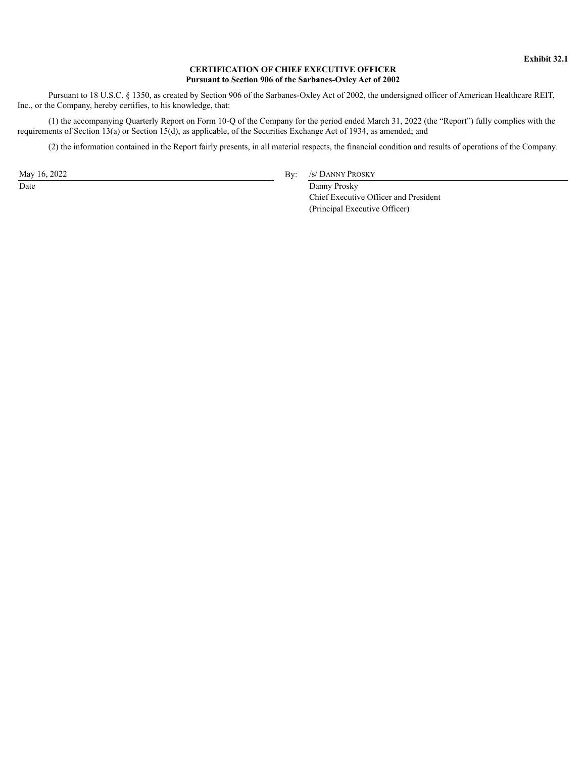## **CERTIFICATION OF CHIEF EXECUTIVE OFFICER Pursuant to Section 906 of the Sarbanes-Oxley Act of 2002**

<span id="page-62-0"></span>Pursuant to 18 U.S.C. § 1350, as created by Section 906 of the Sarbanes-Oxley Act of 2002, the undersigned officer of American Healthcare REIT, Inc., or the Company, hereby certifies, to his knowledge, that:

(1) the accompanying Quarterly Report on Form 10-Q of the Company for the period ended March 31, 2022 (the "Report") fully complies with the requirements of Section 13(a) or Section 15(d), as applicable, of the Securities Exchange Act of 1934, as amended; and

(2) the information contained in the Report fairly presents, in all material respects, the financial condition and results of operations of the Company.

May 16, 2022 By: /s/ DANNY PROSKY

Date Danny Prosky Chief Executive Officer and President (Principal Executive Officer)